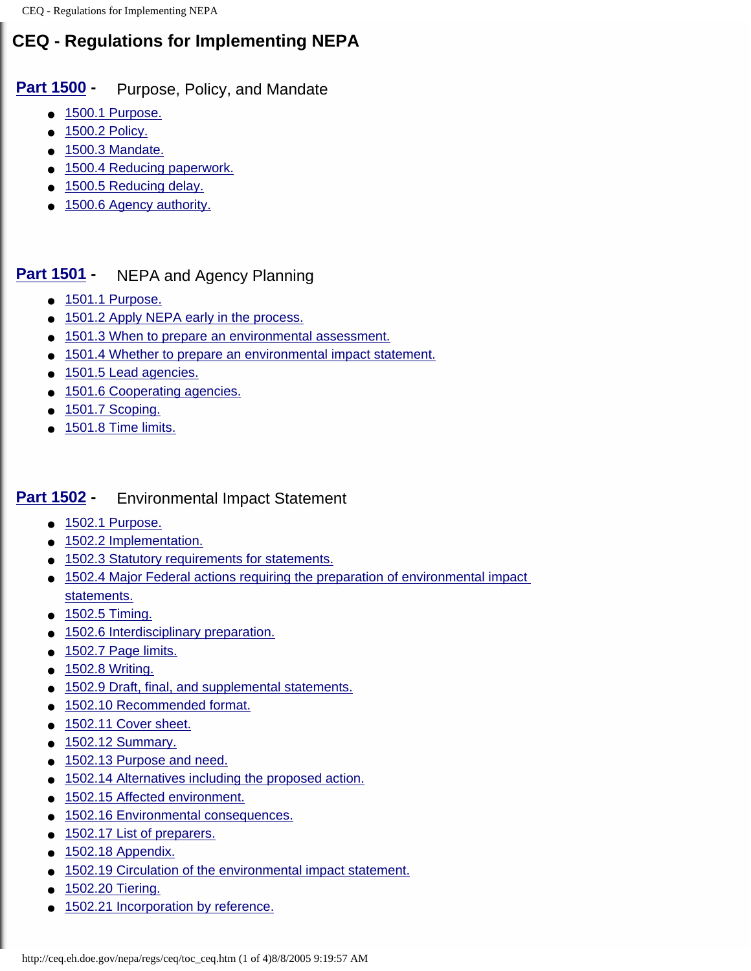<span id="page-0-0"></span>CEQ - Regulations for Implementing NEPA

# **CEQ - Regulations for Implementing NEPA**

**[Part 1500](#page-4-0) -** Purpose, Policy, and Mandate

- 1500.1 Purpose.
- 1500.2 Policy.
- 1500.3 Mandate.
- 1500.4 Reducing paperwork.
- 1500.5 Reducing delay.
- 1500.6 Agency authority.

# **[Part 1501](#page-10-0) -** NEPA and Agency Planning

- [1501.1 Purpose.](#page-10-1)
- [1501.2 Apply NEPA early in the process.](#page-10-2)
- [1501.3 When to prepare an environmental assessment.](#page-11-0)
- [1501.4 Whether to prepare an environmental impact statement.](#page-12-0)
- [1501.5 Lead agencies.](#page-13-0)
- [1501.6 Cooperating agencies.](#page-14-0)
- [1501.7 Scoping.](#page-15-0)
- [1501.8 Time limits.](#page-16-0)

# **[Part 1502](#page-18-0) -** Environmental Impact Statement

- $\bullet$  [1502.1 Purpose.](#page-18-1)
- [1502.2 Implementation.](#page-19-0)
- [1502.3 Statutory requirements for statements.](#page-20-0)
- [1502.4 Major Federal actions requiring the preparation of environmental impact](#page-20-1) [statements.](#page-20-1)
- [1502.5 Timing.](#page-21-0)
- [1502.6 Interdisciplinary preparation.](#page-22-0)
- [1502.7 Page limits.](#page-22-1)
- [1502.8 Writing.](#page-22-2)
- [1502.9 Draft, final, and supplemental statements.](#page-22-3)
- [1502.10 Recommended format.](#page-23-0)
- [1502.11 Cover sheet.](#page-24-0)
- [1502.12 Summary.](#page-25-0)
- [1502.13 Purpose and need.](#page-25-1)
- [1502.14 Alternatives including the proposed action.](#page-25-2)
- [1502.15 Affected environment.](#page-26-0)
- [1502.16 Environmental consequences.](#page-26-1)
- [1502.17 List of preparers.](#page-27-0)
- [1502.18 Appendix.](#page-27-1)
- [1502.19 Circulation of the environmental impact statement.](#page-28-0)
- [1502.20 Tiering.](#page-28-1)
- [1502.21 Incorporation by reference.](#page-29-0)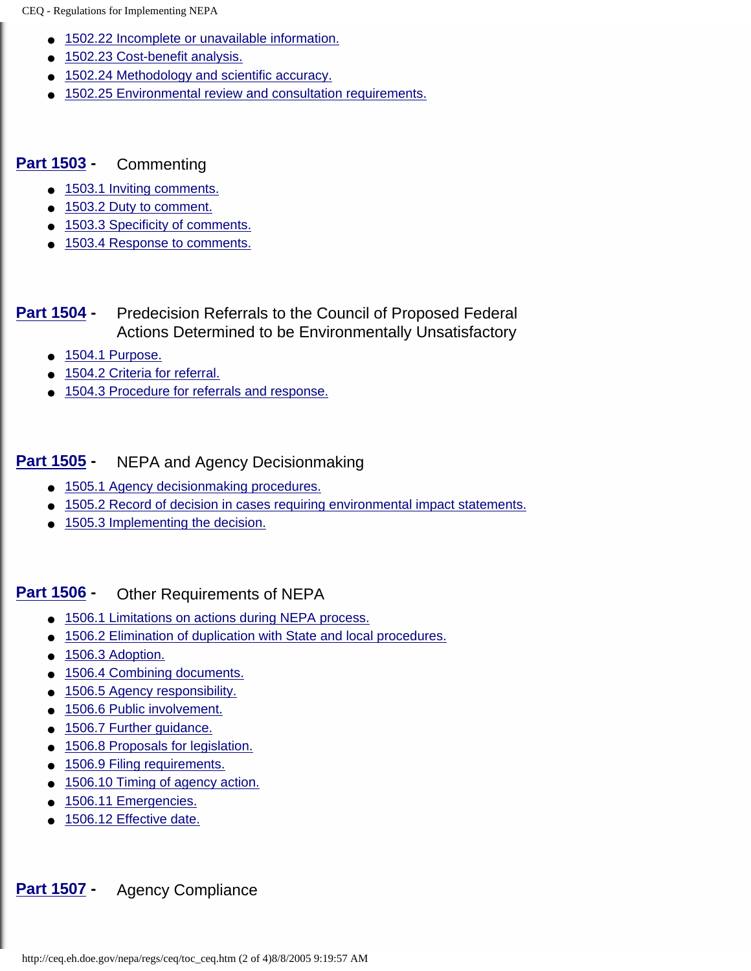CEQ - Regulations for Implementing NEPA

- [1502.22 Incomplete or unavailable information.](#page-29-1)
- [1502.23 Cost-benefit analysis.](#page-30-0)
- [1502.24 Methodology and scientific accuracy.](#page-31-0)
- [1502.25 Environmental review and consultation requirements.](#page-31-1)

## **[Part 1503](#page-32-0) -** Commenting

- 1503.1 Inviting comments.
- 1503.2 Duty to comment.
- 1503.3 Specificity of comments.
- 1503.4 Response to comments.

## **[Part 1504](#page-36-0) -** Predecision Referrals to the Council of Proposed Federal Actions Determined to be Environmentally Unsatisfactory

- [1504.1 Purpose.](#page-36-1)
- [1504.2 Criteria for referral.](#page-36-2)
- [1504.3 Procedure for referrals and response.](#page-37-0)

### **[Part 1505](#page-40-0) -** NEPA and Agency Decisionmaking

- 1505.1 Agency decisionmaking procedures.
- 1505.2 Record of decision in cases requiring environmental impact statements.
- 1505.3 Implementing the decision.

## **[Part 1506](#page-43-0) -** Other Requirements of NEPA

- 1506.1 Limitations on actions during NEPA process.
- 1506.2 Elimination of duplication with State and local procedures.
- 1506.3 Adoption.
- 1506.4 Combining documents.
- 1506.5 Agency responsibility.
- 1506.6 Public involvement.
- 1506.7 Further guidance.
- 1506.8 Proposals for legislation.
- 1506.9 Filing requirements.
- 1506.10 Timing of agency action.
- 1506.11 Emergencies.
- 1506.12 Effective date.

**[Part 1507](#page-53-0) -** Agency Compliance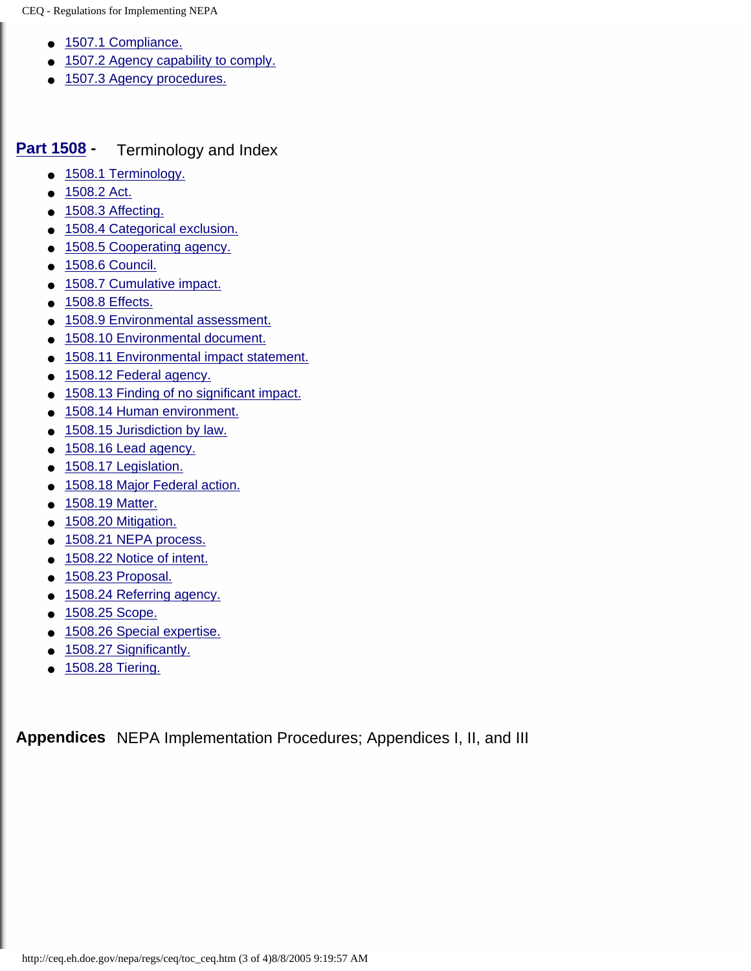- 1507.1 Compliance.
- 1507.2 Agency capability to comply.
- 1507.3 Agency procedures.

### **[Part 1508](#page-56-0)** - Terminology and Index

- 1508.1 Terminology.
- 1508.2 Act.
- 1508.3 Affecting.
- 1508.4 Categorical exclusion.
- 1508.5 Cooperating agency.
- **1508.6 Council.**
- 1508.7 Cumulative impact.
- 1508.8 Effects.
- 1508.9 Environmental assessment.
- 1508.10 Environmental document.
- 1508.11 Environmental impact statement.
- 1508.12 Federal agency.
- 1508.13 Finding of no significant impact.
- 1508.14 Human environment.
- 1508.15 Jurisdiction by law.
- 1508.16 Lead agency.
- 1508.17 Legislation.
- 1508.18 Major Federal action.
- 1508.19 Matter.
- 1508.20 Mitigation.
- 1508.21 NEPA process.
- 1508.22 Notice of intent.
- 1508.23 Proposal.
- 1508.24 Referring agency.
- 1508.25 Scope.
- 1508.26 Special expertise.
- 1508.27 Significantly.
- **1508.28 Tiering.**

**Appendices** NEPA Implementation Procedures; Appendices I, II, and III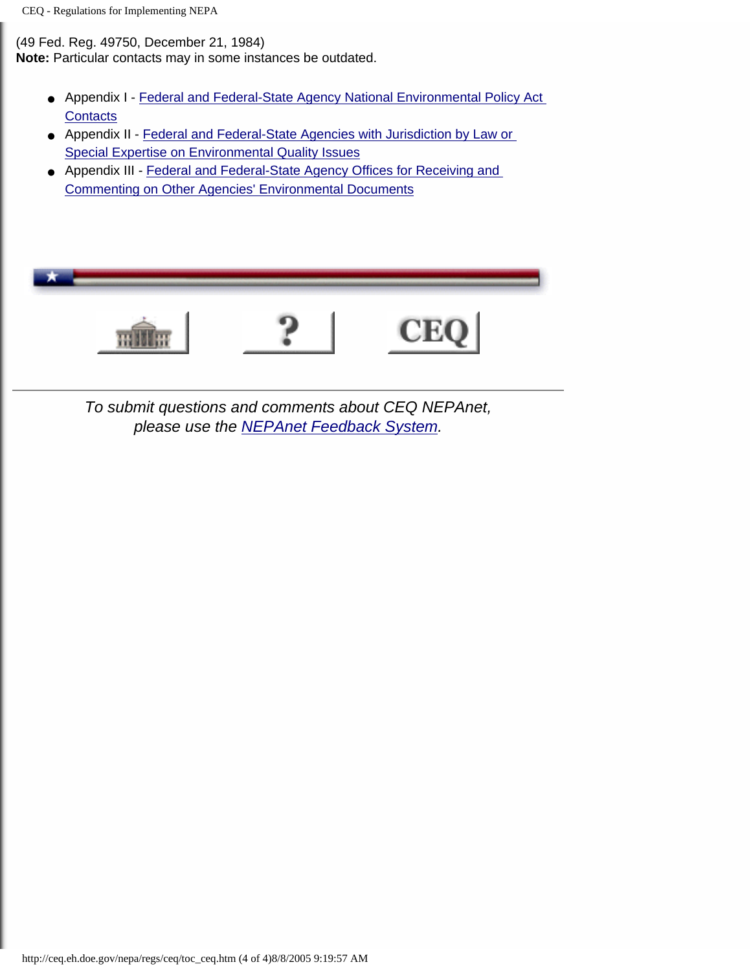CEQ - Regulations for Implementing NEPA

(49 Fed. Reg. 49750, December 21, 1984) **Note:** Particular contacts may in some instances be outdated.

- Appendix I Federal and Federal-State Agency National Environmental Policy Act **[Contacts](http://ceq.eh.doe.gov/nepa/regs/ceq/iii-7app1.pdf)**
- Appendix II - [Federal and Federal-State Agencies with Jurisdiction by Law or](http://ceq.eh.doe.gov/nepa/regs/ceq/iii-7app2.pdf) [Special Expertise on Environmental Quality Issues](http://ceq.eh.doe.gov/nepa/regs/ceq/iii-7app2.pdf)
- Appendix III - [Federal and Federal-State Agency Offices for Receiving and](http://ceq.eh.doe.gov/nepa/regs/ceq/iii-7app3.pdf) [Commenting on Other Agencies' Environmental Documents](http://ceq.eh.doe.gov/nepa/regs/ceq/iii-7app3.pdf)



*To submit questions and comments about CEQ NEPAnet, please use the [NEPAnet Feedback System](http://ceq.eh.doe.gov/nepa/feedback/feedback.cfm).*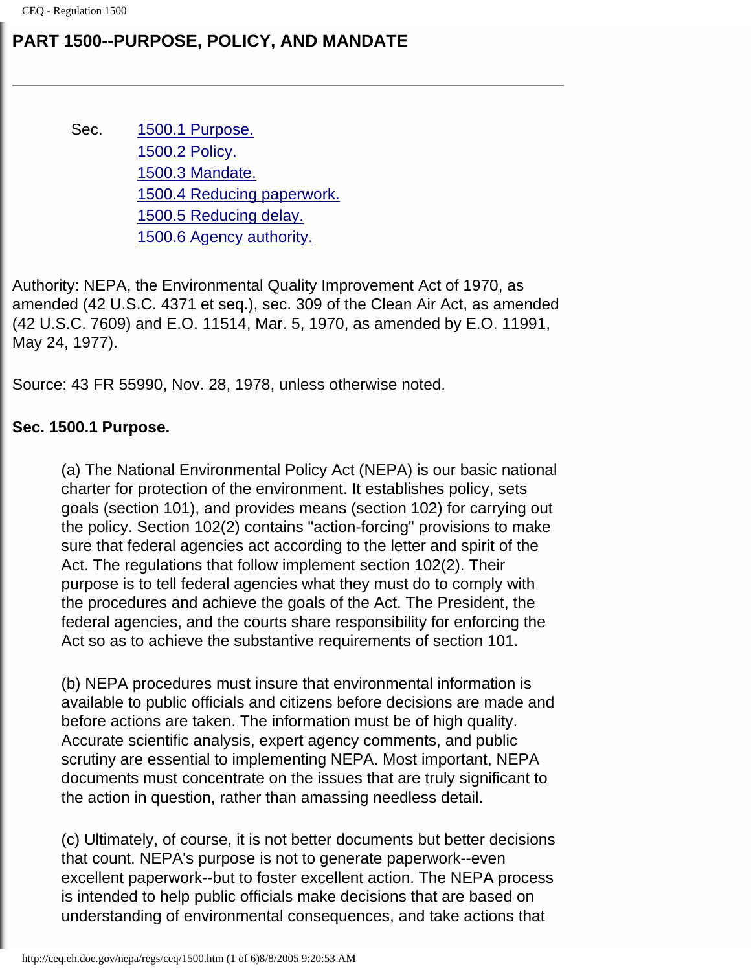<span id="page-4-0"></span>CEQ - Regulation 1500

# **PART 1500--PURPOSE, POLICY, AND MANDATE**

Sec. 1500.1 Purpose. 1500.2 Policy. 1500.3 Mandate. 1500.4 Reducing paperwork. 1500.5 Reducing delay. 1500.6 Agency authority.

Authority: NEPA, the Environmental Quality Improvement Act of 1970, as amended (42 U.S.C. 4371 et seq.), sec. 309 of the Clean Air Act, as amended (42 U.S.C. 7609) and E.O. 11514, Mar. 5, 1970, as amended by E.O. 11991, May 24, 1977).

Source: 43 FR 55990, Nov. 28, 1978, unless otherwise noted.

## **Sec. 1500.1 Purpose.**

(a) The National Environmental Policy Act (NEPA) is our basic national charter for protection of the environment. It establishes policy, sets goals (section 101), and provides means (section 102) for carrying out the policy. Section 102(2) contains "action-forcing" provisions to make sure that federal agencies act according to the letter and spirit of the Act. The regulations that follow implement section 102(2). Their purpose is to tell federal agencies what they must do to comply with the procedures and achieve the goals of the Act. The President, the federal agencies, and the courts share responsibility for enforcing the Act so as to achieve the substantive requirements of section 101.

(b) NEPA procedures must insure that environmental information is available to public officials and citizens before decisions are made and before actions are taken. The information must be of high quality. Accurate scientific analysis, expert agency comments, and public scrutiny are essential to implementing NEPA. Most important, NEPA documents must concentrate on the issues that are truly significant to the action in question, rather than amassing needless detail.

(c) Ultimately, of course, it is not better documents but better decisions that count. NEPA's purpose is not to generate paperwork--even excellent paperwork--but to foster excellent action. The NEPA process is intended to help public officials make decisions that are based on understanding of environmental consequences, and take actions that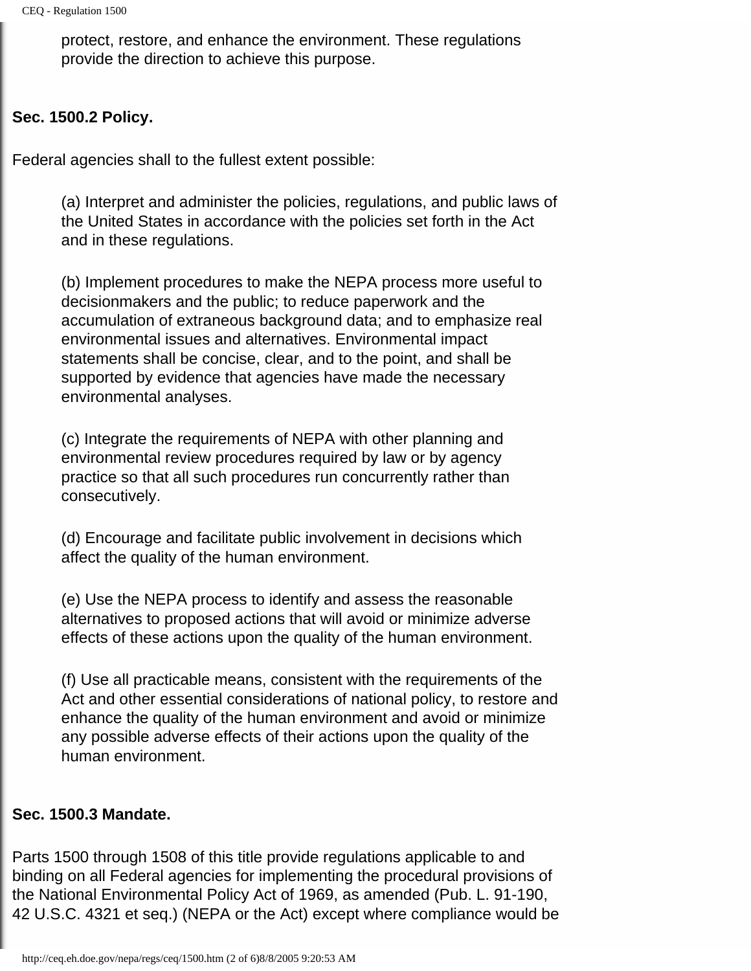protect, restore, and enhance the environment. These regulations provide the direction to achieve this purpose.

### **Sec. 1500.2 Policy.**

Federal agencies shall to the fullest extent possible:

(a) Interpret and administer the policies, regulations, and public laws of the United States in accordance with the policies set forth in the Act and in these regulations.

(b) Implement procedures to make the NEPA process more useful to decisionmakers and the public; to reduce paperwork and the accumulation of extraneous background data; and to emphasize real environmental issues and alternatives. Environmental impact statements shall be concise, clear, and to the point, and shall be supported by evidence that agencies have made the necessary environmental analyses.

(c) Integrate the requirements of NEPA with other planning and environmental review procedures required by law or by agency practice so that all such procedures run concurrently rather than consecutively.

(d) Encourage and facilitate public involvement in decisions which affect the quality of the human environment.

(e) Use the NEPA process to identify and assess the reasonable alternatives to proposed actions that will avoid or minimize adverse effects of these actions upon the quality of the human environment.

(f) Use all practicable means, consistent with the requirements of the Act and other essential considerations of national policy, to restore and enhance the quality of the human environment and avoid or minimize any possible adverse effects of their actions upon the quality of the human environment.

### **Sec. 1500.3 Mandate.**

Parts 1500 through 1508 of this title provide regulations applicable to and binding on all Federal agencies for implementing the procedural provisions of the National Environmental Policy Act of 1969, as amended (Pub. L. 91-190, 42 U.S.C. 4321 et seq.) (NEPA or the Act) except where compliance would be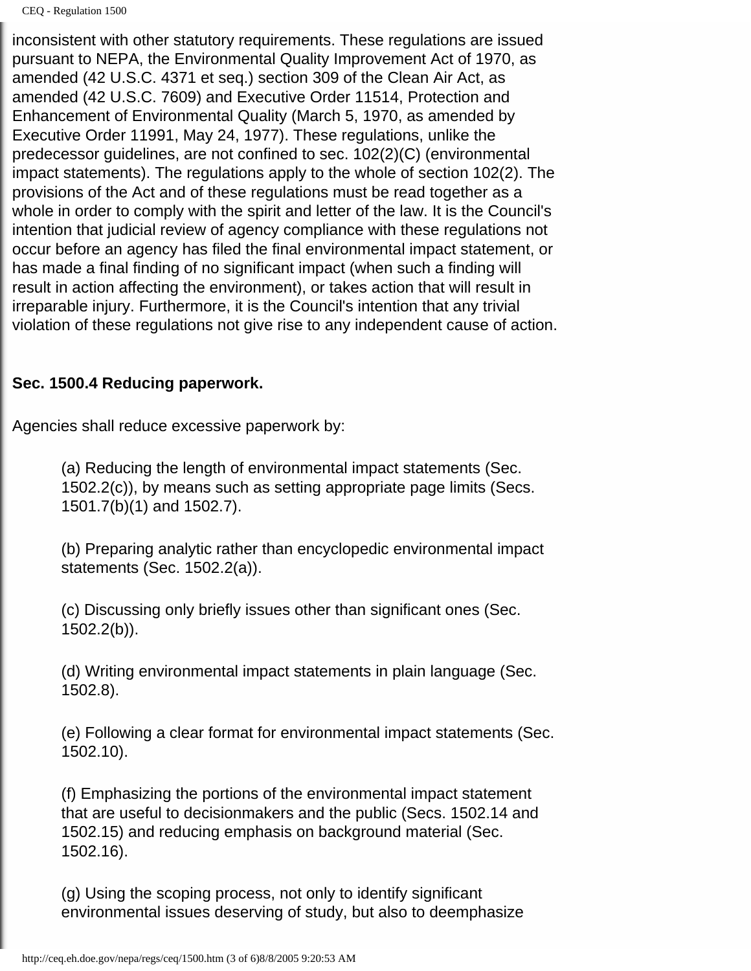CEQ - Regulation 1500

inconsistent with other statutory requirements. These regulations are issued pursuant to NEPA, the Environmental Quality Improvement Act of 1970, as amended (42 U.S.C. 4371 et seq.) section 309 of the Clean Air Act, as amended (42 U.S.C. 7609) and Executive Order 11514, Protection and Enhancement of Environmental Quality (March 5, 1970, as amended by Executive Order 11991, May 24, 1977). These regulations, unlike the predecessor guidelines, are not confined to sec. 102(2)(C) (environmental impact statements). The regulations apply to the whole of section 102(2). The provisions of the Act and of these regulations must be read together as a whole in order to comply with the spirit and letter of the law. It is the Council's intention that judicial review of agency compliance with these regulations not occur before an agency has filed the final environmental impact statement, or has made a final finding of no significant impact (when such a finding will result in action affecting the environment), or takes action that will result in irreparable injury. Furthermore, it is the Council's intention that any trivial violation of these regulations not give rise to any independent cause of action.

# **Sec. 1500.4 Reducing paperwork.**

Agencies shall reduce excessive paperwork by:

(a) Reducing the length of environmental impact statements (Sec. 1502.2(c)), by means such as setting appropriate page limits (Secs. 1501.7(b)(1) and 1502.7).

(b) Preparing analytic rather than encyclopedic environmental impact statements (Sec. 1502.2(a)).

(c) Discussing only briefly issues other than significant ones (Sec. 1502.2(b)).

(d) Writing environmental impact statements in plain language (Sec. 1502.8).

(e) Following a clear format for environmental impact statements (Sec. 1502.10).

(f) Emphasizing the portions of the environmental impact statement that are useful to decisionmakers and the public (Secs. 1502.14 and 1502.15) and reducing emphasis on background material (Sec. 1502.16).

(g) Using the scoping process, not only to identify significant environmental issues deserving of study, but also to deemphasize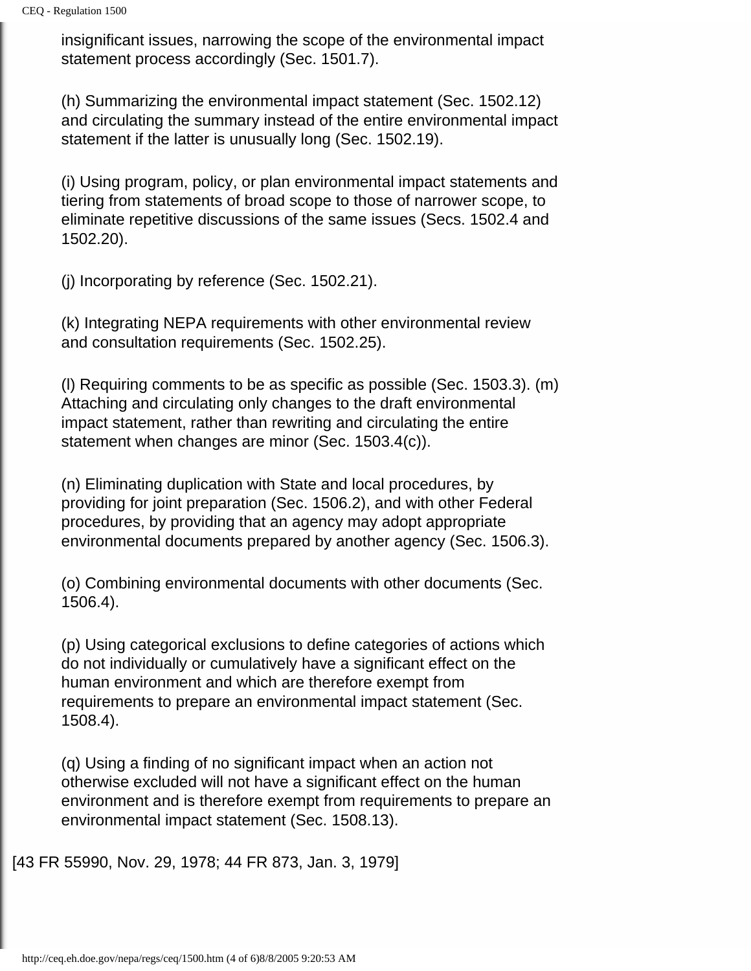insignificant issues, narrowing the scope of the environmental impact statement process accordingly (Sec. 1501.7).

(h) Summarizing the environmental impact statement (Sec. 1502.12) and circulating the summary instead of the entire environmental impact statement if the latter is unusually long (Sec. 1502.19).

(i) Using program, policy, or plan environmental impact statements and tiering from statements of broad scope to those of narrower scope, to eliminate repetitive discussions of the same issues (Secs. 1502.4 and 1502.20).

(j) Incorporating by reference (Sec. 1502.21).

(k) Integrating NEPA requirements with other environmental review and consultation requirements (Sec. 1502.25).

(l) Requiring comments to be as specific as possible (Sec. 1503.3). (m) Attaching and circulating only changes to the draft environmental impact statement, rather than rewriting and circulating the entire statement when changes are minor (Sec. 1503.4(c)).

(n) Eliminating duplication with State and local procedures, by providing for joint preparation (Sec. 1506.2), and with other Federal procedures, by providing that an agency may adopt appropriate environmental documents prepared by another agency (Sec. 1506.3).

(o) Combining environmental documents with other documents (Sec. 1506.4).

(p) Using categorical exclusions to define categories of actions which do not individually or cumulatively have a significant effect on the human environment and which are therefore exempt from requirements to prepare an environmental impact statement (Sec. 1508.4).

(q) Using a finding of no significant impact when an action not otherwise excluded will not have a significant effect on the human environment and is therefore exempt from requirements to prepare an environmental impact statement (Sec. 1508.13).

[43 FR 55990, Nov. 29, 1978; 44 FR 873, Jan. 3, 1979]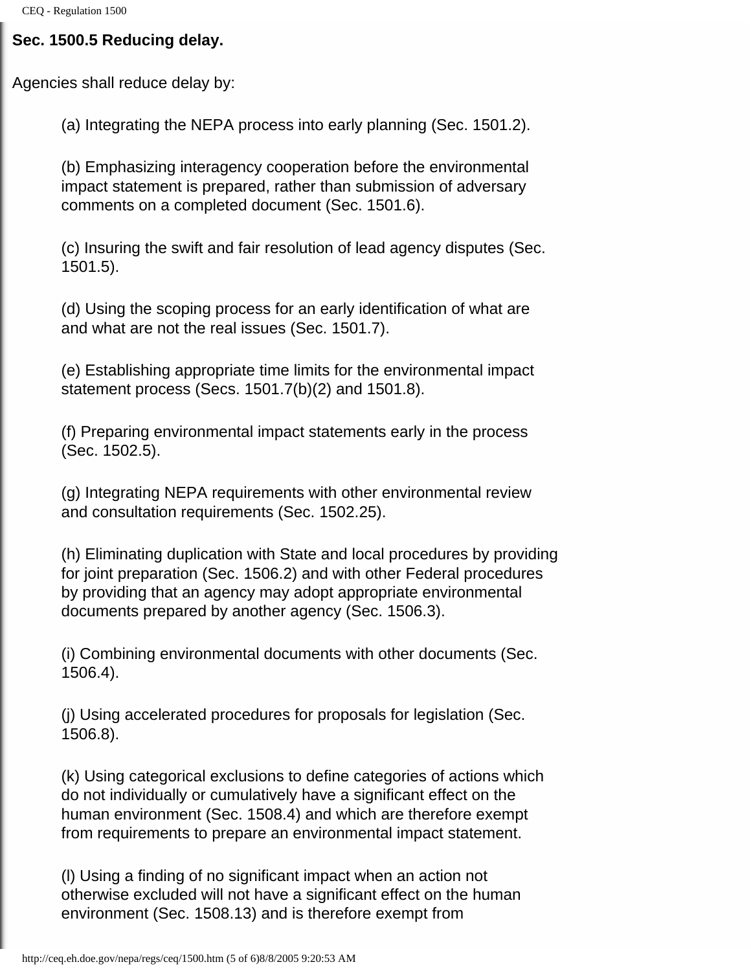**Sec. 1500.5 Reducing delay.**

Agencies shall reduce delay by:

(a) Integrating the NEPA process into early planning (Sec. 1501.2).

(b) Emphasizing interagency cooperation before the environmental impact statement is prepared, rather than submission of adversary comments on a completed document (Sec. 1501.6).

(c) Insuring the swift and fair resolution of lead agency disputes (Sec. 1501.5).

(d) Using the scoping process for an early identification of what are and what are not the real issues (Sec. 1501.7).

(e) Establishing appropriate time limits for the environmental impact statement process (Secs. 1501.7(b)(2) and 1501.8).

(f) Preparing environmental impact statements early in the process (Sec. 1502.5).

(g) Integrating NEPA requirements with other environmental review and consultation requirements (Sec. 1502.25).

(h) Eliminating duplication with State and local procedures by providing for joint preparation (Sec. 1506.2) and with other Federal procedures by providing that an agency may adopt appropriate environmental documents prepared by another agency (Sec. 1506.3).

(i) Combining environmental documents with other documents (Sec. 1506.4).

(j) Using accelerated procedures for proposals for legislation (Sec. 1506.8).

(k) Using categorical exclusions to define categories of actions which do not individually or cumulatively have a significant effect on the human environment (Sec. 1508.4) and which are therefore exempt from requirements to prepare an environmental impact statement.

(l) Using a finding of no significant impact when an action not otherwise excluded will not have a significant effect on the human environment (Sec. 1508.13) and is therefore exempt from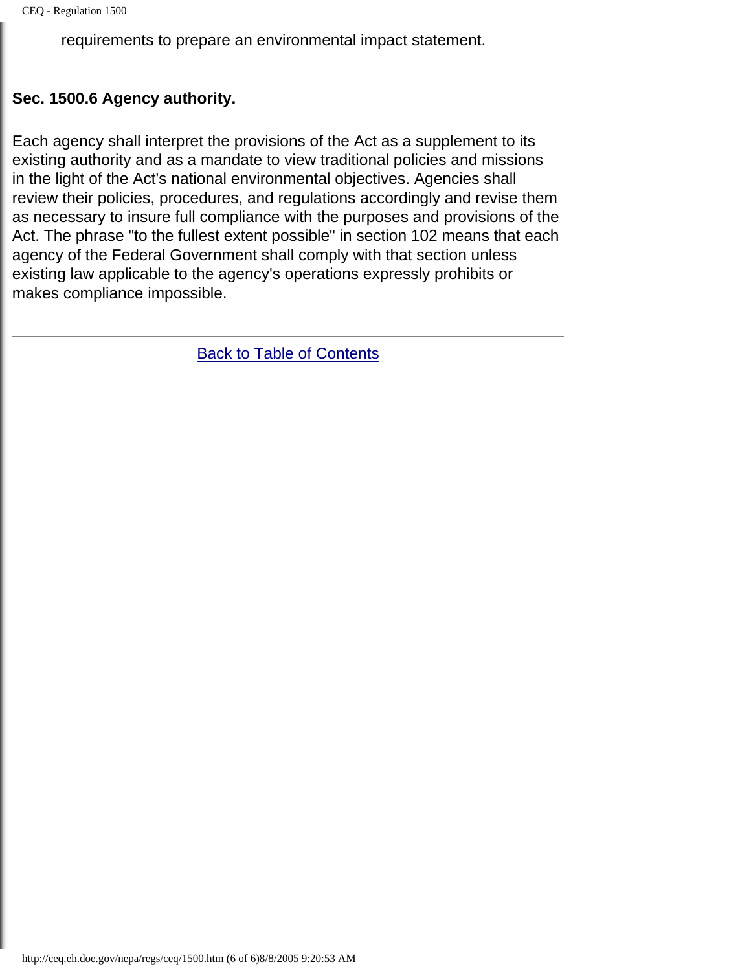requirements to prepare an environmental impact statement.

### **Sec. 1500.6 Agency authority.**

Each agency shall interpret the provisions of the Act as a supplement to its existing authority and as a mandate to view traditional policies and missions in the light of the Act's national environmental objectives. Agencies shall review their policies, procedures, and regulations accordingly and revise them as necessary to insure full compliance with the purposes and provisions of the Act. The phrase "to the fullest extent possible" in section 102 means that each agency of the Federal Government shall comply with that section unless existing law applicable to the agency's operations expressly prohibits or makes compliance impossible.

[Back to Table of Contents](#page-0-0)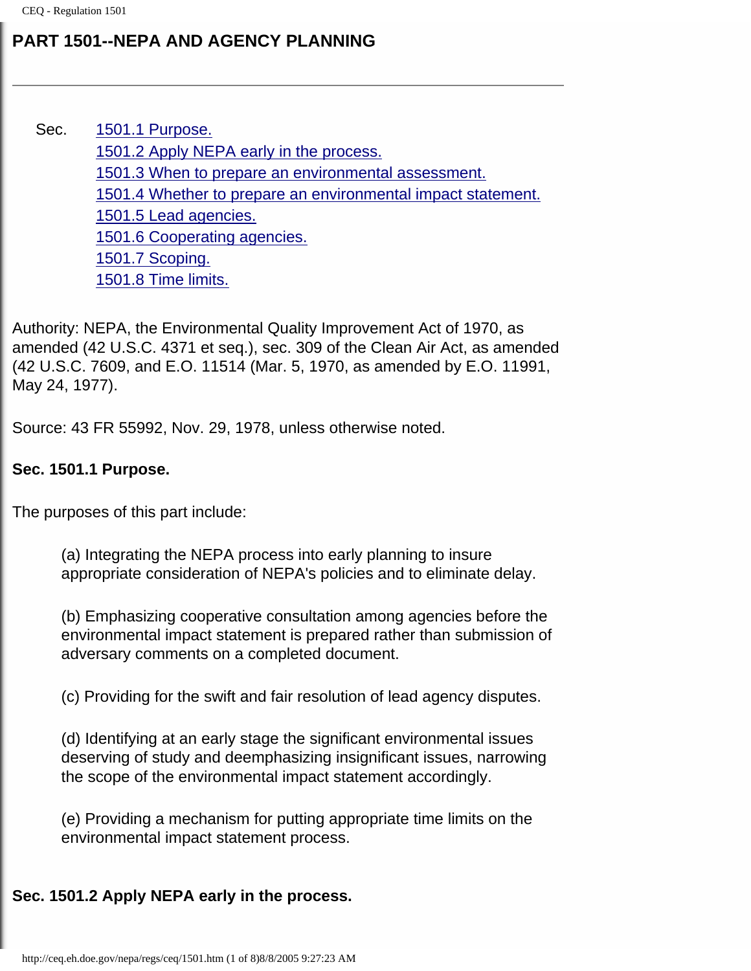# <span id="page-10-0"></span>**PART 1501--NEPA AND AGENCY PLANNING**

Sec. [1501.1 Purpose.](#page-10-1) [1501.2 Apply NEPA early in the process.](#page-10-2) [1501.3 When to prepare an environmental assessment.](#page-11-0) [1501.4 Whether to prepare an environmental impact statement.](#page-12-0) [1501.5 Lead agencies.](#page-13-0) [1501.6 Cooperating agencies.](#page-14-0) [1501.7 Scoping.](#page-15-0) [1501.8 Time limits.](#page-16-0)

Authority: NEPA, the Environmental Quality Improvement Act of 1970, as amended (42 U.S.C. 4371 et seq.), sec. 309 of the Clean Air Act, as amended (42 U.S.C. 7609, and E.O. 11514 (Mar. 5, 1970, as amended by E.O. 11991, May 24, 1977).

Source: 43 FR 55992, Nov. 29, 1978, unless otherwise noted.

# <span id="page-10-1"></span>**Sec. 1501.1 Purpose.**

The purposes of this part include:

(a) Integrating the NEPA process into early planning to insure appropriate consideration of NEPA's policies and to eliminate delay.

(b) Emphasizing cooperative consultation among agencies before the environmental impact statement is prepared rather than submission of adversary comments on a completed document.

(c) Providing for the swift and fair resolution of lead agency disputes.

(d) Identifying at an early stage the significant environmental issues deserving of study and deemphasizing insignificant issues, narrowing the scope of the environmental impact statement accordingly.

(e) Providing a mechanism for putting appropriate time limits on the environmental impact statement process.

# <span id="page-10-2"></span>**Sec. 1501.2 Apply NEPA early in the process.**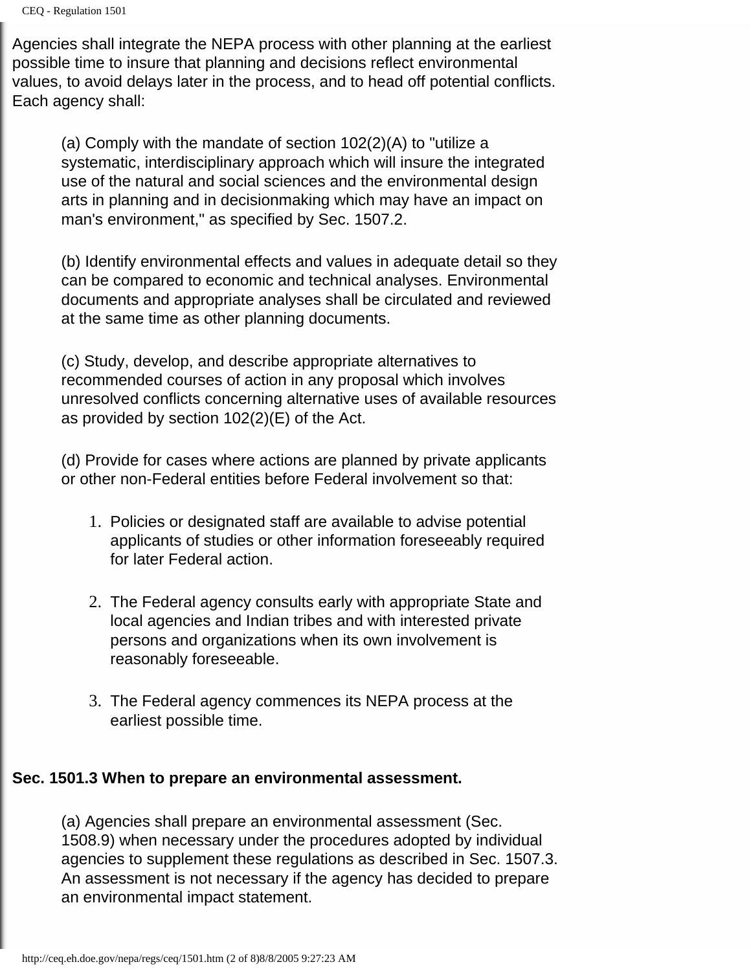Agencies shall integrate the NEPA process with other planning at the earliest possible time to insure that planning and decisions reflect environmental values, to avoid delays later in the process, and to head off potential conflicts. Each agency shall:

(a) Comply with the mandate of section 102(2)(A) to "utilize a systematic, interdisciplinary approach which will insure the integrated use of the natural and social sciences and the environmental design arts in planning and in decisionmaking which may have an impact on man's environment," as specified by Sec. 1507.2.

(b) Identify environmental effects and values in adequate detail so they can be compared to economic and technical analyses. Environmental documents and appropriate analyses shall be circulated and reviewed at the same time as other planning documents.

(c) Study, develop, and describe appropriate alternatives to recommended courses of action in any proposal which involves unresolved conflicts concerning alternative uses of available resources as provided by section 102(2)(E) of the Act.

(d) Provide for cases where actions are planned by private applicants or other non-Federal entities before Federal involvement so that:

- 1. Policies or designated staff are available to advise potential applicants of studies or other information foreseeably required for later Federal action.
- 2. The Federal agency consults early with appropriate State and local agencies and Indian tribes and with interested private persons and organizations when its own involvement is reasonably foreseeable.
- 3. The Federal agency commences its NEPA process at the earliest possible time.

# <span id="page-11-0"></span>**Sec. 1501.3 When to prepare an environmental assessment.**

(a) Agencies shall prepare an environmental assessment (Sec. 1508.9) when necessary under the procedures adopted by individual agencies to supplement these regulations as described in Sec. 1507.3. An assessment is not necessary if the agency has decided to prepare an environmental impact statement.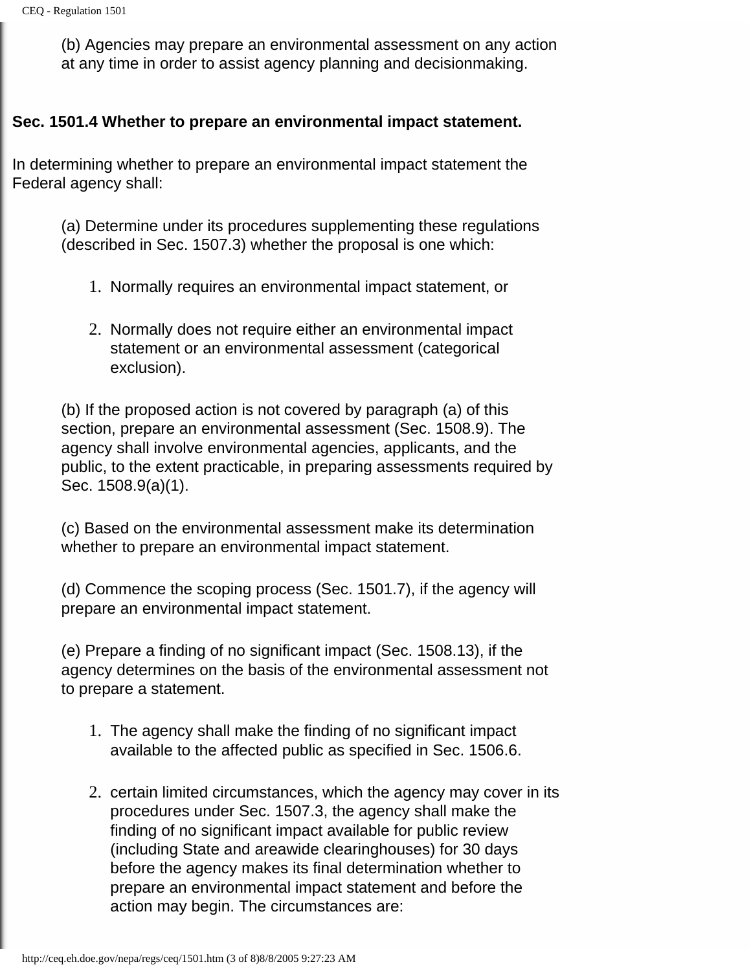(b) Agencies may prepare an environmental assessment on any action at any time in order to assist agency planning and decisionmaking.

### <span id="page-12-0"></span>**Sec. 1501.4 Whether to prepare an environmental impact statement.**

In determining whether to prepare an environmental impact statement the Federal agency shall:

(a) Determine under its procedures supplementing these regulations (described in Sec. 1507.3) whether the proposal is one which:

- 1. Normally requires an environmental impact statement, or
- 2. Normally does not require either an environmental impact statement or an environmental assessment (categorical exclusion).

(b) If the proposed action is not covered by paragraph (a) of this section, prepare an environmental assessment (Sec. 1508.9). The agency shall involve environmental agencies, applicants, and the public, to the extent practicable, in preparing assessments required by Sec. 1508.9(a)(1).

(c) Based on the environmental assessment make its determination whether to prepare an environmental impact statement.

(d) Commence the scoping process (Sec. 1501.7), if the agency will prepare an environmental impact statement.

(e) Prepare a finding of no significant impact (Sec. 1508.13), if the agency determines on the basis of the environmental assessment not to prepare a statement.

- 1. The agency shall make the finding of no significant impact available to the affected public as specified in Sec. 1506.6.
- 2. certain limited circumstances, which the agency may cover in its procedures under Sec. 1507.3, the agency shall make the finding of no significant impact available for public review (including State and areawide clearinghouses) for 30 days before the agency makes its final determination whether to prepare an environmental impact statement and before the action may begin. The circumstances are: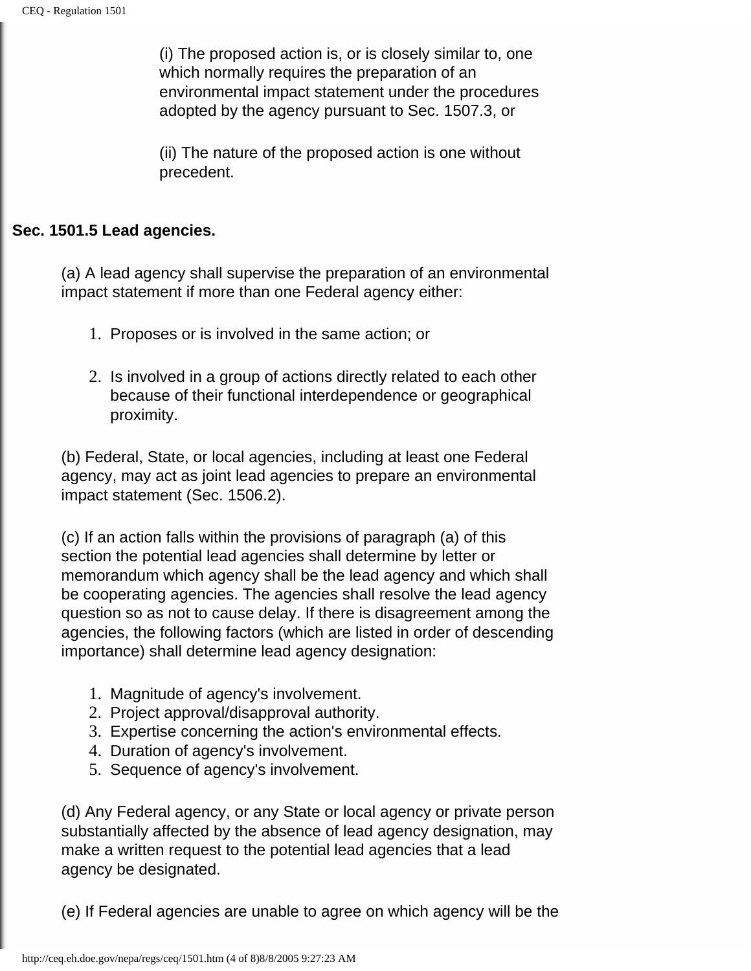(i) The proposed action is, or is closely similar to, one which normally requires the preparation of an environmental impact statement under the procedures adopted by the agency pursuant to Sec. 1507.3, or

(ii) The nature of the proposed action is one without precedent.

### <span id="page-13-0"></span>**Sec. 1501.5 Lead agencies.**

(a) A lead agency shall supervise the preparation of an environmental impact statement if more than one Federal agency either:

- 1. Proposes or is involved in the same action; or
- 2. Is involved in a group of actions directly related to each other because of their functional interdependence or geographical proximity.

(b) Federal, State, or local agencies, including at least one Federal agency, may act as joint lead agencies to prepare an environmental impact statement (Sec. 1506.2).

(c) If an action falls within the provisions of paragraph (a) of this section the potential lead agencies shall determine by letter or memorandum which agency shall be the lead agency and which shall be cooperating agencies. The agencies shall resolve the lead agency question so as not to cause delay. If there is disagreement among the agencies, the following factors (which are listed in order of descending importance) shall determine lead agency designation:

- 1. Magnitude of agency's involvement.
- 2. Project approval/disapproval authority.
- 3. Expertise concerning the action's environmental effects.
- 4. Duration of agency's involvement.
- 5. Sequence of agency's involvement.

(d) Any Federal agency, or any State or local agency or private person substantially affected by the absence of lead agency designation, may make a written request to the potential lead agencies that a lead agency be designated.

(e) If Federal agencies are unable to agree on which agency will be the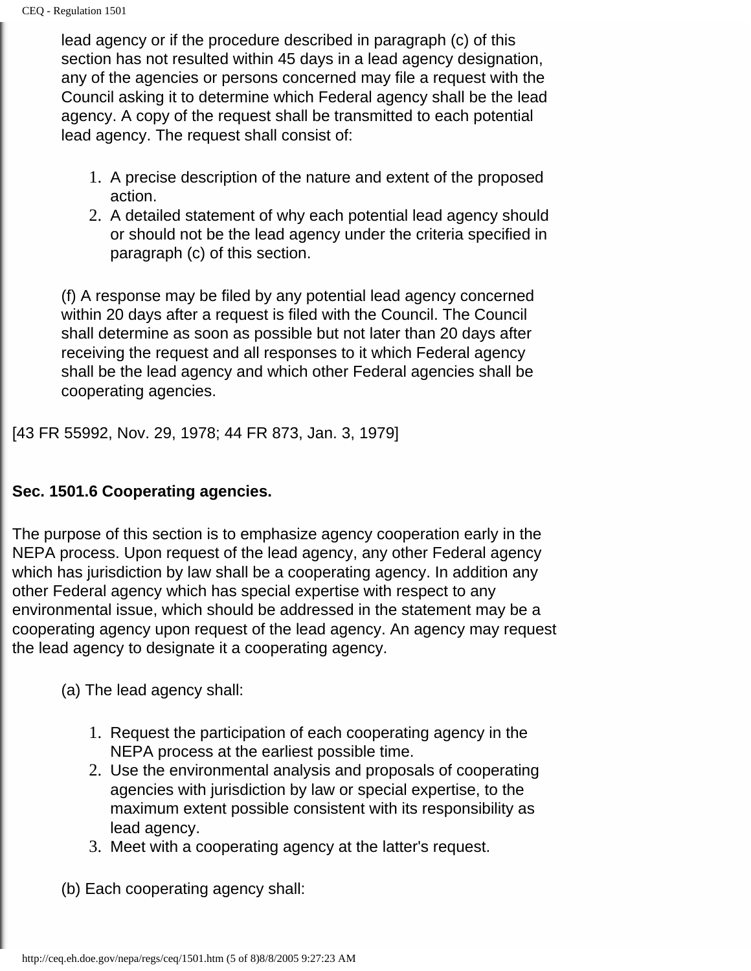lead agency or if the procedure described in paragraph (c) of this section has not resulted within 45 days in a lead agency designation, any of the agencies or persons concerned may file a request with the Council asking it to determine which Federal agency shall be the lead agency. A copy of the request shall be transmitted to each potential lead agency. The request shall consist of:

- 1. A precise description of the nature and extent of the proposed action.
- 2. A detailed statement of why each potential lead agency should or should not be the lead agency under the criteria specified in paragraph (c) of this section.

(f) A response may be filed by any potential lead agency concerned within 20 days after a request is filed with the Council. The Council shall determine as soon as possible but not later than 20 days after receiving the request and all responses to it which Federal agency shall be the lead agency and which other Federal agencies shall be cooperating agencies.

[43 FR 55992, Nov. 29, 1978; 44 FR 873, Jan. 3, 1979]

## <span id="page-14-0"></span>**Sec. 1501.6 Cooperating agencies.**

The purpose of this section is to emphasize agency cooperation early in the NEPA process. Upon request of the lead agency, any other Federal agency which has jurisdiction by law shall be a cooperating agency. In addition any other Federal agency which has special expertise with respect to any environmental issue, which should be addressed in the statement may be a cooperating agency upon request of the lead agency. An agency may request the lead agency to designate it a cooperating agency.

(a) The lead agency shall:

- 1. Request the participation of each cooperating agency in the NEPA process at the earliest possible time.
- 2. Use the environmental analysis and proposals of cooperating agencies with jurisdiction by law or special expertise, to the maximum extent possible consistent with its responsibility as lead agency.
- 3. Meet with a cooperating agency at the latter's request.

(b) Each cooperating agency shall: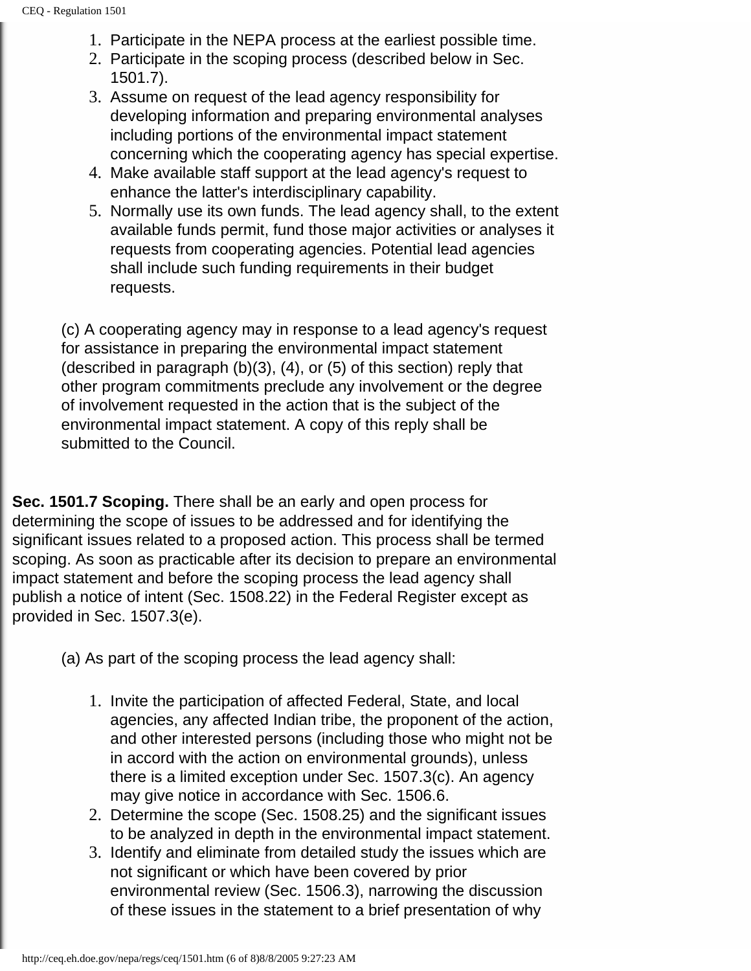- 1. Participate in the NEPA process at the earliest possible time.
- 2. Participate in the scoping process (described below in Sec. 1501.7).
- 3. Assume on request of the lead agency responsibility for developing information and preparing environmental analyses including portions of the environmental impact statement concerning which the cooperating agency has special expertise.
- 4. Make available staff support at the lead agency's request to enhance the latter's interdisciplinary capability.
- 5. Normally use its own funds. The lead agency shall, to the extent available funds permit, fund those major activities or analyses it requests from cooperating agencies. Potential lead agencies shall include such funding requirements in their budget requests.

(c) A cooperating agency may in response to a lead agency's request for assistance in preparing the environmental impact statement (described in paragraph (b)(3), (4), or (5) of this section) reply that other program commitments preclude any involvement or the degree of involvement requested in the action that is the subject of the environmental impact statement. A copy of this reply shall be submitted to the Council.

<span id="page-15-0"></span>**Sec. 1501.7 Scoping.** There shall be an early and open process for determining the scope of issues to be addressed and for identifying the significant issues related to a proposed action. This process shall be termed scoping. As soon as practicable after its decision to prepare an environmental impact statement and before the scoping process the lead agency shall publish a notice of intent (Sec. 1508.22) in the Federal Register except as provided in Sec. 1507.3(e).

(a) As part of the scoping process the lead agency shall:

- 1. Invite the participation of affected Federal, State, and local agencies, any affected Indian tribe, the proponent of the action, and other interested persons (including those who might not be in accord with the action on environmental grounds), unless there is a limited exception under Sec. 1507.3(c). An agency may give notice in accordance with Sec. 1506.6.
- 2. Determine the scope (Sec. 1508.25) and the significant issues to be analyzed in depth in the environmental impact statement.
- 3. Identify and eliminate from detailed study the issues which are not significant or which have been covered by prior environmental review (Sec. 1506.3), narrowing the discussion of these issues in the statement to a brief presentation of why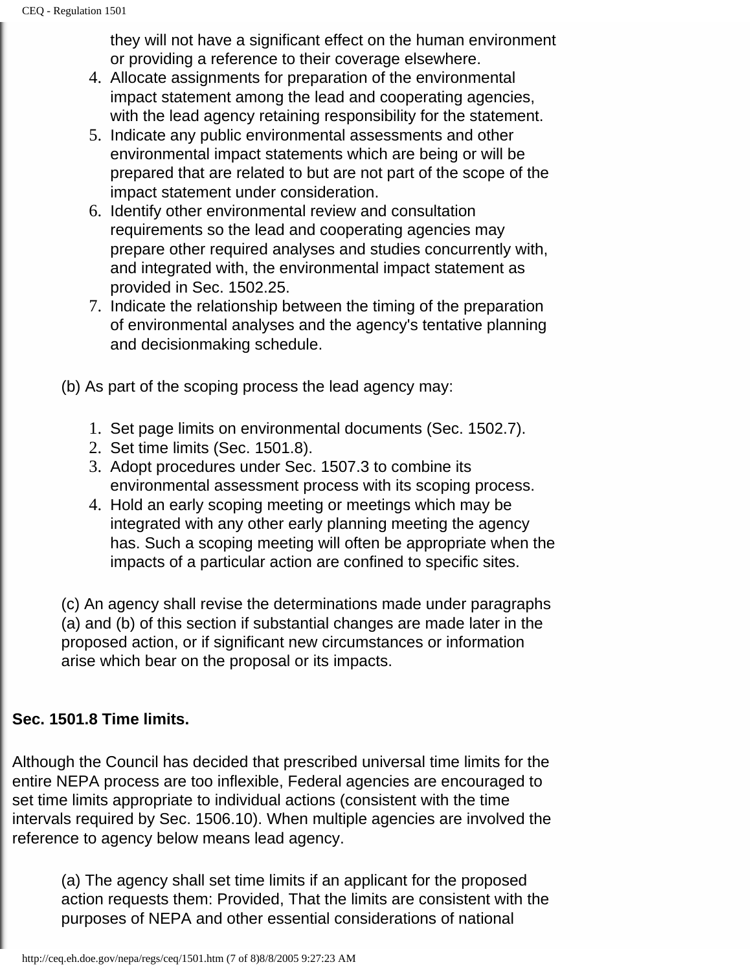they will not have a significant effect on the human environment or providing a reference to their coverage elsewhere.

- 4. Allocate assignments for preparation of the environmental impact statement among the lead and cooperating agencies, with the lead agency retaining responsibility for the statement.
- 5. Indicate any public environmental assessments and other environmental impact statements which are being or will be prepared that are related to but are not part of the scope of the impact statement under consideration.
- 6. Identify other environmental review and consultation requirements so the lead and cooperating agencies may prepare other required analyses and studies concurrently with, and integrated with, the environmental impact statement as provided in Sec. 1502.25.
- 7. Indicate the relationship between the timing of the preparation of environmental analyses and the agency's tentative planning and decisionmaking schedule.

(b) As part of the scoping process the lead agency may:

- 1. Set page limits on environmental documents (Sec. 1502.7).
- 2. Set time limits (Sec. 1501.8).
- 3. Adopt procedures under Sec. 1507.3 to combine its environmental assessment process with its scoping process.
- 4. Hold an early scoping meeting or meetings which may be integrated with any other early planning meeting the agency has. Such a scoping meeting will often be appropriate when the impacts of a particular action are confined to specific sites.

(c) An agency shall revise the determinations made under paragraphs (a) and (b) of this section if substantial changes are made later in the proposed action, or if significant new circumstances or information arise which bear on the proposal or its impacts.

## <span id="page-16-0"></span>**Sec. 1501.8 Time limits.**

Although the Council has decided that prescribed universal time limits for the entire NEPA process are too inflexible, Federal agencies are encouraged to set time limits appropriate to individual actions (consistent with the time intervals required by Sec. 1506.10). When multiple agencies are involved the reference to agency below means lead agency.

(a) The agency shall set time limits if an applicant for the proposed action requests them: Provided, That the limits are consistent with the purposes of NEPA and other essential considerations of national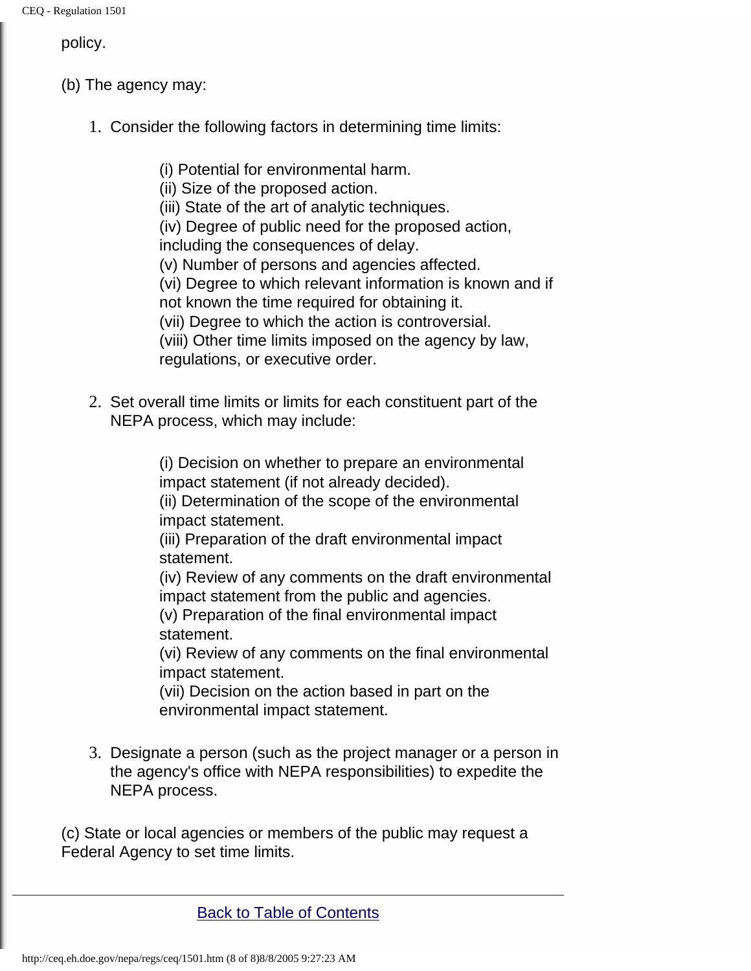policy.

- (b) The agency may:
	- 1. Consider the following factors in determining time limits:
		- (i) Potential for environmental harm.
		- (ii) Size of the proposed action.
		- (iii) State of the art of analytic techniques.
		- (iv) Degree of public need for the proposed action,
		- including the consequences of delay.
		- (v) Number of persons and agencies affected.
		- (vi) Degree to which relevant information is known and if
		- not known the time required for obtaining it.
		- (vii) Degree to which the action is controversial.
		- (viii) Other time limits imposed on the agency by law, regulations, or executive order.
	- 2. Set overall time limits or limits for each constituent part of the NEPA process, which may include:

(i) Decision on whether to prepare an environmental impact statement (if not already decided).

(ii) Determination of the scope of the environmental impact statement.

(iii) Preparation of the draft environmental impact statement.

(iv) Review of any comments on the draft environmental impact statement from the public and agencies.

(v) Preparation of the final environmental impact statement.

(vi) Review of any comments on the final environmental impact statement.

(vii) Decision on the action based in part on the environmental impact statement.

3. Designate a person (such as the project manager or a person in the agency's office with NEPA responsibilities) to expedite the NEPA process.

(c) State or local agencies or members of the public may request a Federal Agency to set time limits.

[Back to Table of Contents](#page-0-0)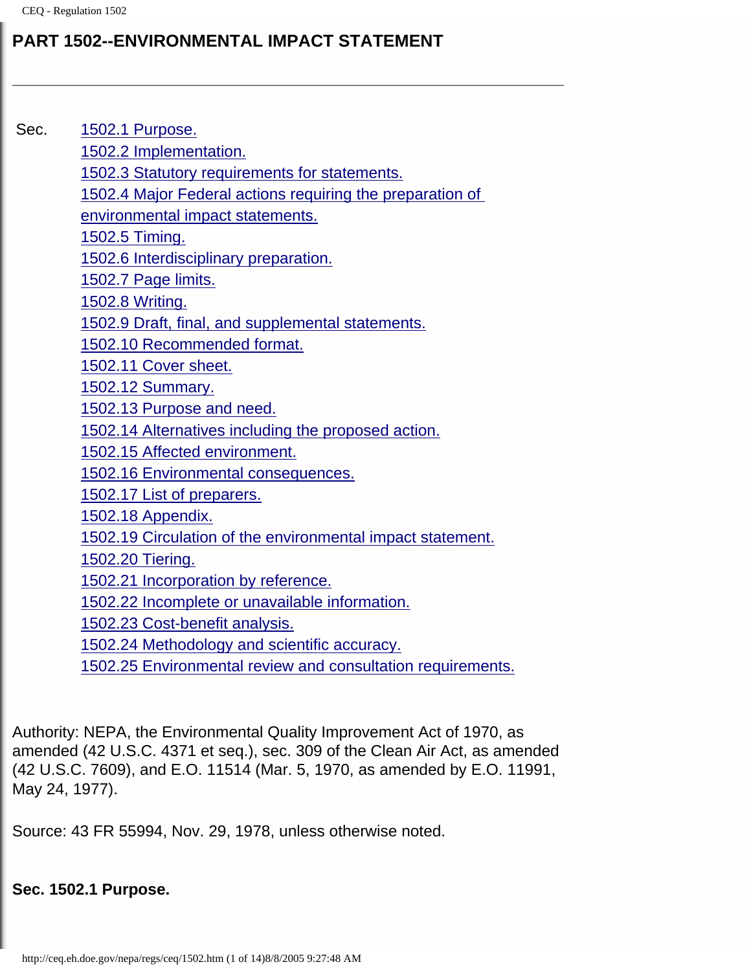# <span id="page-18-0"></span>**PART 1502--ENVIRONMENTAL IMPACT STATEMENT**

Sec. [1502.1 Purpose.](#page-18-1) [1502.2 Implementation.](#page-19-0) [1502.3 Statutory requirements for statements.](#page-20-0) [1502.4 Major Federal actions requiring the preparation of](#page-20-1)  [environmental impact statements.](#page-20-1) [1502.5 Timing.](#page-21-0) [1502.6 Interdisciplinary preparation.](#page-22-0) [1502.7 Page limits.](#page-22-1) [1502.8 Writing.](#page-22-2) [1502.9 Draft, final, and supplemental statements.](#page-22-3) [1502.10 Recommended format.](#page-23-0) [1502.11 Cover sheet.](#page-24-0) [1502.12 Summary.](#page-25-0) [1502.13 Purpose and need.](#page-25-1) [1502.14 Alternatives including the proposed action.](#page-25-2) [1502.15 Affected environment.](#page-26-0) [1502.16 Environmental consequences.](#page-26-1) [1502.17 List of preparers.](#page-27-0) [1502.18 Appendix.](#page-27-1) [1502.19 Circulation of the environmental impact statement.](#page-28-0) [1502.20 Tiering.](#page-28-1) [1502.21 Incorporation by reference.](#page-29-0) [1502.22 Incomplete or unavailable information.](#page-29-1) [1502.23 Cost-benefit analysis.](#page-30-0) [1502.24 Methodology and scientific accuracy.](#page-31-0) [1502.25 Environmental review and consultation requirements.](#page-31-1)

Authority: NEPA, the Environmental Quality Improvement Act of 1970, as amended (42 U.S.C. 4371 et seq.), sec. 309 of the Clean Air Act, as amended (42 U.S.C. 7609), and E.O. 11514 (Mar. 5, 1970, as amended by E.O. 11991, May 24, 1977).

Source: 43 FR 55994, Nov. 29, 1978, unless otherwise noted.

<span id="page-18-1"></span>**Sec. 1502.1 Purpose.**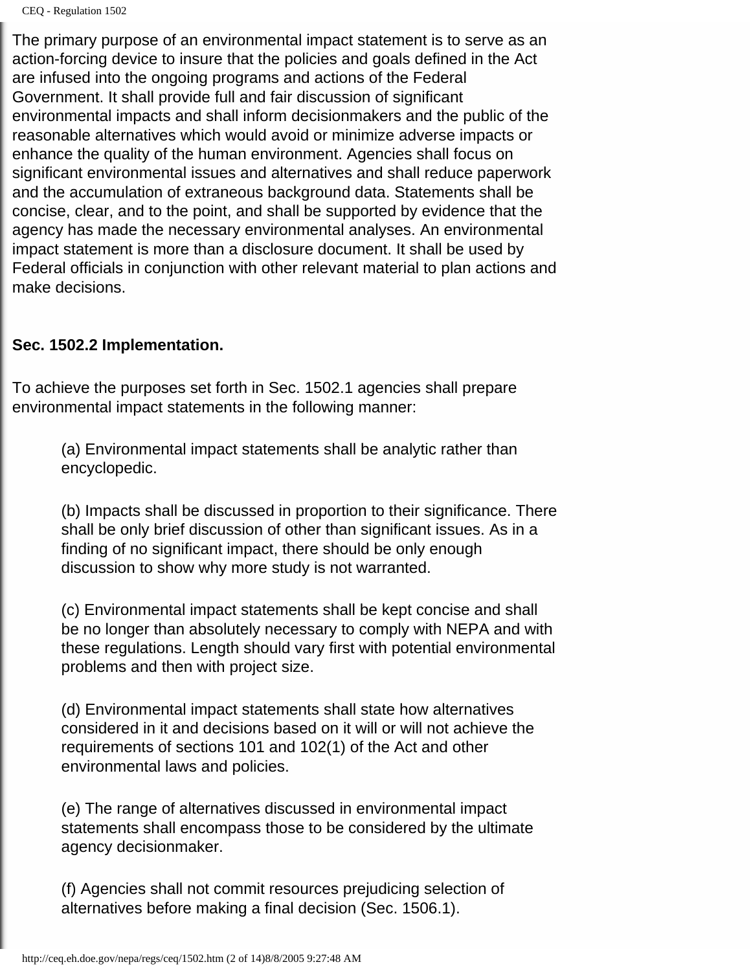```
CEQ - Regulation 1502
```
The primary purpose of an environmental impact statement is to serve as an action-forcing device to insure that the policies and goals defined in the Act are infused into the ongoing programs and actions of the Federal Government. It shall provide full and fair discussion of significant environmental impacts and shall inform decisionmakers and the public of the reasonable alternatives which would avoid or minimize adverse impacts or enhance the quality of the human environment. Agencies shall focus on significant environmental issues and alternatives and shall reduce paperwork and the accumulation of extraneous background data. Statements shall be concise, clear, and to the point, and shall be supported by evidence that the agency has made the necessary environmental analyses. An environmental impact statement is more than a disclosure document. It shall be used by Federal officials in conjunction with other relevant material to plan actions and make decisions.

## <span id="page-19-0"></span>**Sec. 1502.2 Implementation.**

To achieve the purposes set forth in Sec. 1502.1 agencies shall prepare environmental impact statements in the following manner:

(a) Environmental impact statements shall be analytic rather than encyclopedic.

(b) Impacts shall be discussed in proportion to their significance. There shall be only brief discussion of other than significant issues. As in a finding of no significant impact, there should be only enough discussion to show why more study is not warranted.

(c) Environmental impact statements shall be kept concise and shall be no longer than absolutely necessary to comply with NEPA and with these regulations. Length should vary first with potential environmental problems and then with project size.

(d) Environmental impact statements shall state how alternatives considered in it and decisions based on it will or will not achieve the requirements of sections 101 and 102(1) of the Act and other environmental laws and policies.

(e) The range of alternatives discussed in environmental impact statements shall encompass those to be considered by the ultimate agency decisionmaker.

(f) Agencies shall not commit resources prejudicing selection of alternatives before making a final decision (Sec. 1506.1).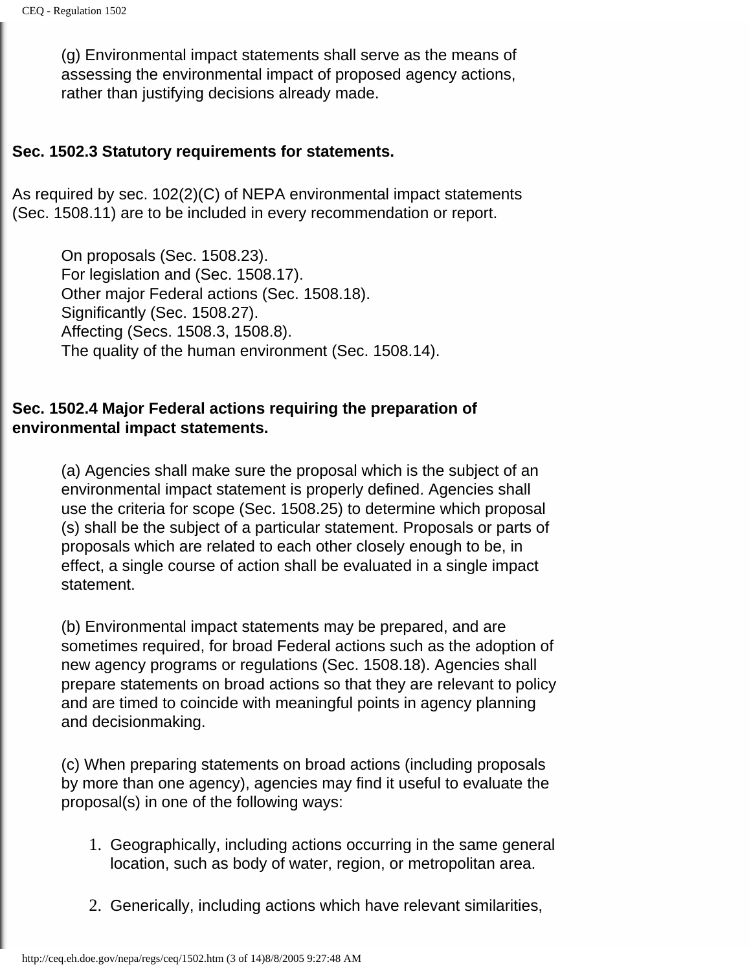(g) Environmental impact statements shall serve as the means of assessing the environmental impact of proposed agency actions, rather than justifying decisions already made.

#### <span id="page-20-0"></span>**Sec. 1502.3 Statutory requirements for statements.**

As required by sec. 102(2)(C) of NEPA environmental impact statements (Sec. 1508.11) are to be included in every recommendation or report.

On proposals (Sec. 1508.23). For legislation and (Sec. 1508.17). Other major Federal actions (Sec. 1508.18). Significantly (Sec. 1508.27). Affecting (Secs. 1508.3, 1508.8). The quality of the human environment (Sec. 1508.14).

## <span id="page-20-1"></span>**Sec. 1502.4 Major Federal actions requiring the preparation of environmental impact statements.**

(a) Agencies shall make sure the proposal which is the subject of an environmental impact statement is properly defined. Agencies shall use the criteria for scope (Sec. 1508.25) to determine which proposal (s) shall be the subject of a particular statement. Proposals or parts of proposals which are related to each other closely enough to be, in effect, a single course of action shall be evaluated in a single impact statement.

(b) Environmental impact statements may be prepared, and are sometimes required, for broad Federal actions such as the adoption of new agency programs or regulations (Sec. 1508.18). Agencies shall prepare statements on broad actions so that they are relevant to policy and are timed to coincide with meaningful points in agency planning and decisionmaking.

(c) When preparing statements on broad actions (including proposals by more than one agency), agencies may find it useful to evaluate the proposal(s) in one of the following ways:

- 1. Geographically, including actions occurring in the same general location, such as body of water, region, or metropolitan area.
- 2. Generically, including actions which have relevant similarities,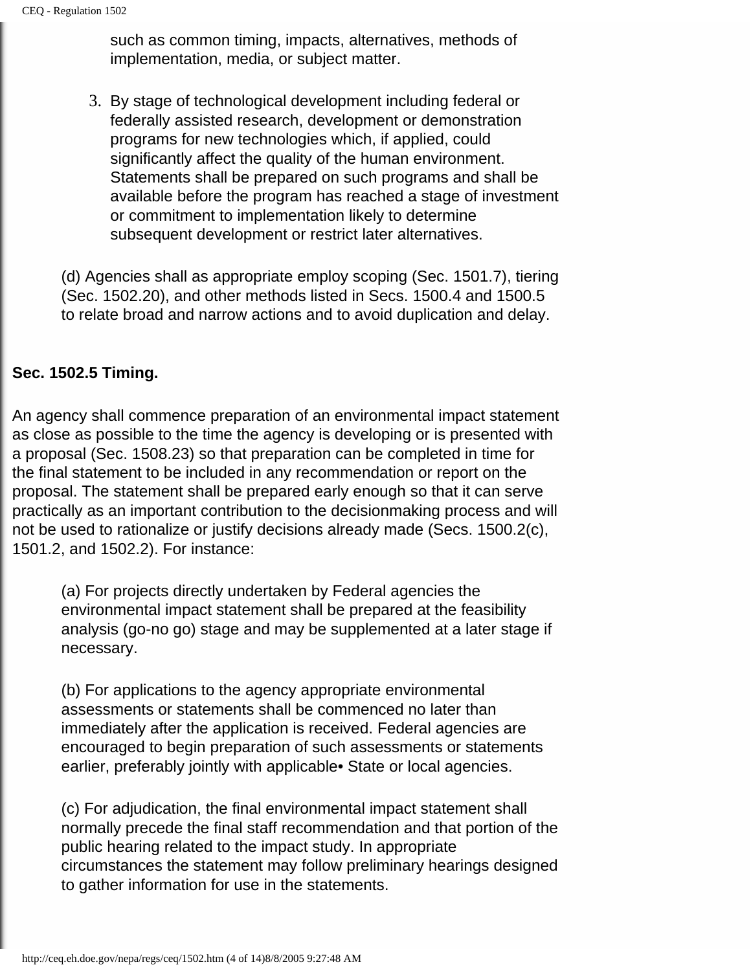such as common timing, impacts, alternatives, methods of implementation, media, or subject matter.

3. By stage of technological development including federal or federally assisted research, development or demonstration programs for new technologies which, if applied, could significantly affect the quality of the human environment. Statements shall be prepared on such programs and shall be available before the program has reached a stage of investment or commitment to implementation likely to determine subsequent development or restrict later alternatives.

(d) Agencies shall as appropriate employ scoping (Sec. 1501.7), tiering (Sec. 1502.20), and other methods listed in Secs. 1500.4 and 1500.5 to relate broad and narrow actions and to avoid duplication and delay.

### <span id="page-21-0"></span>**Sec. 1502.5 Timing.**

An agency shall commence preparation of an environmental impact statement as close as possible to the time the agency is developing or is presented with a proposal (Sec. 1508.23) so that preparation can be completed in time for the final statement to be included in any recommendation or report on the proposal. The statement shall be prepared early enough so that it can serve practically as an important contribution to the decisionmaking process and will not be used to rationalize or justify decisions already made (Secs. 1500.2(c), 1501.2, and 1502.2). For instance:

(a) For projects directly undertaken by Federal agencies the environmental impact statement shall be prepared at the feasibility analysis (go-no go) stage and may be supplemented at a later stage if necessary.

(b) For applications to the agency appropriate environmental assessments or statements shall be commenced no later than immediately after the application is received. Federal agencies are encouraged to begin preparation of such assessments or statements earlier, preferably jointly with applicable• State or local agencies.

(c) For adjudication, the final environmental impact statement shall normally precede the final staff recommendation and that portion of the public hearing related to the impact study. In appropriate circumstances the statement may follow preliminary hearings designed to gather information for use in the statements.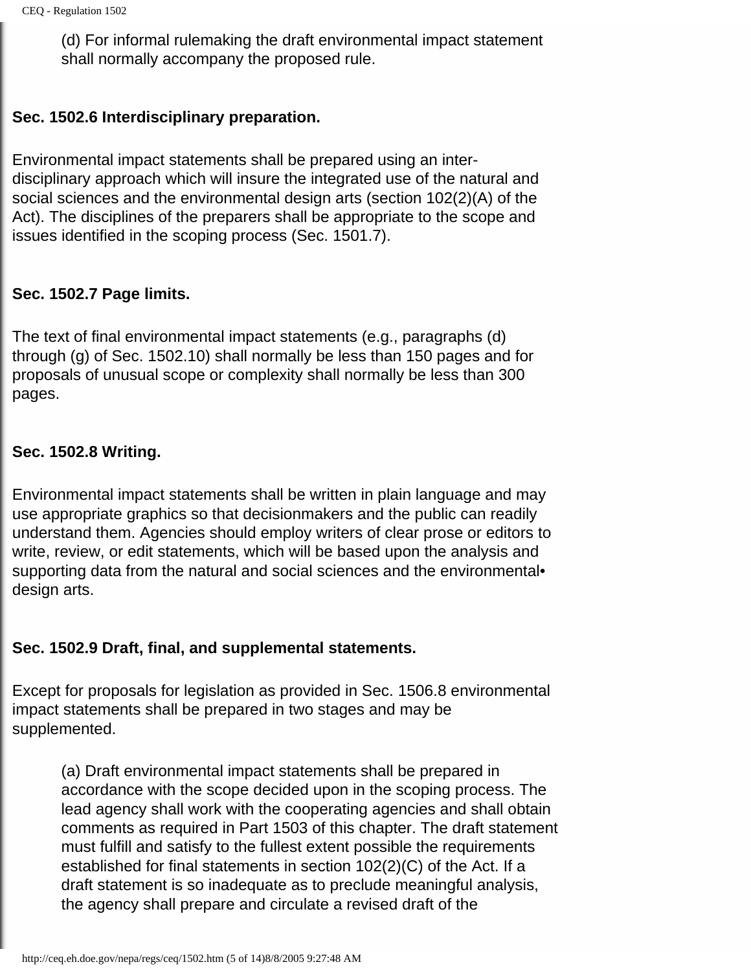(d) For informal rulemaking the draft environmental impact statement shall normally accompany the proposed rule.

## <span id="page-22-0"></span>**Sec. 1502.6 Interdisciplinary preparation.**

Environmental impact statements shall be prepared using an interdisciplinary approach which will insure the integrated use of the natural and social sciences and the environmental design arts (section 102(2)(A) of the Act). The disciplines of the preparers shall be appropriate to the scope and issues identified in the scoping process (Sec. 1501.7).

### <span id="page-22-1"></span>**Sec. 1502.7 Page limits.**

The text of final environmental impact statements (e.g., paragraphs (d) through (g) of Sec. 1502.10) shall normally be less than 150 pages and for proposals of unusual scope or complexity shall normally be less than 300 pages.

### <span id="page-22-2"></span>**Sec. 1502.8 Writing.**

Environmental impact statements shall be written in plain language and may use appropriate graphics so that decisionmakers and the public can readily understand them. Agencies should employ writers of clear prose or editors to write, review, or edit statements, which will be based upon the analysis and supporting data from the natural and social sciences and the environmental. design arts.

### <span id="page-22-3"></span>**Sec. 1502.9 Draft, final, and supplemental statements.**

Except for proposals for legislation as provided in Sec. 1506.8 environmental impact statements shall be prepared in two stages and may be supplemented.

(a) Draft environmental impact statements shall be prepared in accordance with the scope decided upon in the scoping process. The lead agency shall work with the cooperating agencies and shall obtain comments as required in Part 1503 of this chapter. The draft statement must fulfill and satisfy to the fullest extent possible the requirements established for final statements in section 102(2)(C) of the Act. If a draft statement is so inadequate as to preclude meaningful analysis, the agency shall prepare and circulate a revised draft of the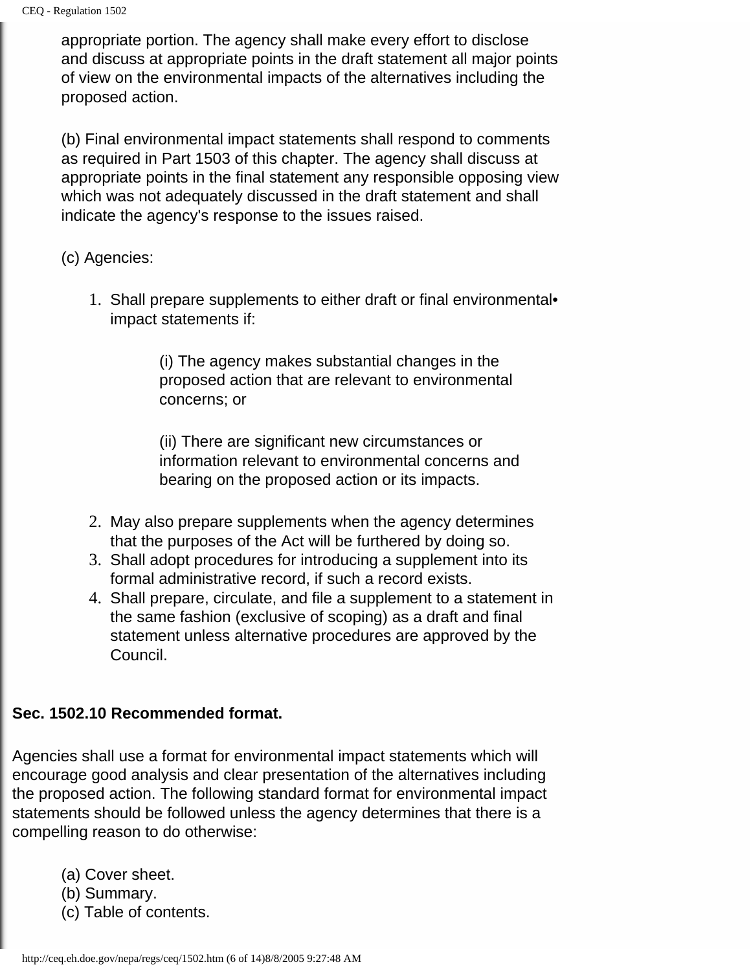appropriate portion. The agency shall make every effort to disclose and discuss at appropriate points in the draft statement all major points of view on the environmental impacts of the alternatives including the proposed action.

(b) Final environmental impact statements shall respond to comments as required in Part 1503 of this chapter. The agency shall discuss at appropriate points in the final statement any responsible opposing view which was not adequately discussed in the draft statement and shall indicate the agency's response to the issues raised.

### (c) Agencies:

1. Shall prepare supplements to either draft or final environmental. impact statements if:

> (i) The agency makes substantial changes in the proposed action that are relevant to environmental concerns; or

(ii) There are significant new circumstances or information relevant to environmental concerns and bearing on the proposed action or its impacts.

- 2. May also prepare supplements when the agency determines that the purposes of the Act will be furthered by doing so.
- 3. Shall adopt procedures for introducing a supplement into its formal administrative record, if such a record exists.
- 4. Shall prepare, circulate, and file a supplement to a statement in the same fashion (exclusive of scoping) as a draft and final statement unless alternative procedures are approved by the Council.

## <span id="page-23-0"></span>**Sec. 1502.10 Recommended format.**

Agencies shall use a format for environmental impact statements which will encourage good analysis and clear presentation of the alternatives including the proposed action. The following standard format for environmental impact statements should be followed unless the agency determines that there is a compelling reason to do otherwise:

- (a) Cover sheet.
- (b) Summary.
- (c) Table of contents.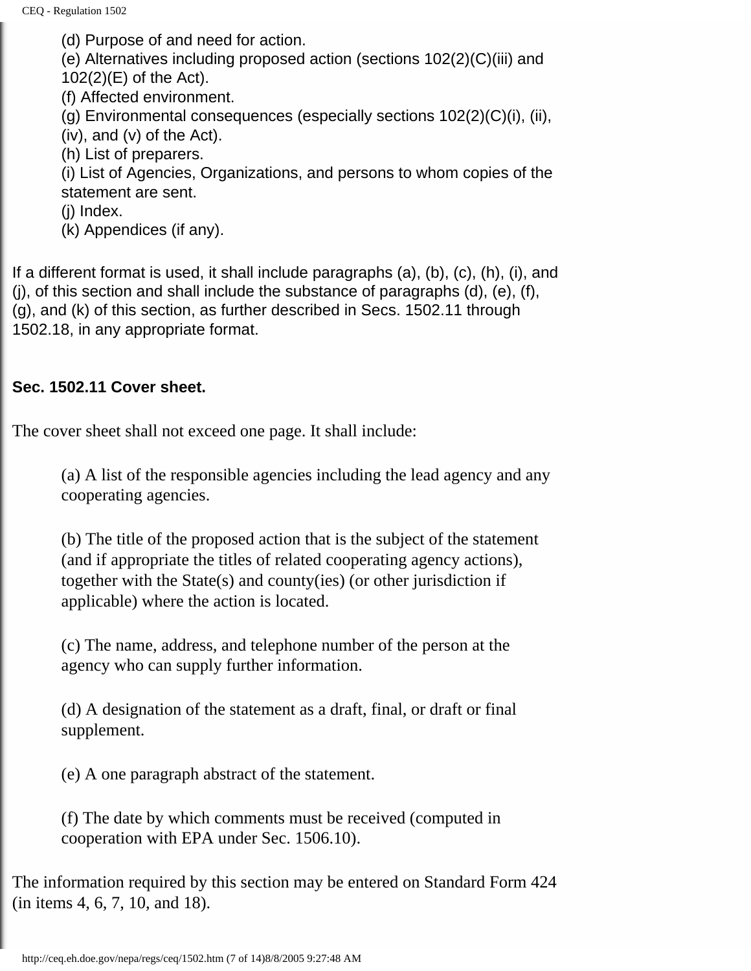(d) Purpose of and need for action.

(e) Alternatives including proposed action (sections 102(2)(C)(iii) and 102(2)(E) of the Act).

(f) Affected environment.

(g) Environmental consequences (especially sections 102(2)(C)(i), (ii),

(iv), and (v) of the Act).

(h) List of preparers.

(i) List of Agencies, Organizations, and persons to whom copies of the statement are sent.

(j) Index.

(k) Appendices (if any).

If a different format is used, it shall include paragraphs (a), (b), (c), (h), (i), and  $(i)$ , of this section and shall include the substance of paragraphs  $(d)$ ,  $(e)$ ,  $(f)$ , (g), and (k) of this section, as further described in Secs. 1502.11 through 1502.18, in any appropriate format.

## <span id="page-24-0"></span>**Sec. 1502.11 Cover sheet.**

The cover sheet shall not exceed one page. It shall include:

(a) A list of the responsible agencies including the lead agency and any cooperating agencies.

(b) The title of the proposed action that is the subject of the statement (and if appropriate the titles of related cooperating agency actions), together with the State(s) and county(ies) (or other jurisdiction if applicable) where the action is located.

(c) The name, address, and telephone number of the person at the agency who can supply further information.

(d) A designation of the statement as a draft, final, or draft or final supplement.

(e) A one paragraph abstract of the statement.

(f) The date by which comments must be received (computed in cooperation with EPA under Sec. 1506.10).

The information required by this section may be entered on Standard Form 424 (in items 4, 6, 7, 10, and 18).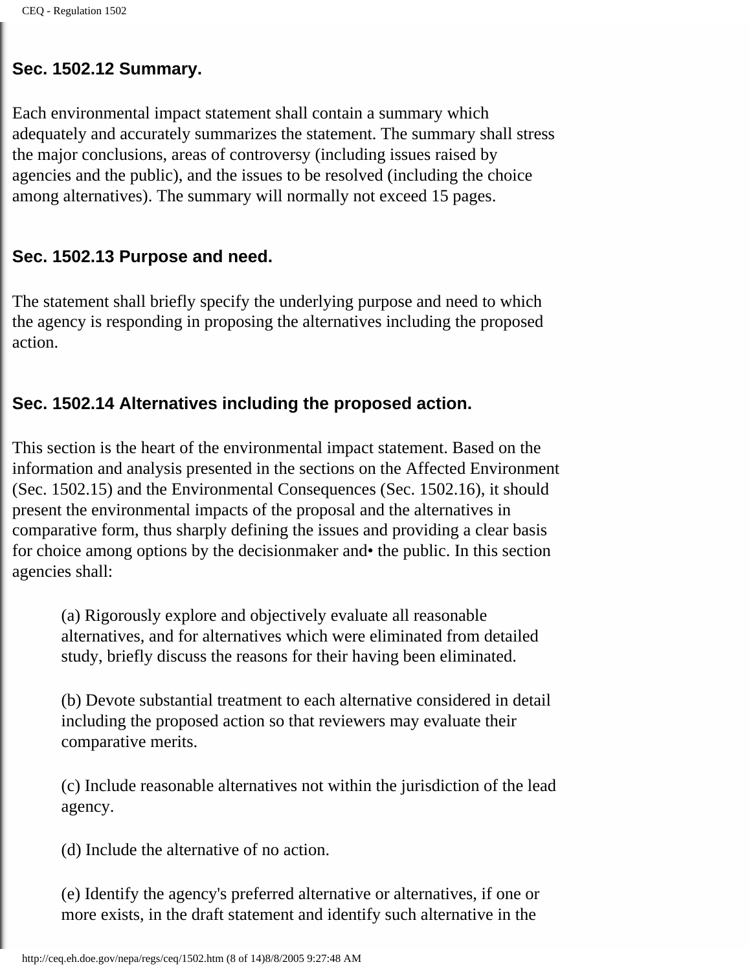# <span id="page-25-0"></span>**Sec. 1502.12 Summary.**

Each environmental impact statement shall contain a summary which adequately and accurately summarizes the statement. The summary shall stress the major conclusions, areas of controversy (including issues raised by agencies and the public), and the issues to be resolved (including the choice among alternatives). The summary will normally not exceed 15 pages.

# <span id="page-25-1"></span>**Sec. 1502.13 Purpose and need.**

The statement shall briefly specify the underlying purpose and need to which the agency is responding in proposing the alternatives including the proposed action.

# <span id="page-25-2"></span>**Sec. 1502.14 Alternatives including the proposed action.**

This section is the heart of the environmental impact statement. Based on the information and analysis presented in the sections on the Affected Environment (Sec. 1502.15) and the Environmental Consequences (Sec. 1502.16), it should present the environmental impacts of the proposal and the alternatives in comparative form, thus sharply defining the issues and providing a clear basis for choice among options by the decisionmaker and• the public. In this section agencies shall:

(a) Rigorously explore and objectively evaluate all reasonable alternatives, and for alternatives which were eliminated from detailed study, briefly discuss the reasons for their having been eliminated.

(b) Devote substantial treatment to each alternative considered in detail including the proposed action so that reviewers may evaluate their comparative merits.

(c) Include reasonable alternatives not within the jurisdiction of the lead agency.

(d) Include the alternative of no action.

(e) Identify the agency's preferred alternative or alternatives, if one or more exists, in the draft statement and identify such alternative in the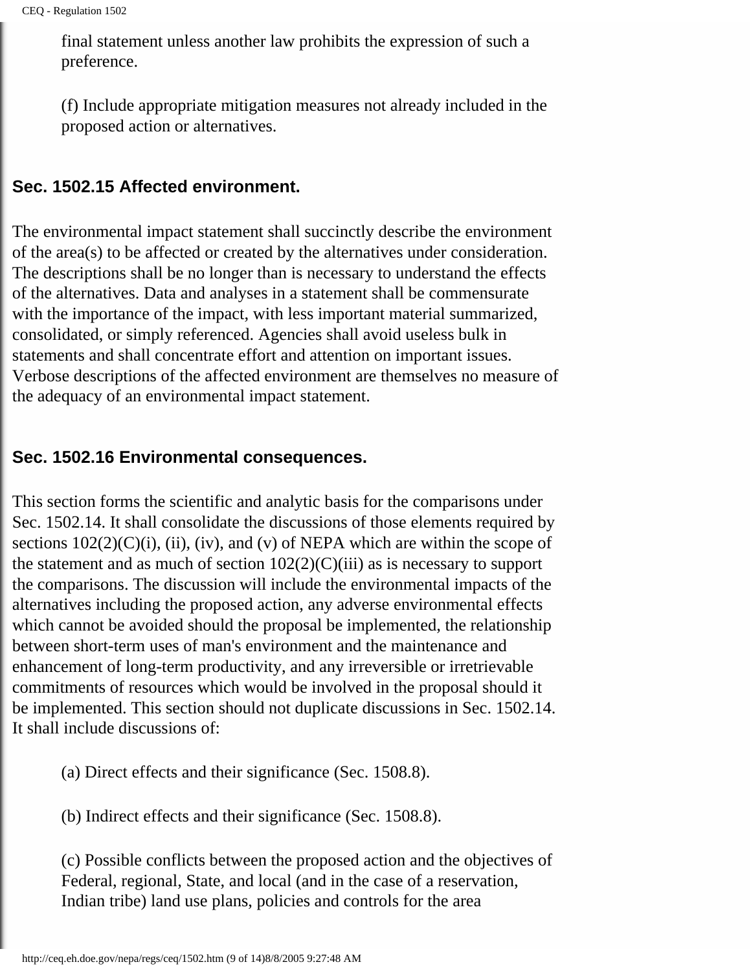final statement unless another law prohibits the expression of such a preference.

(f) Include appropriate mitigation measures not already included in the proposed action or alternatives.

# <span id="page-26-0"></span>**Sec. 1502.15 Affected environment.**

The environmental impact statement shall succinctly describe the environment of the area(s) to be affected or created by the alternatives under consideration. The descriptions shall be no longer than is necessary to understand the effects of the alternatives. Data and analyses in a statement shall be commensurate with the importance of the impact, with less important material summarized, consolidated, or simply referenced. Agencies shall avoid useless bulk in statements and shall concentrate effort and attention on important issues. Verbose descriptions of the affected environment are themselves no measure of the adequacy of an environmental impact statement.

# <span id="page-26-1"></span>**Sec. 1502.16 Environmental consequences.**

This section forms the scientific and analytic basis for the comparisons under Sec. 1502.14. It shall consolidate the discussions of those elements required by sections  $102(2)(C)(i)$ , (ii), (iv), and (v) of NEPA which are within the scope of the statement and as much of section  $102(2)(C)(iii)$  as is necessary to support the comparisons. The discussion will include the environmental impacts of the alternatives including the proposed action, any adverse environmental effects which cannot be avoided should the proposal be implemented, the relationship between short-term uses of man's environment and the maintenance and enhancement of long-term productivity, and any irreversible or irretrievable commitments of resources which would be involved in the proposal should it be implemented. This section should not duplicate discussions in Sec. 1502.14. It shall include discussions of:

(a) Direct effects and their significance (Sec. 1508.8).

(b) Indirect effects and their significance (Sec. 1508.8).

(c) Possible conflicts between the proposed action and the objectives of Federal, regional, State, and local (and in the case of a reservation, Indian tribe) land use plans, policies and controls for the area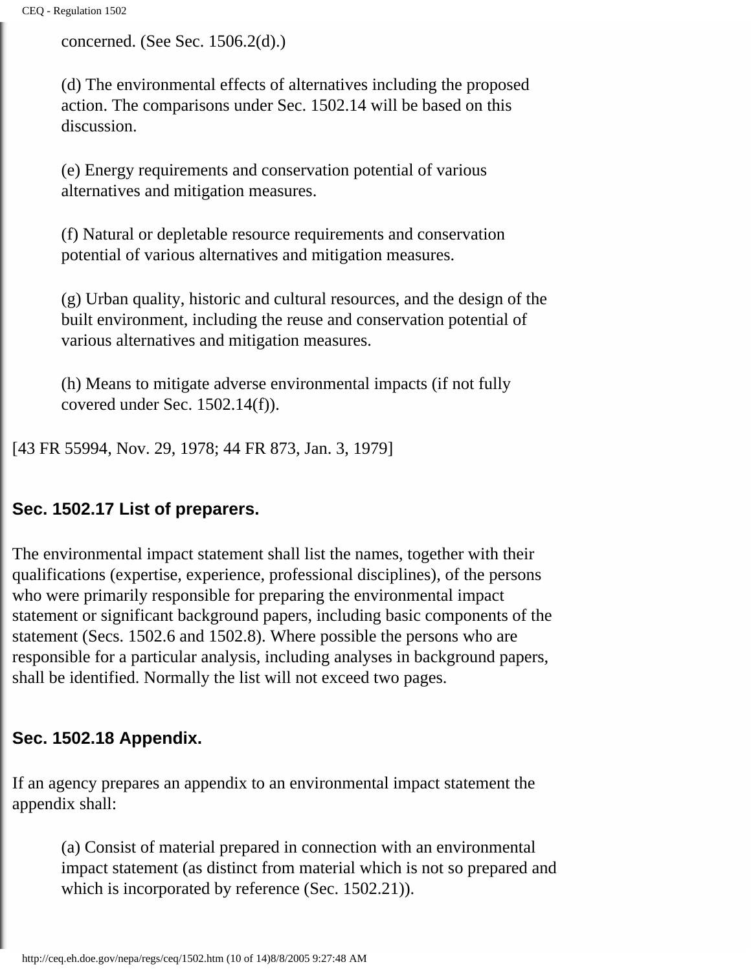concerned. (See Sec. 1506.2(d).)

(d) The environmental effects of alternatives including the proposed action. The comparisons under Sec. 1502.14 will be based on this discussion.

(e) Energy requirements and conservation potential of various alternatives and mitigation measures.

(f) Natural or depletable resource requirements and conservation potential of various alternatives and mitigation measures.

(g) Urban quality, historic and cultural resources, and the design of the built environment, including the reuse and conservation potential of various alternatives and mitigation measures.

(h) Means to mitigate adverse environmental impacts (if not fully covered under Sec. 1502.14(f)).

[43 FR 55994, Nov. 29, 1978; 44 FR 873, Jan. 3, 1979]

## <span id="page-27-0"></span>**Sec. 1502.17 List of preparers.**

The environmental impact statement shall list the names, together with their qualifications (expertise, experience, professional disciplines), of the persons who were primarily responsible for preparing the environmental impact statement or significant background papers, including basic components of the statement (Secs. 1502.6 and 1502.8). Where possible the persons who are responsible for a particular analysis, including analyses in background papers, shall be identified. Normally the list will not exceed two pages.

# <span id="page-27-1"></span>**Sec. 1502.18 Appendix.**

If an agency prepares an appendix to an environmental impact statement the appendix shall:

(a) Consist of material prepared in connection with an environmental impact statement (as distinct from material which is not so prepared and which is incorporated by reference (Sec. 1502.21)).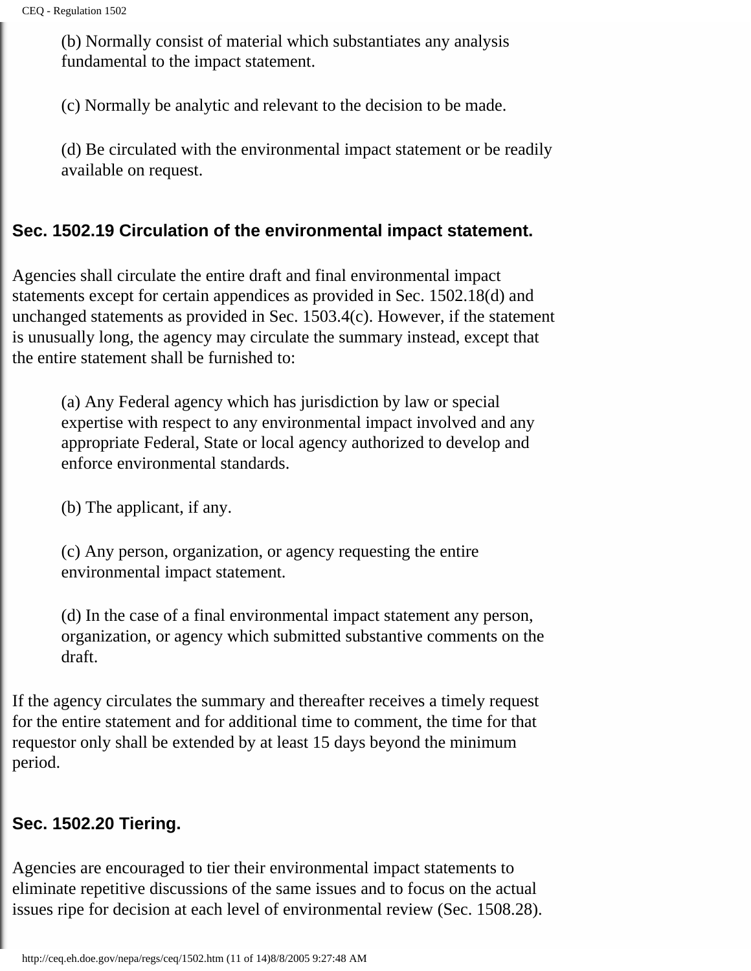(b) Normally consist of material which substantiates any analysis fundamental to the impact statement.

(c) Normally be analytic and relevant to the decision to be made.

(d) Be circulated with the environmental impact statement or be readily available on request.

# <span id="page-28-0"></span>**Sec. 1502.19 Circulation of the environmental impact statement.**

Agencies shall circulate the entire draft and final environmental impact statements except for certain appendices as provided in Sec. 1502.18(d) and unchanged statements as provided in Sec. 1503.4(c). However, if the statement is unusually long, the agency may circulate the summary instead, except that the entire statement shall be furnished to:

(a) Any Federal agency which has jurisdiction by law or special expertise with respect to any environmental impact involved and any appropriate Federal, State or local agency authorized to develop and enforce environmental standards.

(b) The applicant, if any.

(c) Any person, organization, or agency requesting the entire environmental impact statement.

(d) In the case of a final environmental impact statement any person, organization, or agency which submitted substantive comments on the draft.

If the agency circulates the summary and thereafter receives a timely request for the entire statement and for additional time to comment, the time for that requestor only shall be extended by at least 15 days beyond the minimum period.

# <span id="page-28-1"></span>**Sec. 1502.20 Tiering.**

Agencies are encouraged to tier their environmental impact statements to eliminate repetitive discussions of the same issues and to focus on the actual issues ripe for decision at each level of environmental review (Sec. 1508.28).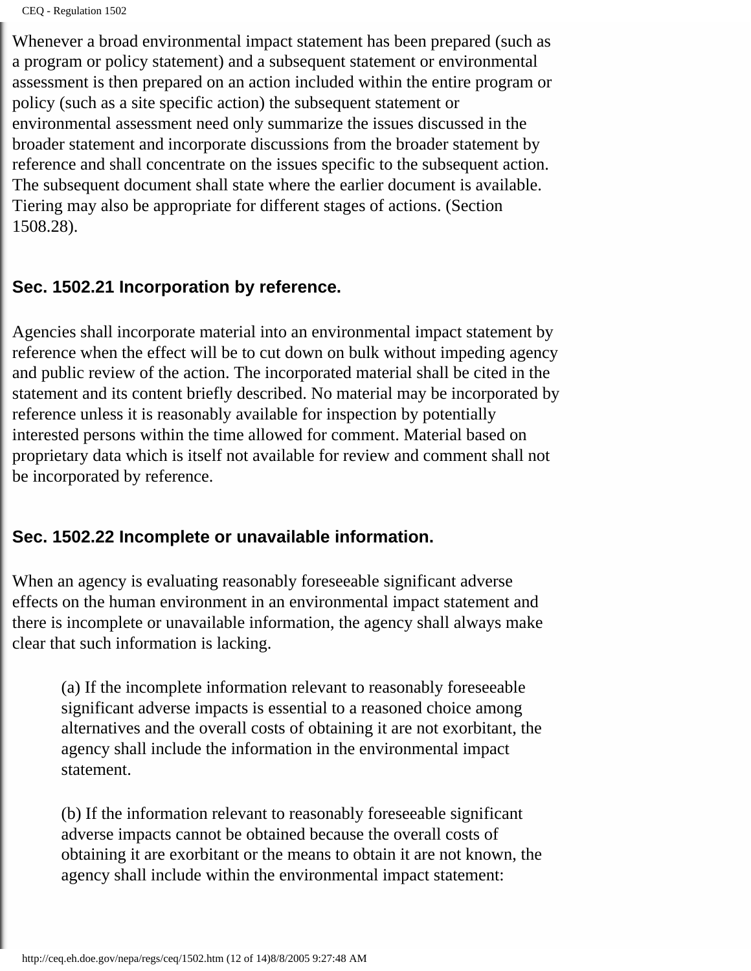```
CEQ - Regulation 1502
```
Whenever a broad environmental impact statement has been prepared (such as a program or policy statement) and a subsequent statement or environmental assessment is then prepared on an action included within the entire program or policy (such as a site specific action) the subsequent statement or environmental assessment need only summarize the issues discussed in the broader statement and incorporate discussions from the broader statement by reference and shall concentrate on the issues specific to the subsequent action. The subsequent document shall state where the earlier document is available. Tiering may also be appropriate for different stages of actions. (Section 1508.28).

# <span id="page-29-0"></span>**Sec. 1502.21 Incorporation by reference.**

Agencies shall incorporate material into an environmental impact statement by reference when the effect will be to cut down on bulk without impeding agency and public review of the action. The incorporated material shall be cited in the statement and its content briefly described. No material may be incorporated by reference unless it is reasonably available for inspection by potentially interested persons within the time allowed for comment. Material based on proprietary data which is itself not available for review and comment shall not be incorporated by reference.

# <span id="page-29-1"></span>**Sec. 1502.22 Incomplete or unavailable information.**

When an agency is evaluating reasonably foreseeable significant adverse effects on the human environment in an environmental impact statement and there is incomplete or unavailable information, the agency shall always make clear that such information is lacking.

(a) If the incomplete information relevant to reasonably foreseeable significant adverse impacts is essential to a reasoned choice among alternatives and the overall costs of obtaining it are not exorbitant, the agency shall include the information in the environmental impact statement.

(b) If the information relevant to reasonably foreseeable significant adverse impacts cannot be obtained because the overall costs of obtaining it are exorbitant or the means to obtain it are not known, the agency shall include within the environmental impact statement: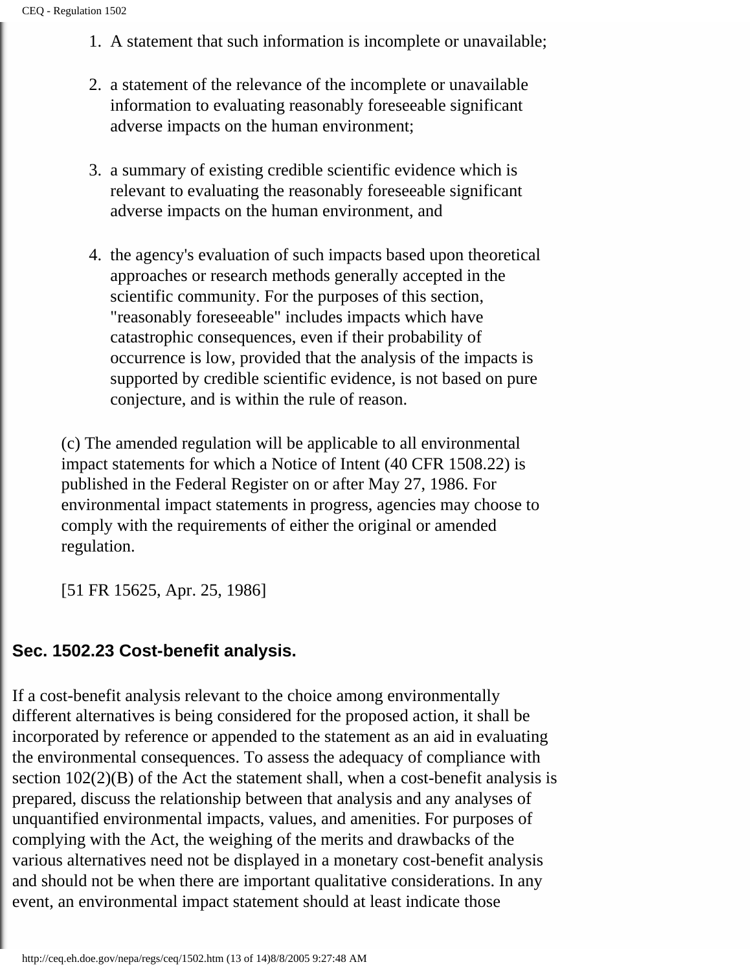- 1. A statement that such information is incomplete or unavailable;
- 2. a statement of the relevance of the incomplete or unavailable information to evaluating reasonably foreseeable significant adverse impacts on the human environment;
- 3. a summary of existing credible scientific evidence which is relevant to evaluating the reasonably foreseeable significant adverse impacts on the human environment, and
- 4. the agency's evaluation of such impacts based upon theoretical approaches or research methods generally accepted in the scientific community. For the purposes of this section, "reasonably foreseeable" includes impacts which have catastrophic consequences, even if their probability of occurrence is low, provided that the analysis of the impacts is supported by credible scientific evidence, is not based on pure conjecture, and is within the rule of reason.

(c) The amended regulation will be applicable to all environmental impact statements for which a Notice of Intent (40 CFR 1508.22) is published in the Federal Register on or after May 27, 1986. For environmental impact statements in progress, agencies may choose to comply with the requirements of either the original or amended regulation.

[51 FR 15625, Apr. 25, 1986]

# <span id="page-30-0"></span>**Sec. 1502.23 Cost-benefit analysis.**

If a cost-benefit analysis relevant to the choice among environmentally different alternatives is being considered for the proposed action, it shall be incorporated by reference or appended to the statement as an aid in evaluating the environmental consequences. To assess the adequacy of compliance with section 102(2)(B) of the Act the statement shall, when a cost-benefit analysis is prepared, discuss the relationship between that analysis and any analyses of unquantified environmental impacts, values, and amenities. For purposes of complying with the Act, the weighing of the merits and drawbacks of the various alternatives need not be displayed in a monetary cost-benefit analysis and should not be when there are important qualitative considerations. In any event, an environmental impact statement should at least indicate those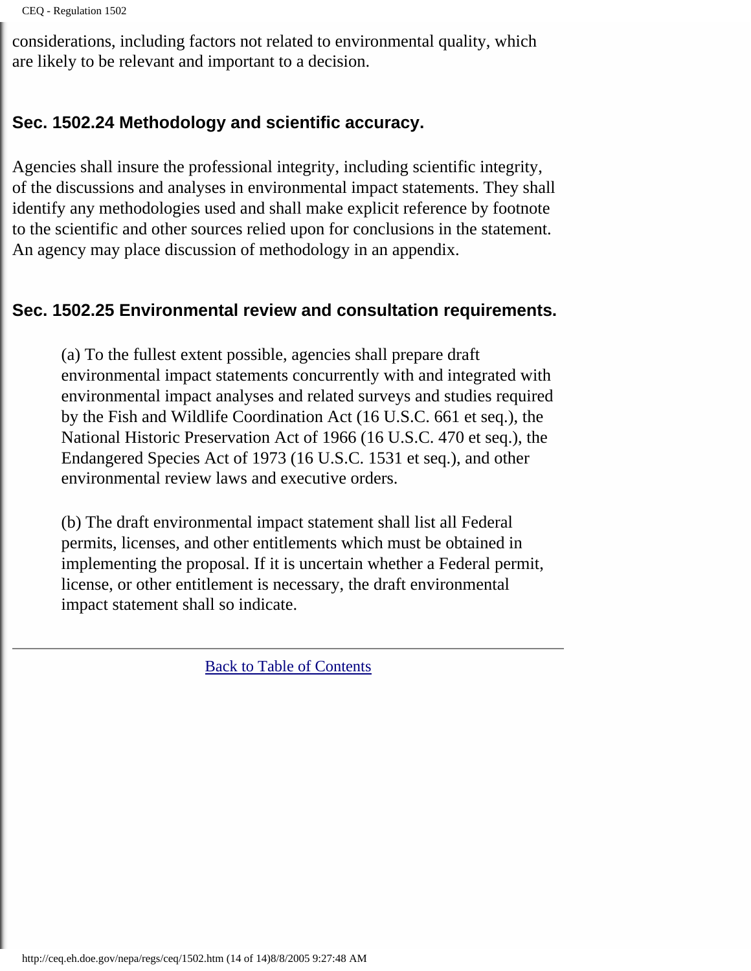```
CEQ - Regulation 1502
```
considerations, including factors not related to environmental quality, which are likely to be relevant and important to a decision.

# <span id="page-31-0"></span>**Sec. 1502.24 Methodology and scientific accuracy.**

Agencies shall insure the professional integrity, including scientific integrity, of the discussions and analyses in environmental impact statements. They shall identify any methodologies used and shall make explicit reference by footnote to the scientific and other sources relied upon for conclusions in the statement. An agency may place discussion of methodology in an appendix.

# <span id="page-31-1"></span>**Sec. 1502.25 Environmental review and consultation requirements.**

(a) To the fullest extent possible, agencies shall prepare draft environmental impact statements concurrently with and integrated with environmental impact analyses and related surveys and studies required by the Fish and Wildlife Coordination Act (16 U.S.C. 661 et seq.), the National Historic Preservation Act of 1966 (16 U.S.C. 470 et seq.), the Endangered Species Act of 1973 (16 U.S.C. 1531 et seq.), and other environmental review laws and executive orders.

(b) The draft environmental impact statement shall list all Federal permits, licenses, and other entitlements which must be obtained in implementing the proposal. If it is uncertain whether a Federal permit, license, or other entitlement is necessary, the draft environmental impact statement shall so indicate.

[Back to Table of Contents](#page-0-0)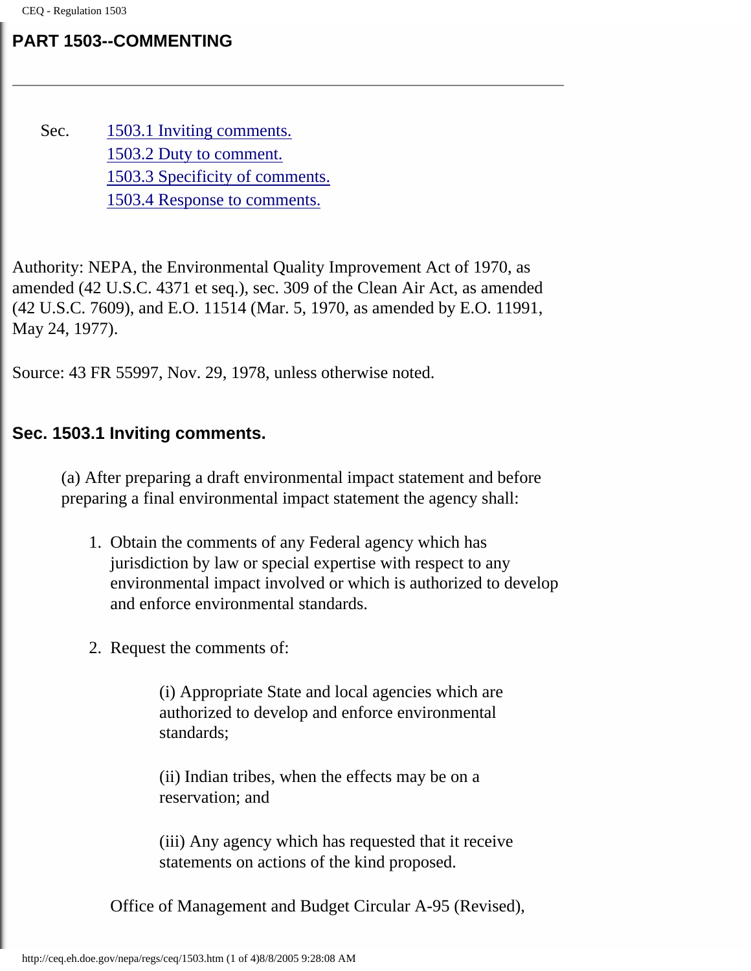# <span id="page-32-0"></span>**PART 1503--COMMENTING**

Sec. 1503.1 Inviting comments. 1503.2 Duty to comment. 1503.3 Specificity of comments. 1503.4 Response to comments.

Authority: NEPA, the Environmental Quality Improvement Act of 1970, as amended (42 U.S.C. 4371 et seq.), sec. 309 of the Clean Air Act, as amended (42 U.S.C. 7609), and E.O. 11514 (Mar. 5, 1970, as amended by E.O. 11991, May 24, 1977).

Source: 43 FR 55997, Nov. 29, 1978, unless otherwise noted.

# **Sec. 1503.1 Inviting comments.**

(a) After preparing a draft environmental impact statement and before preparing a final environmental impact statement the agency shall:

- 1. Obtain the comments of any Federal agency which has jurisdiction by law or special expertise with respect to any environmental impact involved or which is authorized to develop and enforce environmental standards.
- 2. Request the comments of:

(i) Appropriate State and local agencies which are authorized to develop and enforce environmental standards;

(ii) Indian tribes, when the effects may be on a reservation; and

(iii) Any agency which has requested that it receive statements on actions of the kind proposed.

Office of Management and Budget Circular A-95 (Revised),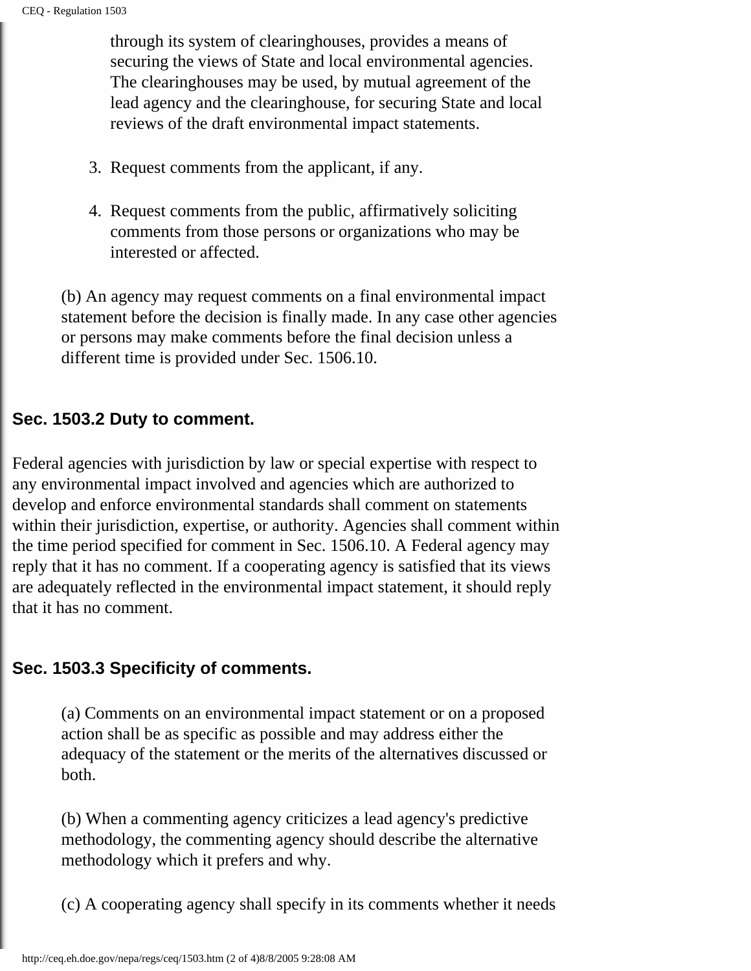through its system of clearinghouses, provides a means of securing the views of State and local environmental agencies. The clearinghouses may be used, by mutual agreement of the lead agency and the clearinghouse, for securing State and local reviews of the draft environmental impact statements.

- 3. Request comments from the applicant, if any.
- 4. Request comments from the public, affirmatively soliciting comments from those persons or organizations who may be interested or affected.

(b) An agency may request comments on a final environmental impact statement before the decision is finally made. In any case other agencies or persons may make comments before the final decision unless a different time is provided under Sec. 1506.10.

## **Sec. 1503.2 Duty to comment.**

Federal agencies with jurisdiction by law or special expertise with respect to any environmental impact involved and agencies which are authorized to develop and enforce environmental standards shall comment on statements within their jurisdiction, expertise, or authority. Agencies shall comment within the time period specified for comment in Sec. 1506.10. A Federal agency may reply that it has no comment. If a cooperating agency is satisfied that its views are adequately reflected in the environmental impact statement, it should reply that it has no comment.

## **Sec. 1503.3 Specificity of comments.**

(a) Comments on an environmental impact statement or on a proposed action shall be as specific as possible and may address either the adequacy of the statement or the merits of the alternatives discussed or both.

(b) When a commenting agency criticizes a lead agency's predictive methodology, the commenting agency should describe the alternative methodology which it prefers and why.

(c) A cooperating agency shall specify in its comments whether it needs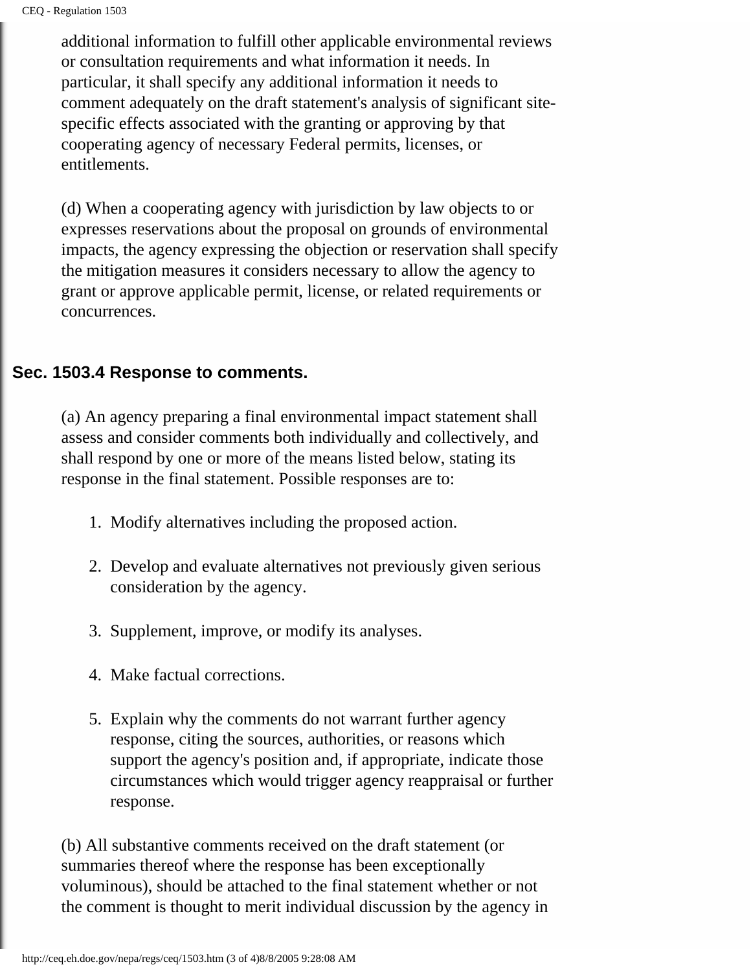additional information to fulfill other applicable environmental reviews or consultation requirements and what information it needs. In particular, it shall specify any additional information it needs to comment adequately on the draft statement's analysis of significant sitespecific effects associated with the granting or approving by that cooperating agency of necessary Federal permits, licenses, or entitlements.

(d) When a cooperating agency with jurisdiction by law objects to or expresses reservations about the proposal on grounds of environmental impacts, the agency expressing the objection or reservation shall specify the mitigation measures it considers necessary to allow the agency to grant or approve applicable permit, license, or related requirements or concurrences.

## **Sec. 1503.4 Response to comments.**

(a) An agency preparing a final environmental impact statement shall assess and consider comments both individually and collectively, and shall respond by one or more of the means listed below, stating its response in the final statement. Possible responses are to:

- 1. Modify alternatives including the proposed action.
- 2. Develop and evaluate alternatives not previously given serious consideration by the agency.
- 3. Supplement, improve, or modify its analyses.
- 4. Make factual corrections.
- 5. Explain why the comments do not warrant further agency response, citing the sources, authorities, or reasons which support the agency's position and, if appropriate, indicate those circumstances which would trigger agency reappraisal or further response.

(b) All substantive comments received on the draft statement (or summaries thereof where the response has been exceptionally voluminous), should be attached to the final statement whether or not the comment is thought to merit individual discussion by the agency in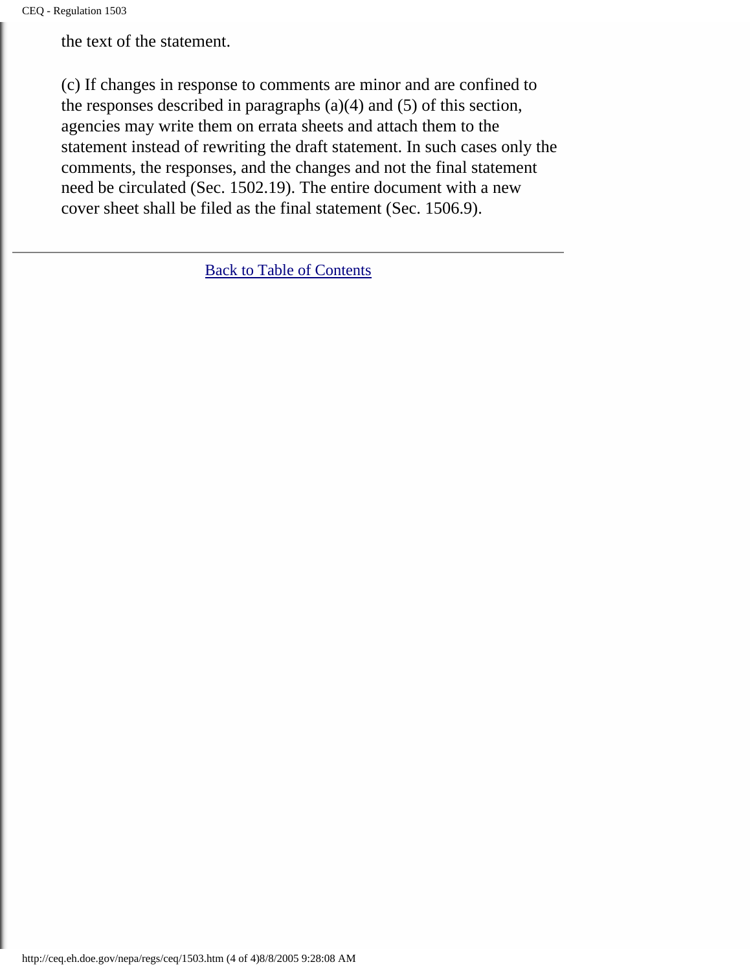the text of the statement.

(c) If changes in response to comments are minor and are confined to the responses described in paragraphs (a)(4) and (5) of this section, agencies may write them on errata sheets and attach them to the statement instead of rewriting the draft statement. In such cases only the comments, the responses, and the changes and not the final statement need be circulated (Sec. 1502.19). The entire document with a new cover sheet shall be filed as the final statement (Sec. 1506.9).

[Back to Table of Contents](#page-0-0)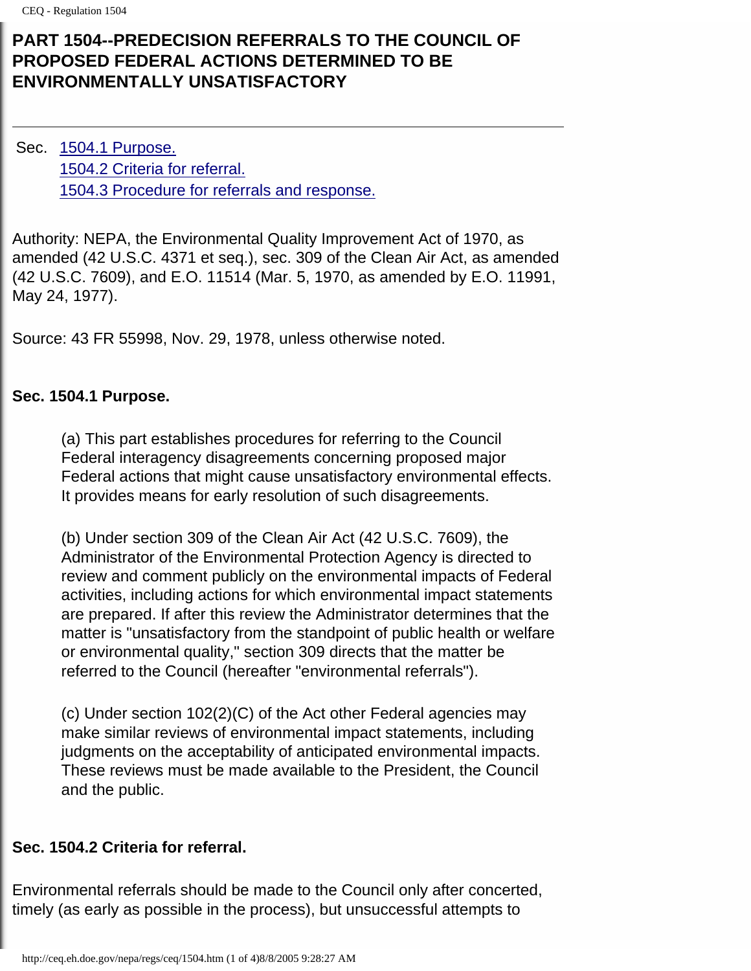# <span id="page-36-0"></span>**PART 1504--PREDECISION REFERRALS TO THE COUNCIL OF PROPOSED FEDERAL ACTIONS DETERMINED TO BE ENVIRONMENTALLY UNSATISFACTORY**

Sec. [1504.1 Purpose.](#page-36-1) [1504.2 Criteria for referral.](#page-36-2) [1504.3 Procedure for referrals and response.](#page-37-0)

Authority: NEPA, the Environmental Quality Improvement Act of 1970, as amended (42 U.S.C. 4371 et seq.), sec. 309 of the Clean Air Act, as amended (42 U.S.C. 7609), and E.O. 11514 (Mar. 5, 1970, as amended by E.O. 11991, May 24, 1977).

Source: 43 FR 55998, Nov. 29, 1978, unless otherwise noted.

## <span id="page-36-1"></span>**Sec. 1504.1 Purpose.**

(a) This part establishes procedures for referring to the Council Federal interagency disagreements concerning proposed major Federal actions that might cause unsatisfactory environmental effects. It provides means for early resolution of such disagreements.

(b) Under section 309 of the Clean Air Act (42 U.S.C. 7609), the Administrator of the Environmental Protection Agency is directed to review and comment publicly on the environmental impacts of Federal activities, including actions for which environmental impact statements are prepared. If after this review the Administrator determines that the matter is "unsatisfactory from the standpoint of public health or welfare or environmental quality," section 309 directs that the matter be referred to the Council (hereafter "environmental referrals").

(c) Under section 102(2)(C) of the Act other Federal agencies may make similar reviews of environmental impact statements, including judgments on the acceptability of anticipated environmental impacts. These reviews must be made available to the President, the Council and the public.

# <span id="page-36-2"></span>**Sec. 1504.2 Criteria for referral.**

Environmental referrals should be made to the Council only after concerted, timely (as early as possible in the process), but unsuccessful attempts to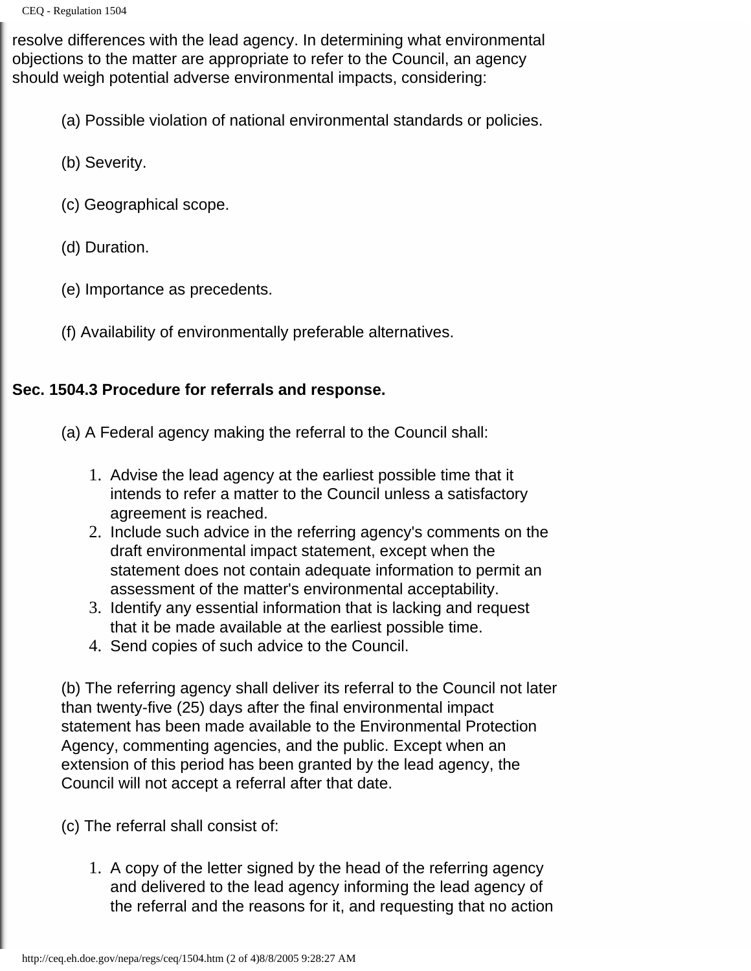resolve differences with the lead agency. In determining what environmental objections to the matter are appropriate to refer to the Council, an agency should weigh potential adverse environmental impacts, considering:

(a) Possible violation of national environmental standards or policies.

- (b) Severity.
- (c) Geographical scope.
- (d) Duration.
- (e) Importance as precedents.
- (f) Availability of environmentally preferable alternatives.

## <span id="page-37-0"></span>**Sec. 1504.3 Procedure for referrals and response.**

(a) A Federal agency making the referral to the Council shall:

- 1. Advise the lead agency at the earliest possible time that it intends to refer a matter to the Council unless a satisfactory agreement is reached.
- 2. Include such advice in the referring agency's comments on the draft environmental impact statement, except when the statement does not contain adequate information to permit an assessment of the matter's environmental acceptability.
- 3. Identify any essential information that is lacking and request that it be made available at the earliest possible time.
- 4. Send copies of such advice to the Council.

(b) The referring agency shall deliver its referral to the Council not later than twenty-five (25) days after the final environmental impact statement has been made available to the Environmental Protection Agency, commenting agencies, and the public. Except when an extension of this period has been granted by the lead agency, the Council will not accept a referral after that date.

(c) The referral shall consist of:

1. A copy of the letter signed by the head of the referring agency and delivered to the lead agency informing the lead agency of the referral and the reasons for it, and requesting that no action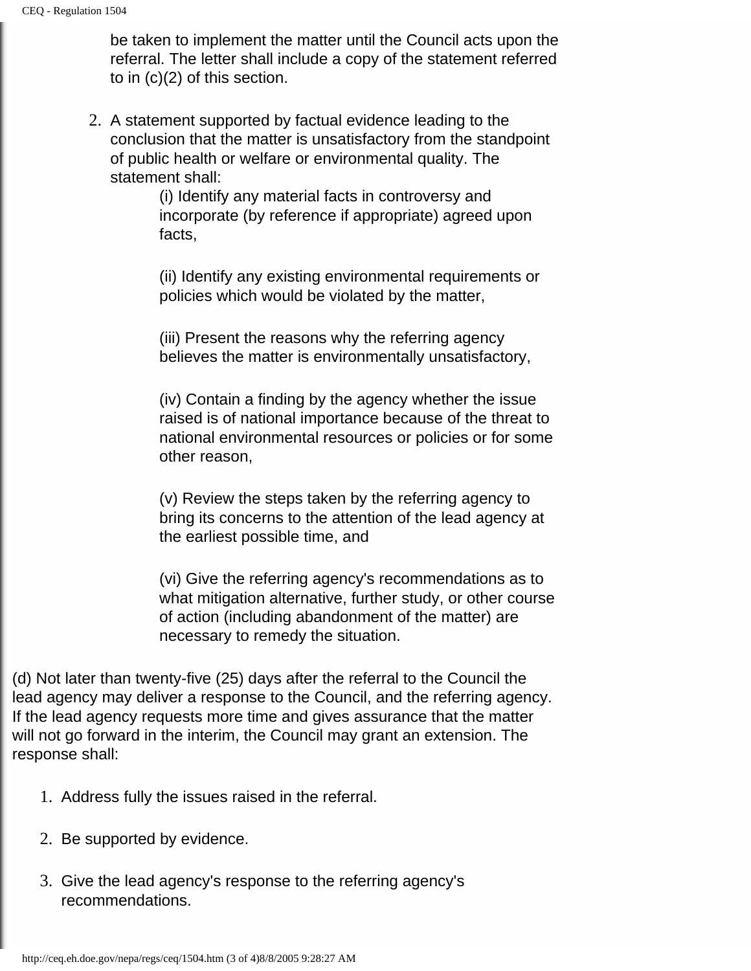be taken to implement the matter until the Council acts upon the referral. The letter shall include a copy of the statement referred to in (c)(2) of this section.

2. A statement supported by factual evidence leading to the conclusion that the matter is unsatisfactory from the standpoint of public health or welfare or environmental quality. The statement shall:

> (i) Identify any material facts in controversy and incorporate (by reference if appropriate) agreed upon facts,

(ii) Identify any existing environmental requirements or policies which would be violated by the matter,

(iii) Present the reasons why the referring agency believes the matter is environmentally unsatisfactory,

(iv) Contain a finding by the agency whether the issue raised is of national importance because of the threat to national environmental resources or policies or for some other reason,

(v) Review the steps taken by the referring agency to bring its concerns to the attention of the lead agency at the earliest possible time, and

(vi) Give the referring agency's recommendations as to what mitigation alternative, further study, or other course of action (including abandonment of the matter) are necessary to remedy the situation.

(d) Not later than twenty-five (25) days after the referral to the Council the lead agency may deliver a response to the Council, and the referring agency. If the lead agency requests more time and gives assurance that the matter will not go forward in the interim, the Council may grant an extension. The response shall:

- 1. Address fully the issues raised in the referral.
- 2. Be supported by evidence.
- 3. Give the lead agency's response to the referring agency's recommendations.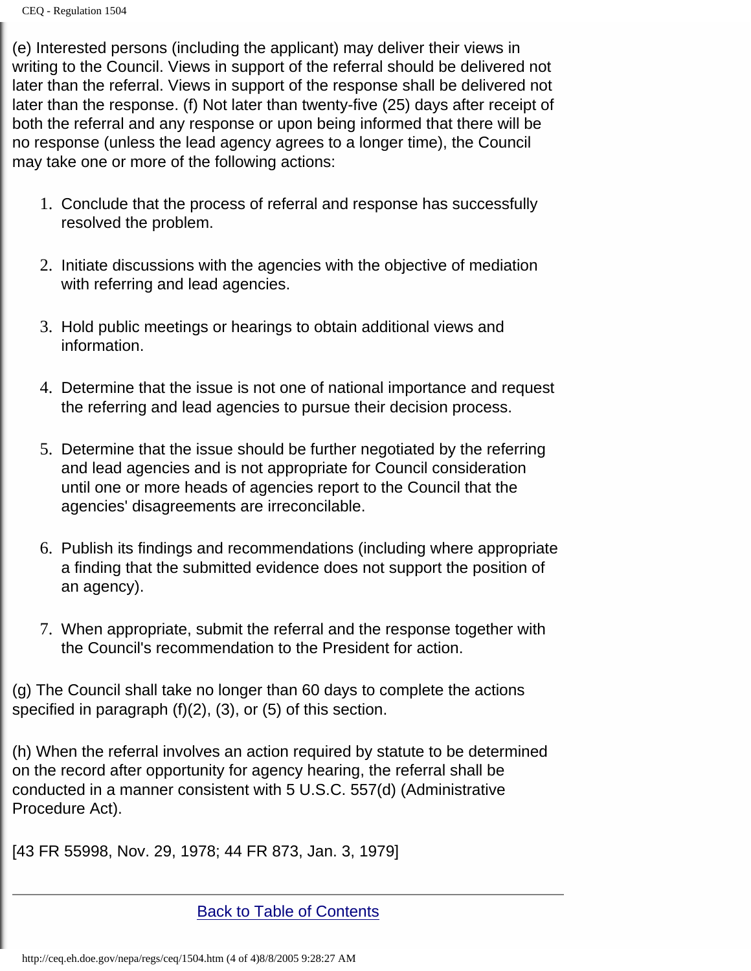(e) Interested persons (including the applicant) may deliver their views in writing to the Council. Views in support of the referral should be delivered not later than the referral. Views in support of the response shall be delivered not later than the response. (f) Not later than twenty-five (25) days after receipt of both the referral and any response or upon being informed that there will be no response (unless the lead agency agrees to a longer time), the Council may take one or more of the following actions:

- 1. Conclude that the process of referral and response has successfully resolved the problem.
- 2. Initiate discussions with the agencies with the objective of mediation with referring and lead agencies.
- 3. Hold public meetings or hearings to obtain additional views and information.
- 4. Determine that the issue is not one of national importance and request the referring and lead agencies to pursue their decision process.
- 5. Determine that the issue should be further negotiated by the referring and lead agencies and is not appropriate for Council consideration until one or more heads of agencies report to the Council that the agencies' disagreements are irreconcilable.
- 6. Publish its findings and recommendations (including where appropriate a finding that the submitted evidence does not support the position of an agency).
- 7. When appropriate, submit the referral and the response together with the Council's recommendation to the President for action.

(g) The Council shall take no longer than 60 days to complete the actions specified in paragraph (f)(2), (3), or (5) of this section.

(h) When the referral involves an action required by statute to be determined on the record after opportunity for agency hearing, the referral shall be conducted in a manner consistent with 5 U.S.C. 557(d) (Administrative Procedure Act).

[43 FR 55998, Nov. 29, 1978; 44 FR 873, Jan. 3, 1979]

[Back to Table of Contents](#page-0-0)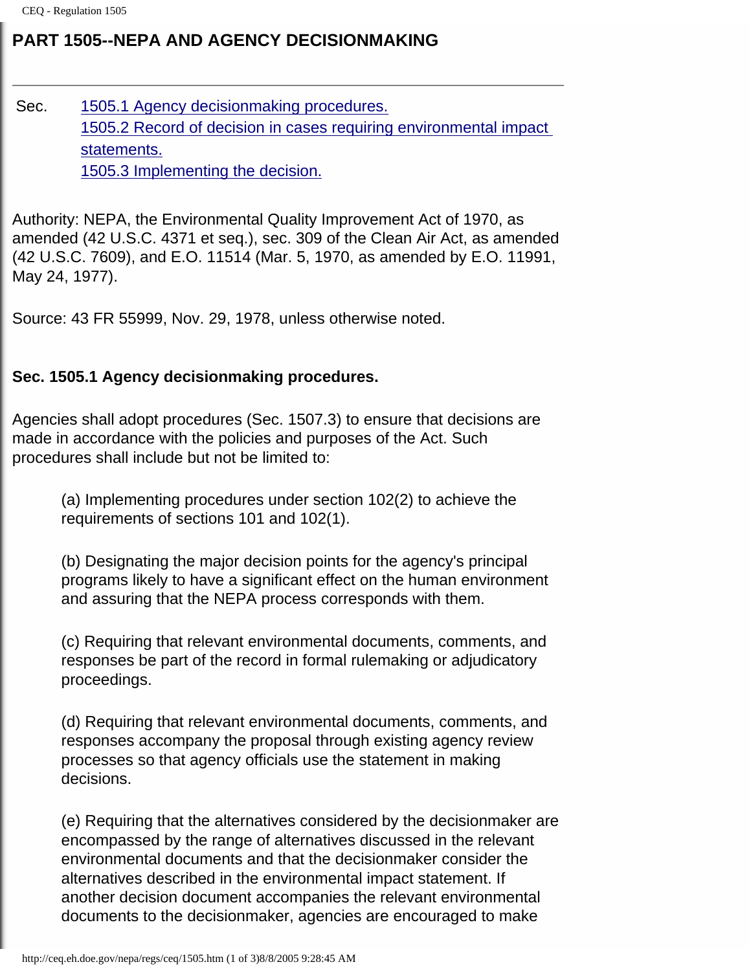# <span id="page-40-0"></span>**PART 1505--NEPA AND AGENCY DECISIONMAKING**

# Sec. 1505.1 Agency decisionmaking procedures. 1505.2 Record of decision in cases requiring environmental impact statements. 1505.3 Implementing the decision.

Authority: NEPA, the Environmental Quality Improvement Act of 1970, as amended (42 U.S.C. 4371 et seq.), sec. 309 of the Clean Air Act, as amended (42 U.S.C. 7609), and E.O. 11514 (Mar. 5, 1970, as amended by E.O. 11991, May 24, 1977).

Source: 43 FR 55999, Nov. 29, 1978, unless otherwise noted.

# **Sec. 1505.1 Agency decisionmaking procedures.**

Agencies shall adopt procedures (Sec. 1507.3) to ensure that decisions are made in accordance with the policies and purposes of the Act. Such procedures shall include but not be limited to:

(a) Implementing procedures under section 102(2) to achieve the requirements of sections 101 and 102(1).

(b) Designating the major decision points for the agency's principal programs likely to have a significant effect on the human environment and assuring that the NEPA process corresponds with them.

(c) Requiring that relevant environmental documents, comments, and responses be part of the record in formal rulemaking or adjudicatory proceedings.

(d) Requiring that relevant environmental documents, comments, and responses accompany the proposal through existing agency review processes so that agency officials use the statement in making decisions.

(e) Requiring that the alternatives considered by the decisionmaker are encompassed by the range of alternatives discussed in the relevant environmental documents and that the decisionmaker consider the alternatives described in the environmental impact statement. If another decision document accompanies the relevant environmental documents to the decisionmaker, agencies are encouraged to make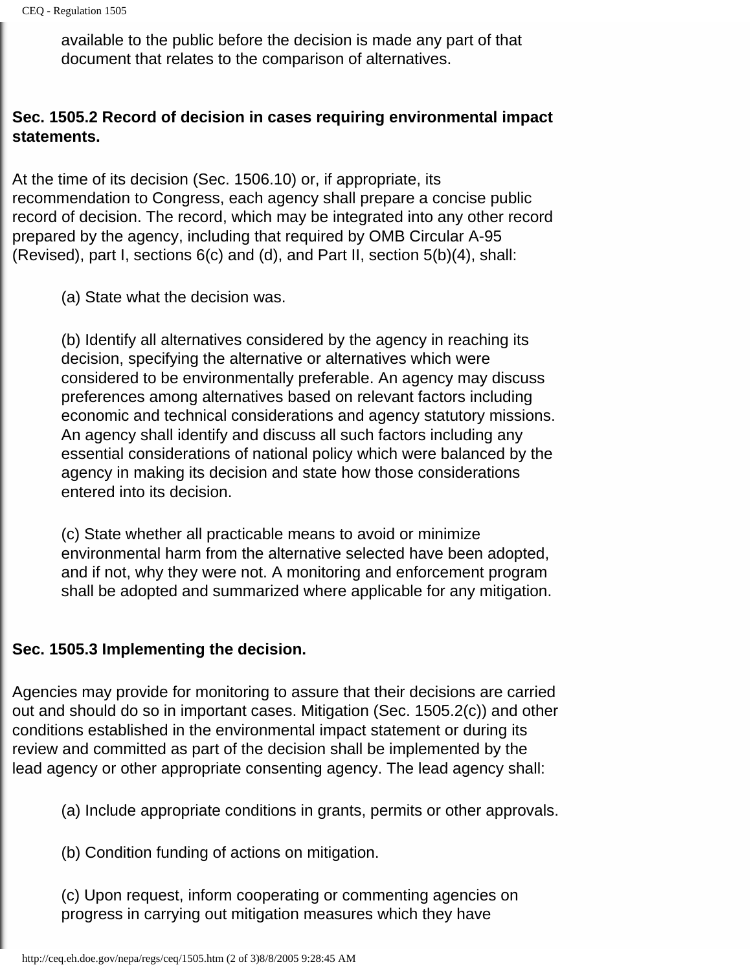available to the public before the decision is made any part of that document that relates to the comparison of alternatives.

# **Sec. 1505.2 Record of decision in cases requiring environmental impact statements.**

At the time of its decision (Sec. 1506.10) or, if appropriate, its recommendation to Congress, each agency shall prepare a concise public record of decision. The record, which may be integrated into any other record prepared by the agency, including that required by OMB Circular A-95 (Revised), part I, sections 6(c) and (d), and Part II, section 5(b)(4), shall:

(a) State what the decision was.

(b) Identify all alternatives considered by the agency in reaching its decision, specifying the alternative or alternatives which were considered to be environmentally preferable. An agency may discuss preferences among alternatives based on relevant factors including economic and technical considerations and agency statutory missions. An agency shall identify and discuss all such factors including any essential considerations of national policy which were balanced by the agency in making its decision and state how those considerations entered into its decision.

(c) State whether all practicable means to avoid or minimize environmental harm from the alternative selected have been adopted, and if not, why they were not. A monitoring and enforcement program shall be adopted and summarized where applicable for any mitigation.

### **Sec. 1505.3 Implementing the decision.**

Agencies may provide for monitoring to assure that their decisions are carried out and should do so in important cases. Mitigation (Sec. 1505.2(c)) and other conditions established in the environmental impact statement or during its review and committed as part of the decision shall be implemented by the lead agency or other appropriate consenting agency. The lead agency shall:

- (a) Include appropriate conditions in grants, permits or other approvals.
- (b) Condition funding of actions on mitigation.

(c) Upon request, inform cooperating or commenting agencies on progress in carrying out mitigation measures which they have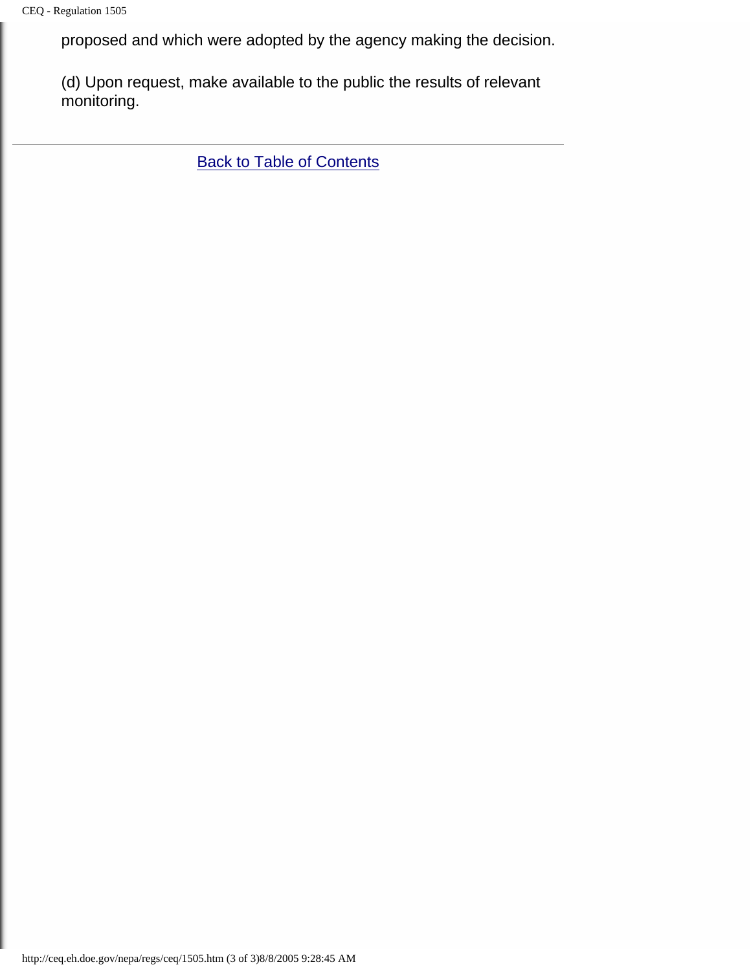proposed and which were adopted by the agency making the decision.

(d) Upon request, make available to the public the results of relevant monitoring.

[Back to Table of Contents](#page-0-0)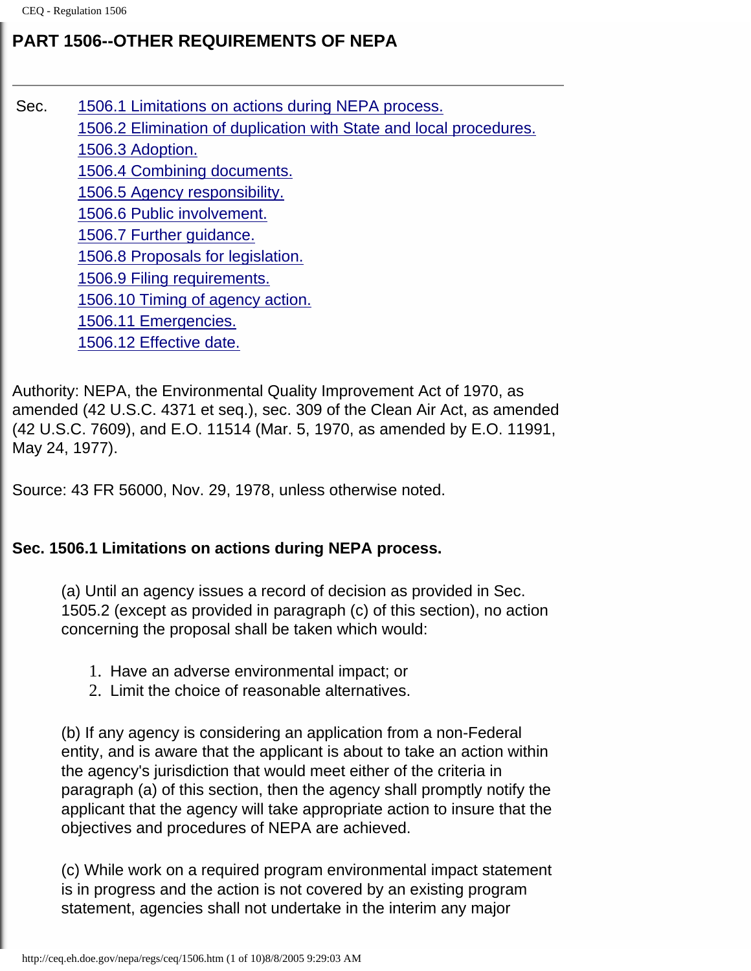# <span id="page-43-0"></span>**PART 1506--OTHER REQUIREMENTS OF NEPA**

Sec. 1506.1 Limitations on actions during NEPA process.

1506.2 Elimination of duplication with State and local procedures.

1506.3 Adoption.

1506.4 Combining documents.

1506.5 Agency responsibility.

1506.6 Public involvement.

1506.7 Further guidance.

1506.8 Proposals for legislation.

1506.9 Filing requirements.

1506.10 Timing of agency action.

1506.11 Emergencies.

1506.12 Effective date.

Authority: NEPA, the Environmental Quality Improvement Act of 1970, as amended (42 U.S.C. 4371 et seq.), sec. 309 of the Clean Air Act, as amended (42 U.S.C. 7609), and E.O. 11514 (Mar. 5, 1970, as amended by E.O. 11991, May 24, 1977).

Source: 43 FR 56000, Nov. 29, 1978, unless otherwise noted.

## **Sec. 1506.1 Limitations on actions during NEPA process.**

(a) Until an agency issues a record of decision as provided in Sec. 1505.2 (except as provided in paragraph (c) of this section), no action concerning the proposal shall be taken which would:

- 1. Have an adverse environmental impact; or
- 2. Limit the choice of reasonable alternatives.

(b) If any agency is considering an application from a non-Federal entity, and is aware that the applicant is about to take an action within the agency's jurisdiction that would meet either of the criteria in paragraph (a) of this section, then the agency shall promptly notify the applicant that the agency will take appropriate action to insure that the objectives and procedures of NEPA are achieved.

(c) While work on a required program environmental impact statement is in progress and the action is not covered by an existing program statement, agencies shall not undertake in the interim any major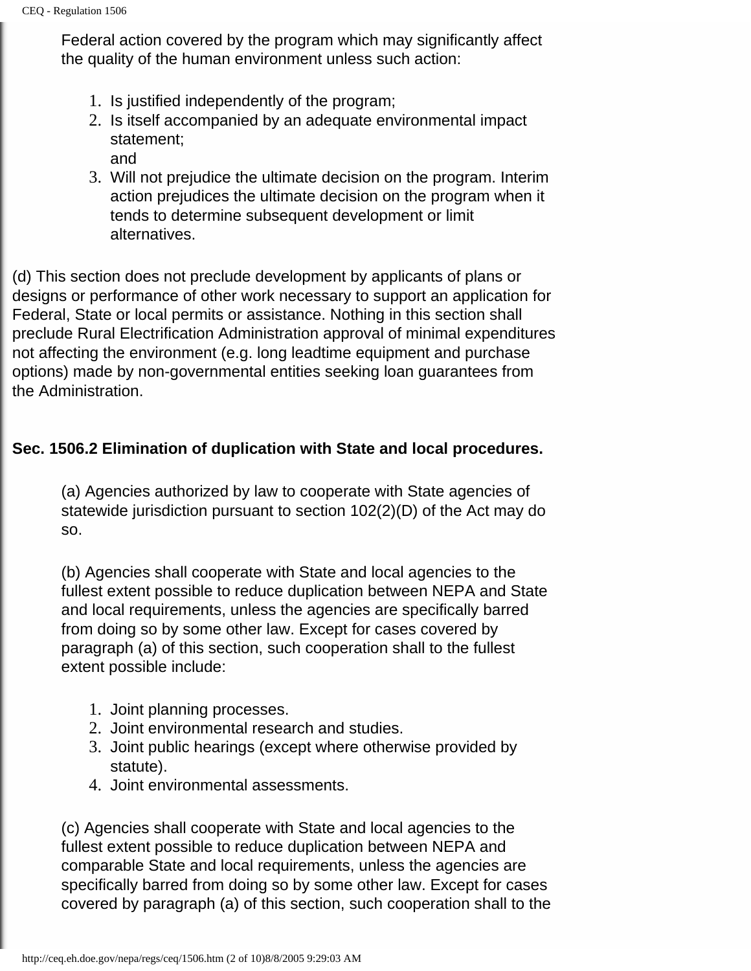Federal action covered by the program which may significantly affect the quality of the human environment unless such action:

- 1. Is justified independently of the program;
- 2. Is itself accompanied by an adequate environmental impact statement;
	- and
- 3. Will not prejudice the ultimate decision on the program. Interim action prejudices the ultimate decision on the program when it tends to determine subsequent development or limit alternatives.

(d) This section does not preclude development by applicants of plans or designs or performance of other work necessary to support an application for Federal, State or local permits or assistance. Nothing in this section shall preclude Rural Electrification Administration approval of minimal expenditures not affecting the environment (e.g. long leadtime equipment and purchase options) made by non-governmental entities seeking loan guarantees from the Administration.

## **Sec. 1506.2 Elimination of duplication with State and local procedures.**

(a) Agencies authorized by law to cooperate with State agencies of statewide jurisdiction pursuant to section 102(2)(D) of the Act may do so.

(b) Agencies shall cooperate with State and local agencies to the fullest extent possible to reduce duplication between NEPA and State and local requirements, unless the agencies are specifically barred from doing so by some other law. Except for cases covered by paragraph (a) of this section, such cooperation shall to the fullest extent possible include:

- 1. Joint planning processes.
- 2. Joint environmental research and studies.
- 3. Joint public hearings (except where otherwise provided by statute).
- 4. Joint environmental assessments.

(c) Agencies shall cooperate with State and local agencies to the fullest extent possible to reduce duplication between NEPA and comparable State and local requirements, unless the agencies are specifically barred from doing so by some other law. Except for cases covered by paragraph (a) of this section, such cooperation shall to the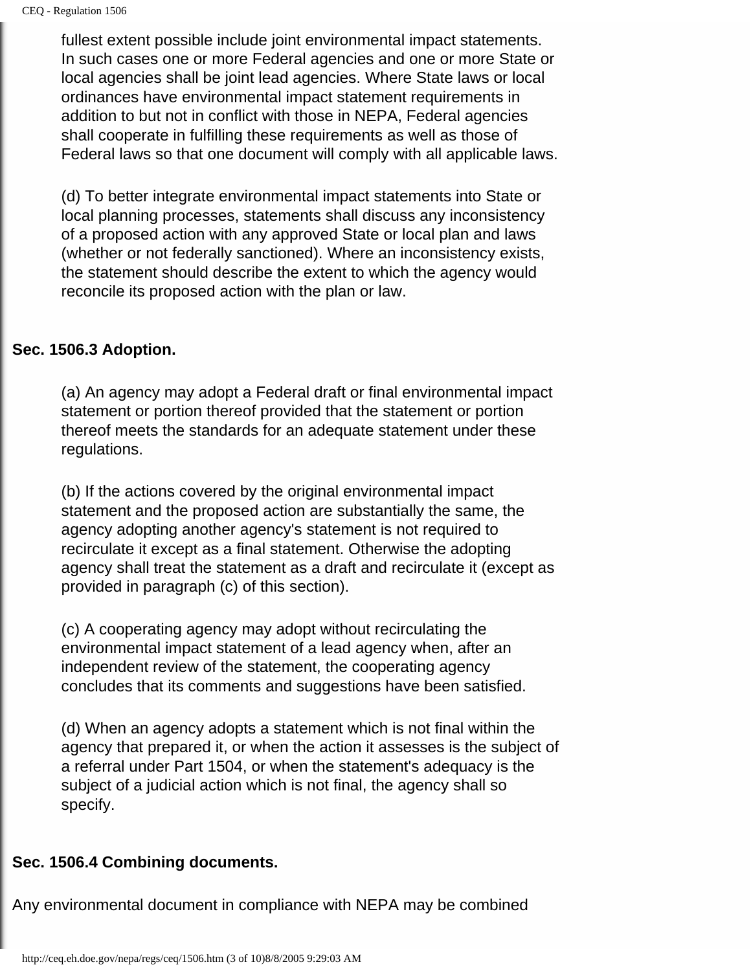fullest extent possible include joint environmental impact statements. In such cases one or more Federal agencies and one or more State or local agencies shall be joint lead agencies. Where State laws or local ordinances have environmental impact statement requirements in addition to but not in conflict with those in NEPA, Federal agencies shall cooperate in fulfilling these requirements as well as those of Federal laws so that one document will comply with all applicable laws.

(d) To better integrate environmental impact statements into State or local planning processes, statements shall discuss any inconsistency of a proposed action with any approved State or local plan and laws (whether or not federally sanctioned). Where an inconsistency exists, the statement should describe the extent to which the agency would reconcile its proposed action with the plan or law.

### **Sec. 1506.3 Adoption.**

(a) An agency may adopt a Federal draft or final environmental impact statement or portion thereof provided that the statement or portion thereof meets the standards for an adequate statement under these regulations.

(b) If the actions covered by the original environmental impact statement and the proposed action are substantially the same, the agency adopting another agency's statement is not required to recirculate it except as a final statement. Otherwise the adopting agency shall treat the statement as a draft and recirculate it (except as provided in paragraph (c) of this section).

(c) A cooperating agency may adopt without recirculating the environmental impact statement of a lead agency when, after an independent review of the statement, the cooperating agency concludes that its comments and suggestions have been satisfied.

(d) When an agency adopts a statement which is not final within the agency that prepared it, or when the action it assesses is the subject of a referral under Part 1504, or when the statement's adequacy is the subject of a judicial action which is not final, the agency shall so specify.

#### **Sec. 1506.4 Combining documents.**

Any environmental document in compliance with NEPA may be combined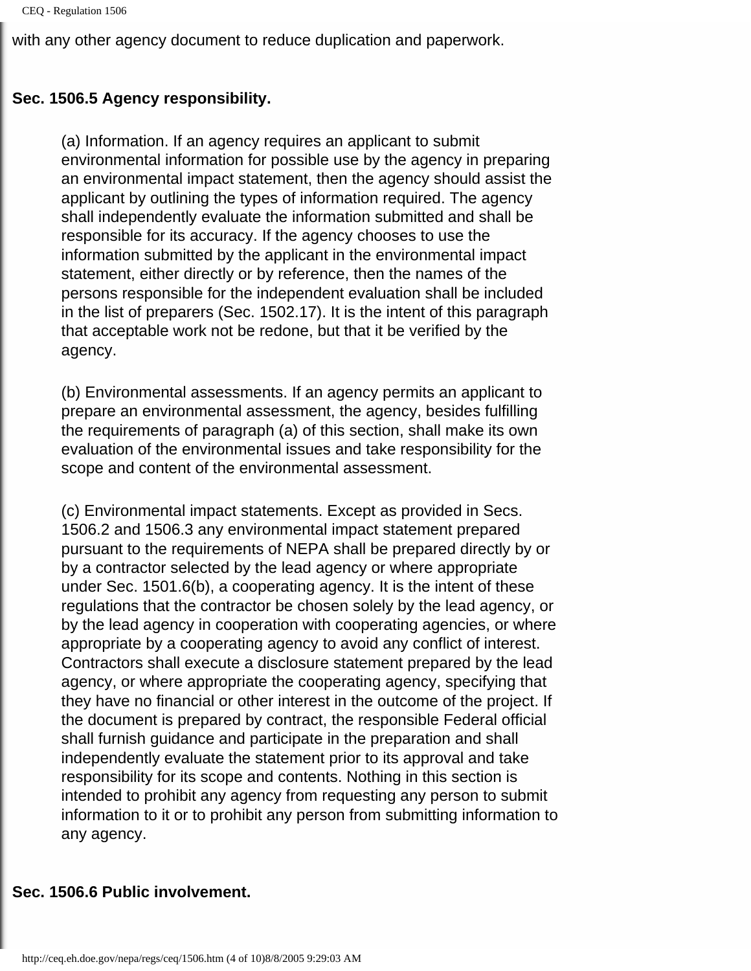```
CEQ - Regulation 1506
```
with any other agency document to reduce duplication and paperwork.

## **Sec. 1506.5 Agency responsibility.**

(a) Information. If an agency requires an applicant to submit environmental information for possible use by the agency in preparing an environmental impact statement, then the agency should assist the applicant by outlining the types of information required. The agency shall independently evaluate the information submitted and shall be responsible for its accuracy. If the agency chooses to use the information submitted by the applicant in the environmental impact statement, either directly or by reference, then the names of the persons responsible for the independent evaluation shall be included in the list of preparers (Sec. 1502.17). It is the intent of this paragraph that acceptable work not be redone, but that it be verified by the agency.

(b) Environmental assessments. If an agency permits an applicant to prepare an environmental assessment, the agency, besides fulfilling the requirements of paragraph (a) of this section, shall make its own evaluation of the environmental issues and take responsibility for the scope and content of the environmental assessment.

(c) Environmental impact statements. Except as provided in Secs. 1506.2 and 1506.3 any environmental impact statement prepared pursuant to the requirements of NEPA shall be prepared directly by or by a contractor selected by the lead agency or where appropriate under Sec. 1501.6(b), a cooperating agency. It is the intent of these regulations that the contractor be chosen solely by the lead agency, or by the lead agency in cooperation with cooperating agencies, or where appropriate by a cooperating agency to avoid any conflict of interest. Contractors shall execute a disclosure statement prepared by the lead agency, or where appropriate the cooperating agency, specifying that they have no financial or other interest in the outcome of the project. If the document is prepared by contract, the responsible Federal official shall furnish guidance and participate in the preparation and shall independently evaluate the statement prior to its approval and take responsibility for its scope and contents. Nothing in this section is intended to prohibit any agency from requesting any person to submit information to it or to prohibit any person from submitting information to any agency.

## **Sec. 1506.6 Public involvement.**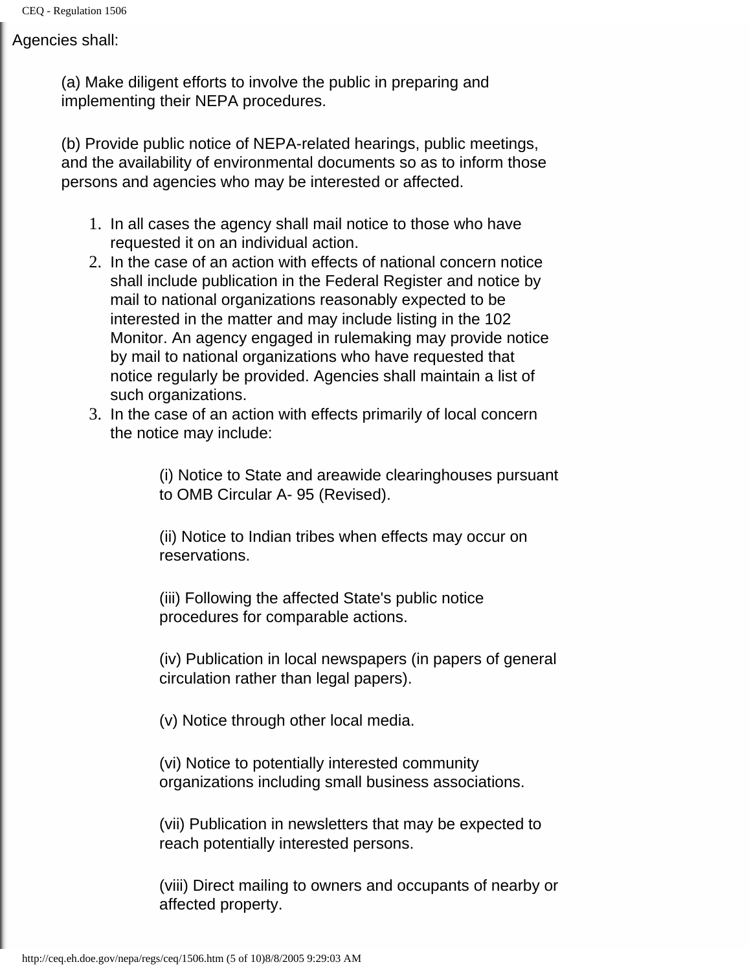### Agencies shall:

(a) Make diligent efforts to involve the public in preparing and implementing their NEPA procedures.

(b) Provide public notice of NEPA-related hearings, public meetings, and the availability of environmental documents so as to inform those persons and agencies who may be interested or affected.

- 1. In all cases the agency shall mail notice to those who have requested it on an individual action.
- 2. In the case of an action with effects of national concern notice shall include publication in the Federal Register and notice by mail to national organizations reasonably expected to be interested in the matter and may include listing in the 102 Monitor. An agency engaged in rulemaking may provide notice by mail to national organizations who have requested that notice regularly be provided. Agencies shall maintain a list of such organizations.
- 3. In the case of an action with effects primarily of local concern the notice may include:

(i) Notice to State and areawide clearinghouses pursuant to OMB Circular A- 95 (Revised).

(ii) Notice to Indian tribes when effects may occur on reservations.

(iii) Following the affected State's public notice procedures for comparable actions.

(iv) Publication in local newspapers (in papers of general circulation rather than legal papers).

(v) Notice through other local media.

(vi) Notice to potentially interested community organizations including small business associations.

(vii) Publication in newsletters that may be expected to reach potentially interested persons.

(viii) Direct mailing to owners and occupants of nearby or affected property.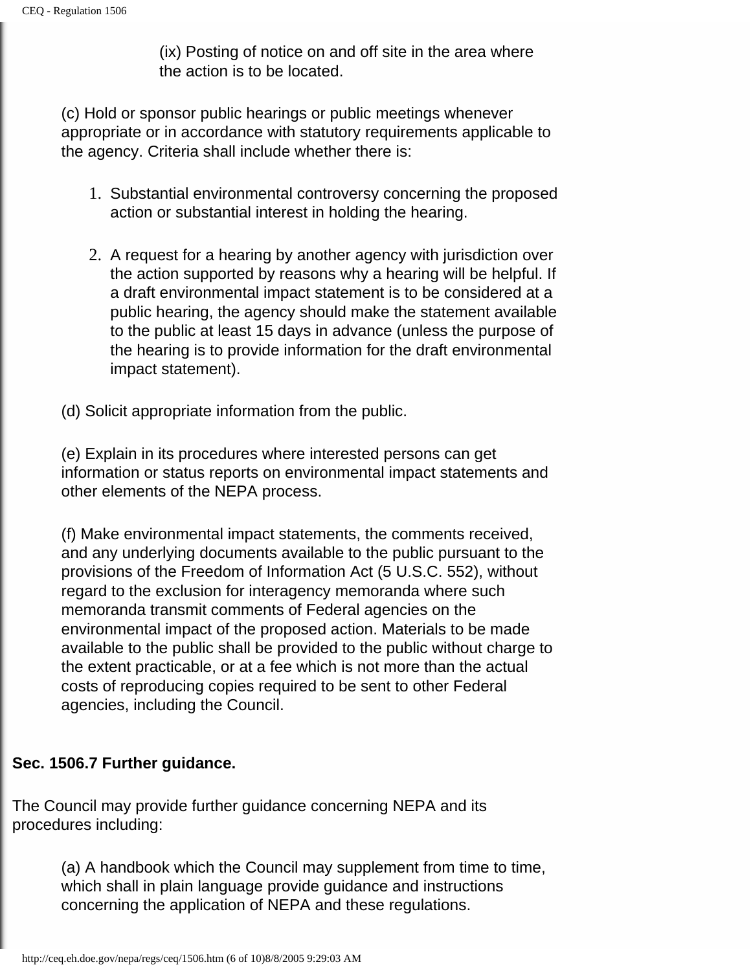(ix) Posting of notice on and off site in the area where the action is to be located.

(c) Hold or sponsor public hearings or public meetings whenever appropriate or in accordance with statutory requirements applicable to the agency. Criteria shall include whether there is:

- 1. Substantial environmental controversy concerning the proposed action or substantial interest in holding the hearing.
- 2. A request for a hearing by another agency with jurisdiction over the action supported by reasons why a hearing will be helpful. If a draft environmental impact statement is to be considered at a public hearing, the agency should make the statement available to the public at least 15 days in advance (unless the purpose of the hearing is to provide information for the draft environmental impact statement).
- (d) Solicit appropriate information from the public.

(e) Explain in its procedures where interested persons can get information or status reports on environmental impact statements and other elements of the NEPA process.

(f) Make environmental impact statements, the comments received, and any underlying documents available to the public pursuant to the provisions of the Freedom of Information Act (5 U.S.C. 552), without regard to the exclusion for interagency memoranda where such memoranda transmit comments of Federal agencies on the environmental impact of the proposed action. Materials to be made available to the public shall be provided to the public without charge to the extent practicable, or at a fee which is not more than the actual costs of reproducing copies required to be sent to other Federal agencies, including the Council.

## **Sec. 1506.7 Further guidance.**

The Council may provide further guidance concerning NEPA and its procedures including:

> (a) A handbook which the Council may supplement from time to time, which shall in plain language provide guidance and instructions concerning the application of NEPA and these regulations.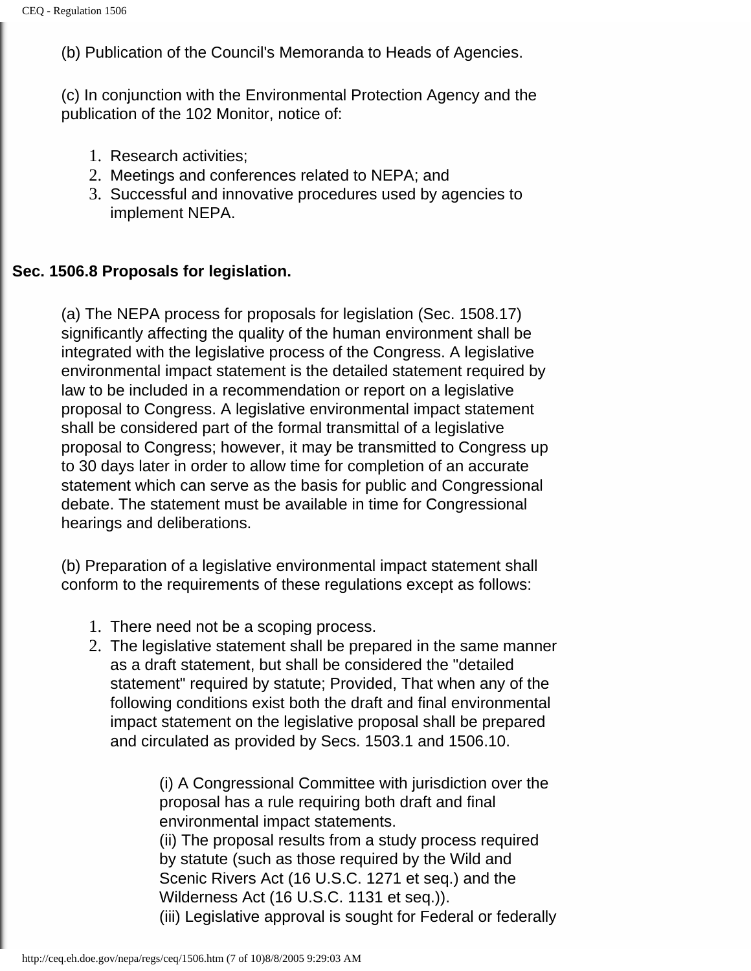(b) Publication of the Council's Memoranda to Heads of Agencies.

(c) In conjunction with the Environmental Protection Agency and the publication of the 102 Monitor, notice of:

- 1. Research activities;
- 2. Meetings and conferences related to NEPA; and
- 3. Successful and innovative procedures used by agencies to implement NEPA.

## **Sec. 1506.8 Proposals for legislation.**

(a) The NEPA process for proposals for legislation (Sec. 1508.17) significantly affecting the quality of the human environment shall be integrated with the legislative process of the Congress. A legislative environmental impact statement is the detailed statement required by law to be included in a recommendation or report on a legislative proposal to Congress. A legislative environmental impact statement shall be considered part of the formal transmittal of a legislative proposal to Congress; however, it may be transmitted to Congress up to 30 days later in order to allow time for completion of an accurate statement which can serve as the basis for public and Congressional debate. The statement must be available in time for Congressional hearings and deliberations.

(b) Preparation of a legislative environmental impact statement shall conform to the requirements of these regulations except as follows:

- 1. There need not be a scoping process.
- 2. The legislative statement shall be prepared in the same manner as a draft statement, but shall be considered the "detailed statement" required by statute; Provided, That when any of the following conditions exist both the draft and final environmental impact statement on the legislative proposal shall be prepared and circulated as provided by Secs. 1503.1 and 1506.10.

(i) A Congressional Committee with jurisdiction over the proposal has a rule requiring both draft and final environmental impact statements.

(ii) The proposal results from a study process required by statute (such as those required by the Wild and Scenic Rivers Act (16 U.S.C. 1271 et seq.) and the Wilderness Act (16 U.S.C. 1131 et seq.)). (iii) Legislative approval is sought for Federal or federally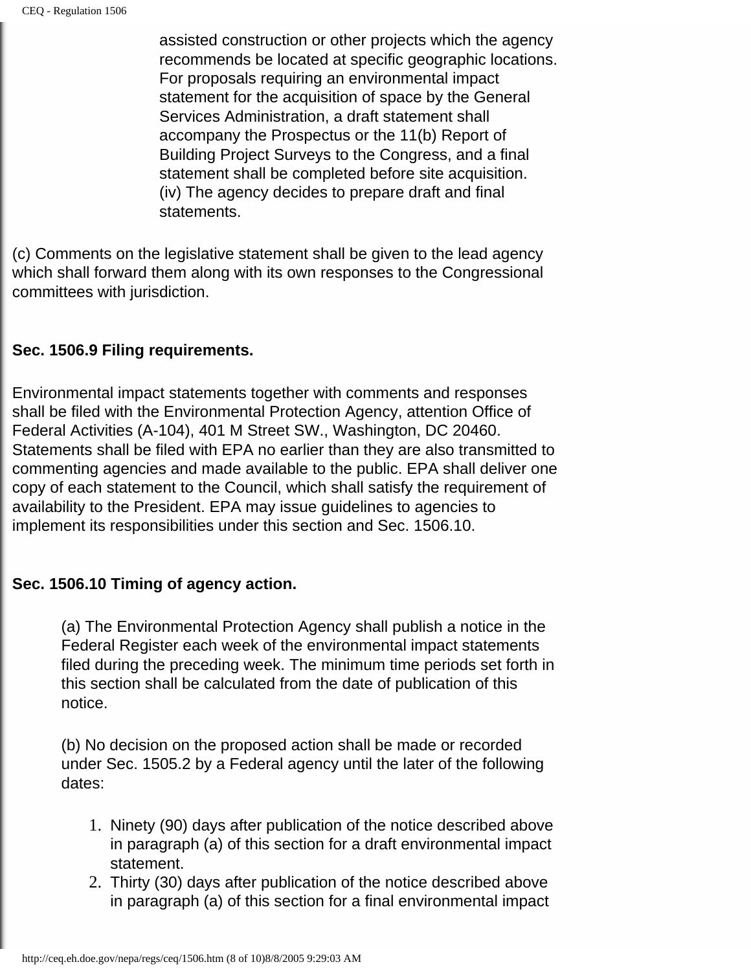assisted construction or other projects which the agency recommends be located at specific geographic locations. For proposals requiring an environmental impact statement for the acquisition of space by the General Services Administration, a draft statement shall accompany the Prospectus or the 11(b) Report of Building Project Surveys to the Congress, and a final statement shall be completed before site acquisition. (iv) The agency decides to prepare draft and final statements.

(c) Comments on the legislative statement shall be given to the lead agency which shall forward them along with its own responses to the Congressional committees with jurisdiction.

#### **Sec. 1506.9 Filing requirements.**

Environmental impact statements together with comments and responses shall be filed with the Environmental Protection Agency, attention Office of Federal Activities (A-104), 401 M Street SW., Washington, DC 20460. Statements shall be filed with EPA no earlier than they are also transmitted to commenting agencies and made available to the public. EPA shall deliver one copy of each statement to the Council, which shall satisfy the requirement of availability to the President. EPA may issue guidelines to agencies to implement its responsibilities under this section and Sec. 1506.10.

### **Sec. 1506.10 Timing of agency action.**

(a) The Environmental Protection Agency shall publish a notice in the Federal Register each week of the environmental impact statements filed during the preceding week. The minimum time periods set forth in this section shall be calculated from the date of publication of this notice.

(b) No decision on the proposed action shall be made or recorded under Sec. 1505.2 by a Federal agency until the later of the following dates:

- 1. Ninety (90) days after publication of the notice described above in paragraph (a) of this section for a draft environmental impact statement.
- 2. Thirty (30) days after publication of the notice described above in paragraph (a) of this section for a final environmental impact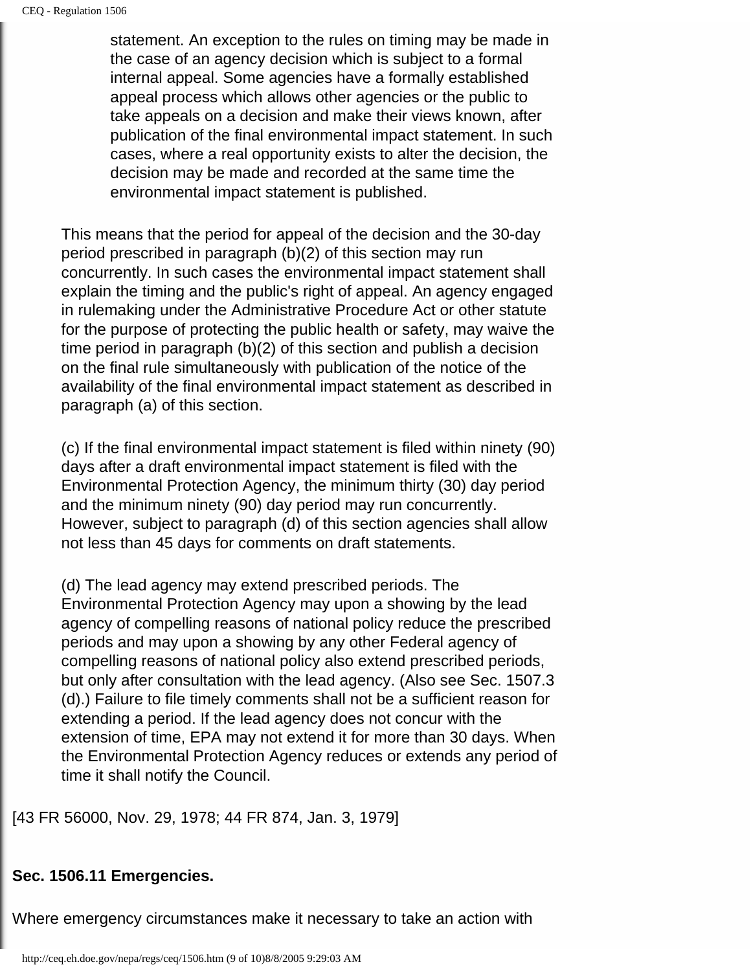statement. An exception to the rules on timing may be made in the case of an agency decision which is subject to a formal internal appeal. Some agencies have a formally established appeal process which allows other agencies or the public to take appeals on a decision and make their views known, after publication of the final environmental impact statement. In such cases, where a real opportunity exists to alter the decision, the decision may be made and recorded at the same time the environmental impact statement is published.

This means that the period for appeal of the decision and the 30-day period prescribed in paragraph (b)(2) of this section may run concurrently. In such cases the environmental impact statement shall explain the timing and the public's right of appeal. An agency engaged in rulemaking under the Administrative Procedure Act or other statute for the purpose of protecting the public health or safety, may waive the time period in paragraph (b)(2) of this section and publish a decision on the final rule simultaneously with publication of the notice of the availability of the final environmental impact statement as described in paragraph (a) of this section.

(c) If the final environmental impact statement is filed within ninety (90) days after a draft environmental impact statement is filed with the Environmental Protection Agency, the minimum thirty (30) day period and the minimum ninety (90) day period may run concurrently. However, subject to paragraph (d) of this section agencies shall allow not less than 45 days for comments on draft statements.

(d) The lead agency may extend prescribed periods. The Environmental Protection Agency may upon a showing by the lead agency of compelling reasons of national policy reduce the prescribed periods and may upon a showing by any other Federal agency of compelling reasons of national policy also extend prescribed periods, but only after consultation with the lead agency. (Also see Sec. 1507.3 (d).) Failure to file timely comments shall not be a sufficient reason for extending a period. If the lead agency does not concur with the extension of time, EPA may not extend it for more than 30 days. When the Environmental Protection Agency reduces or extends any period of time it shall notify the Council.

[43 FR 56000, Nov. 29, 1978; 44 FR 874, Jan. 3, 1979]

### **Sec. 1506.11 Emergencies.**

Where emergency circumstances make it necessary to take an action with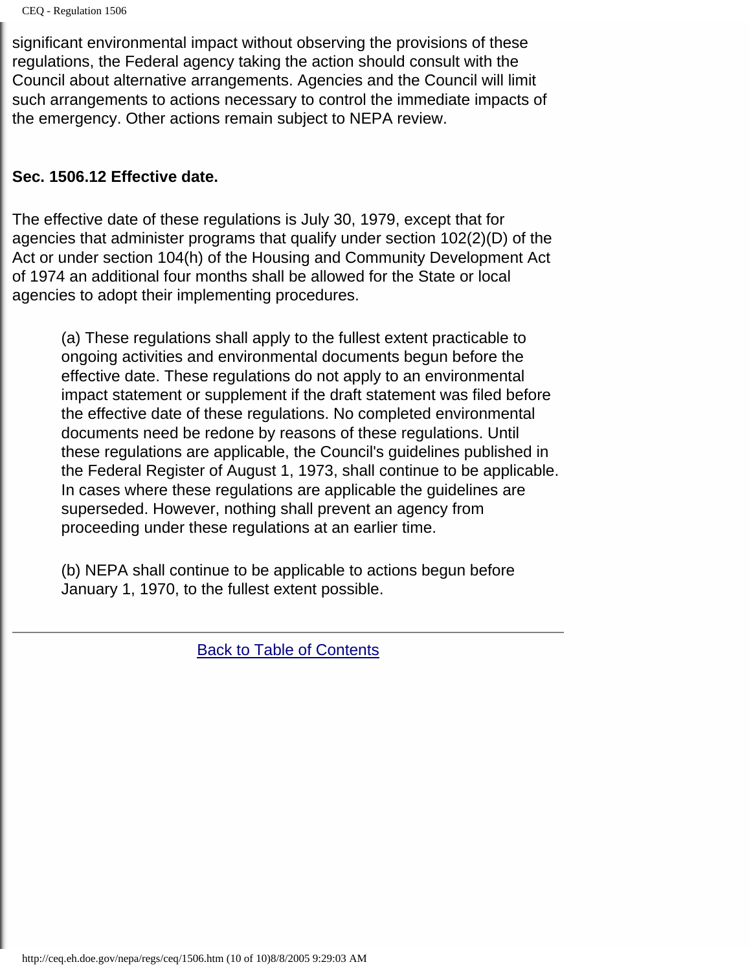significant environmental impact without observing the provisions of these regulations, the Federal agency taking the action should consult with the Council about alternative arrangements. Agencies and the Council will limit such arrangements to actions necessary to control the immediate impacts of the emergency. Other actions remain subject to NEPA review.

### **Sec. 1506.12 Effective date.**

The effective date of these regulations is July 30, 1979, except that for agencies that administer programs that qualify under section 102(2)(D) of the Act or under section 104(h) of the Housing and Community Development Act of 1974 an additional four months shall be allowed for the State or local agencies to adopt their implementing procedures.

(a) These regulations shall apply to the fullest extent practicable to ongoing activities and environmental documents begun before the effective date. These regulations do not apply to an environmental impact statement or supplement if the draft statement was filed before the effective date of these regulations. No completed environmental documents need be redone by reasons of these regulations. Until these regulations are applicable, the Council's guidelines published in the Federal Register of August 1, 1973, shall continue to be applicable. In cases where these regulations are applicable the guidelines are superseded. However, nothing shall prevent an agency from proceeding under these regulations at an earlier time.

(b) NEPA shall continue to be applicable to actions begun before January 1, 1970, to the fullest extent possible.

[Back to Table of Contents](#page-0-0)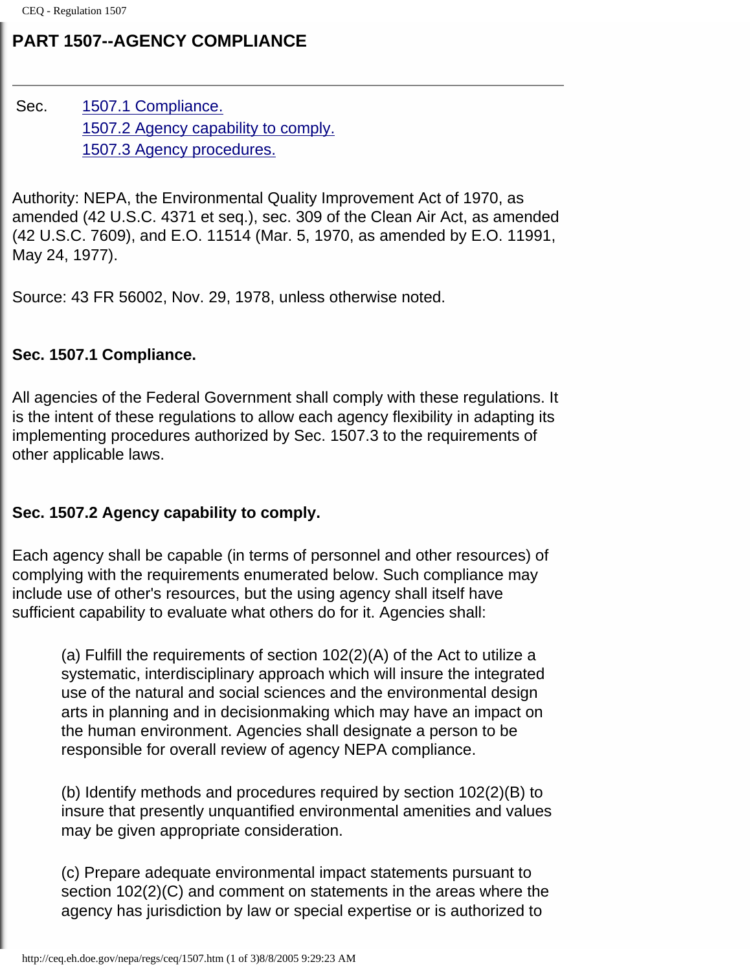<span id="page-53-0"></span>CEQ - Regulation 1507

# **PART 1507--AGENCY COMPLIANCE**

Sec. 1507.1 Compliance. 1507.2 Agency capability to comply. 1507.3 Agency procedures.

Authority: NEPA, the Environmental Quality Improvement Act of 1970, as amended (42 U.S.C. 4371 et seq.), sec. 309 of the Clean Air Act, as amended (42 U.S.C. 7609), and E.O. 11514 (Mar. 5, 1970, as amended by E.O. 11991, May 24, 1977).

Source: 43 FR 56002, Nov. 29, 1978, unless otherwise noted.

# **Sec. 1507.1 Compliance.**

All agencies of the Federal Government shall comply with these regulations. It is the intent of these regulations to allow each agency flexibility in adapting its implementing procedures authorized by Sec. 1507.3 to the requirements of other applicable laws.

# **Sec. 1507.2 Agency capability to comply.**

Each agency shall be capable (in terms of personnel and other resources) of complying with the requirements enumerated below. Such compliance may include use of other's resources, but the using agency shall itself have sufficient capability to evaluate what others do for it. Agencies shall:

(a) Fulfill the requirements of section 102(2)(A) of the Act to utilize a systematic, interdisciplinary approach which will insure the integrated use of the natural and social sciences and the environmental design arts in planning and in decisionmaking which may have an impact on the human environment. Agencies shall designate a person to be responsible for overall review of agency NEPA compliance.

(b) Identify methods and procedures required by section 102(2)(B) to insure that presently unquantified environmental amenities and values may be given appropriate consideration.

(c) Prepare adequate environmental impact statements pursuant to section 102(2)(C) and comment on statements in the areas where the agency has jurisdiction by law or special expertise or is authorized to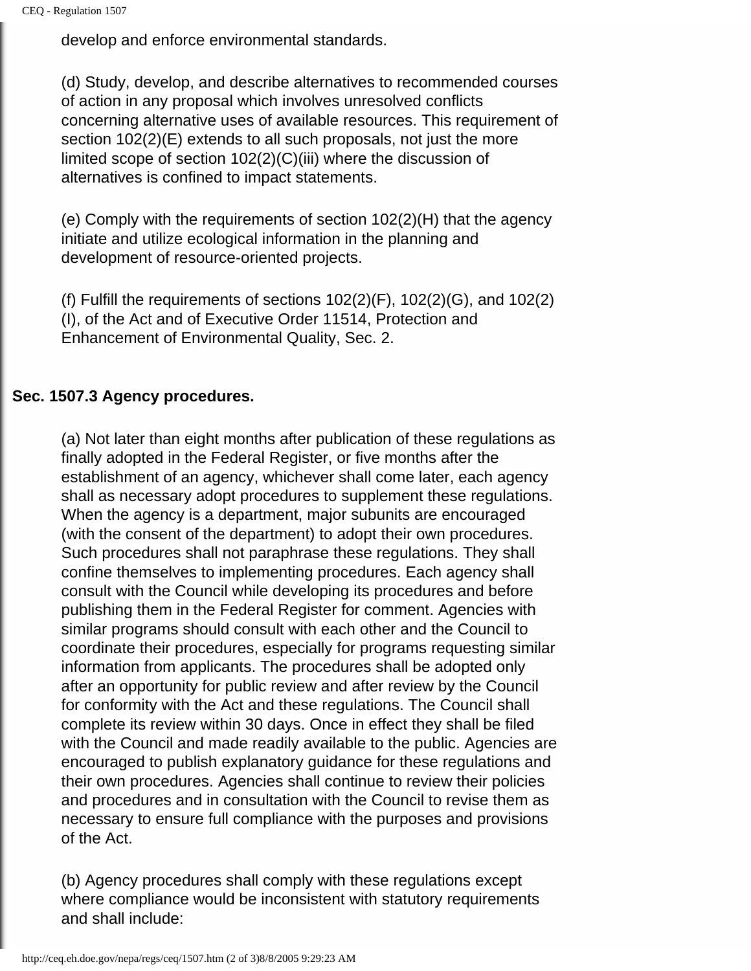develop and enforce environmental standards.

(d) Study, develop, and describe alternatives to recommended courses of action in any proposal which involves unresolved conflicts concerning alternative uses of available resources. This requirement of section 102(2)(E) extends to all such proposals, not just the more limited scope of section 102(2)(C)(iii) where the discussion of alternatives is confined to impact statements.

(e) Comply with the requirements of section 102(2)(H) that the agency initiate and utilize ecological information in the planning and development of resource-oriented projects.

(f) Fulfill the requirements of sections  $102(2)(F)$ ,  $102(2)(G)$ , and  $102(2)$ (I), of the Act and of Executive Order 11514, Protection and Enhancement of Environmental Quality, Sec. 2.

#### **Sec. 1507.3 Agency procedures.**

(a) Not later than eight months after publication of these regulations as finally adopted in the Federal Register, or five months after the establishment of an agency, whichever shall come later, each agency shall as necessary adopt procedures to supplement these regulations. When the agency is a department, major subunits are encouraged (with the consent of the department) to adopt their own procedures. Such procedures shall not paraphrase these regulations. They shall confine themselves to implementing procedures. Each agency shall consult with the Council while developing its procedures and before publishing them in the Federal Register for comment. Agencies with similar programs should consult with each other and the Council to coordinate their procedures, especially for programs requesting similar information from applicants. The procedures shall be adopted only after an opportunity for public review and after review by the Council for conformity with the Act and these regulations. The Council shall complete its review within 30 days. Once in effect they shall be filed with the Council and made readily available to the public. Agencies are encouraged to publish explanatory guidance for these regulations and their own procedures. Agencies shall continue to review their policies and procedures and in consultation with the Council to revise them as necessary to ensure full compliance with the purposes and provisions of the Act.

(b) Agency procedures shall comply with these regulations except where compliance would be inconsistent with statutory requirements and shall include: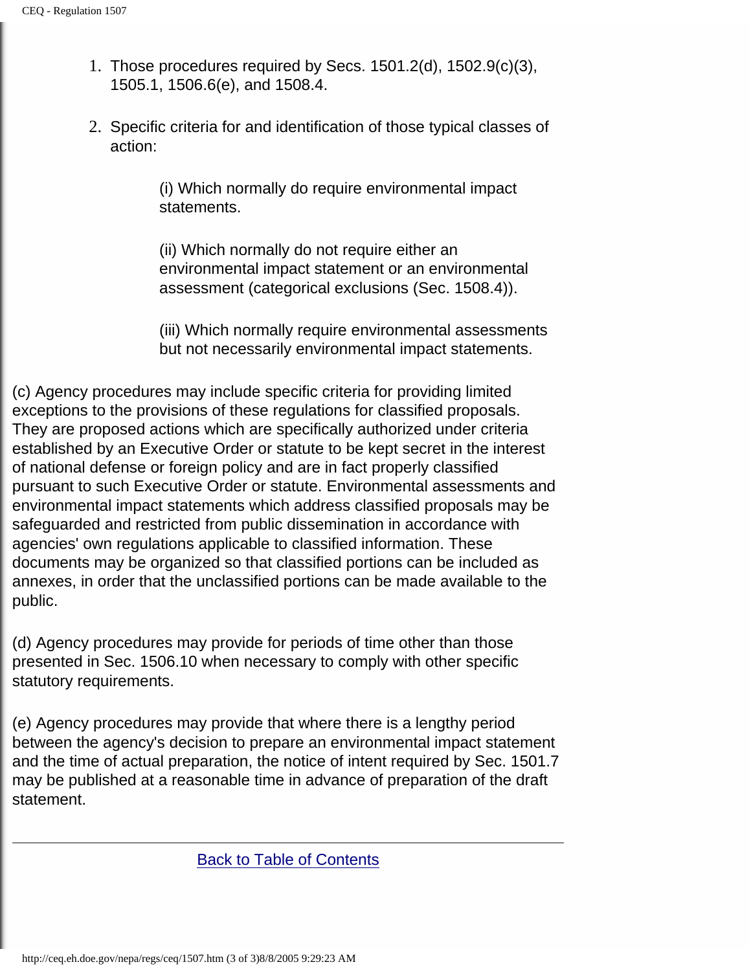- 1. Those procedures required by Secs. 1501.2(d), 1502.9(c)(3), 1505.1, 1506.6(e), and 1508.4.
- 2. Specific criteria for and identification of those typical classes of action:

(i) Which normally do require environmental impact statements.

(ii) Which normally do not require either an environmental impact statement or an environmental assessment (categorical exclusions (Sec. 1508.4)).

(iii) Which normally require environmental assessments but not necessarily environmental impact statements.

(c) Agency procedures may include specific criteria for providing limited exceptions to the provisions of these regulations for classified proposals. They are proposed actions which are specifically authorized under criteria established by an Executive Order or statute to be kept secret in the interest of national defense or foreign policy and are in fact properly classified pursuant to such Executive Order or statute. Environmental assessments and environmental impact statements which address classified proposals may be safeguarded and restricted from public dissemination in accordance with agencies' own regulations applicable to classified information. These documents may be organized so that classified portions can be included as annexes, in order that the unclassified portions can be made available to the public.

(d) Agency procedures may provide for periods of time other than those presented in Sec. 1506.10 when necessary to comply with other specific statutory requirements.

(e) Agency procedures may provide that where there is a lengthy period between the agency's decision to prepare an environmental impact statement and the time of actual preparation, the notice of intent required by Sec. 1501.7 may be published at a reasonable time in advance of preparation of the draft statement.

[Back to Table of Contents](#page-0-0)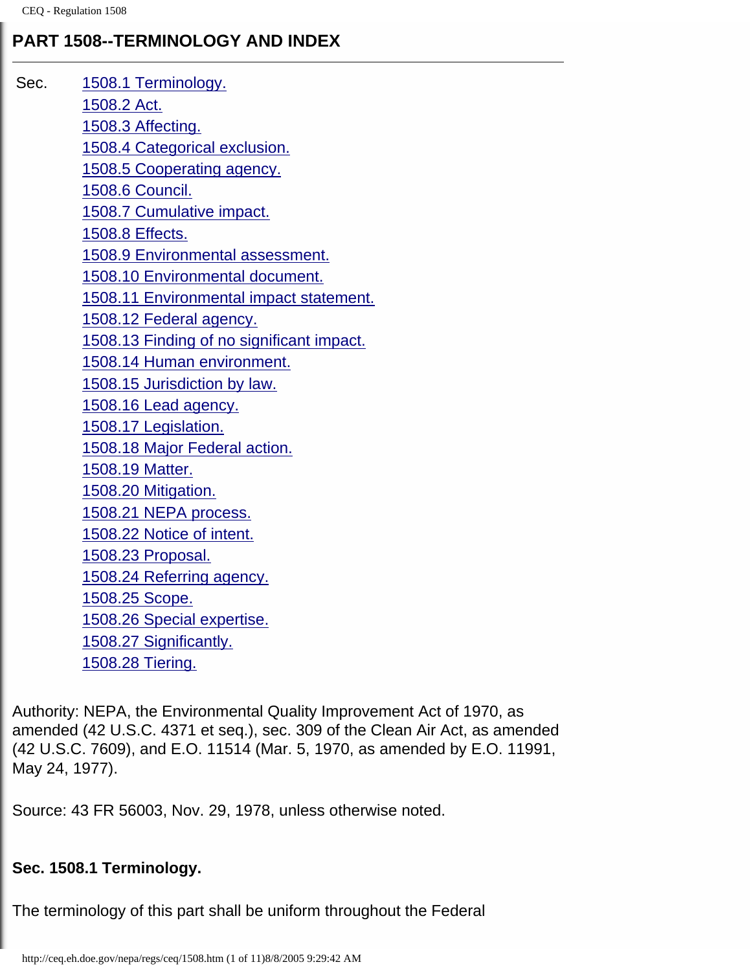# <span id="page-56-0"></span>**PART 1508--TERMINOLOGY AND INDEX**

Sec. 1508.1 Terminology. 1508.2 Act. 1508.3 Affecting. 1508.4 Categorical exclusion. 1508.5 Cooperating agency. 1508.6 Council. 1508.7 Cumulative impact. 1508.8 Effects. 1508.9 Environmental assessment. 1508.10 Environmental document. 1508.11 Environmental impact statement. 1508.12 Federal agency. 1508.13 Finding of no significant impact. 1508.14 Human environment. 1508.15 Jurisdiction by law. 1508.16 Lead agency. 1508.17 Legislation. 1508.18 Major Federal action. 1508.19 Matter. 1508.20 Mitigation. 1508.21 NEPA process. 1508.22 Notice of intent. 1508.23 Proposal. 1508.24 Referring agency. 1508.25 Scope. 1508.26 Special expertise. 1508.27 Significantly. 1508.28 Tiering.

Authority: NEPA, the Environmental Quality Improvement Act of 1970, as amended (42 U.S.C. 4371 et seq.), sec. 309 of the Clean Air Act, as amended (42 U.S.C. 7609), and E.O. 11514 (Mar. 5, 1970, as amended by E.O. 11991, May 24, 1977).

Source: 43 FR 56003, Nov. 29, 1978, unless otherwise noted.

#### **Sec. 1508.1 Terminology.**

The terminology of this part shall be uniform throughout the Federal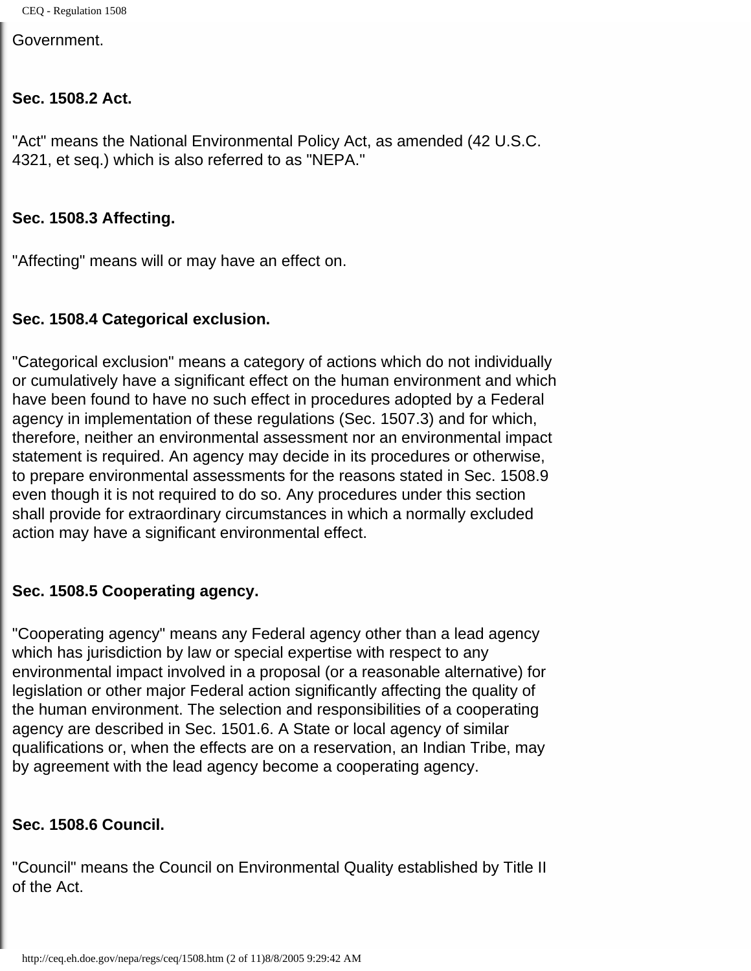CEQ - Regulation 1508

Government.

### **Sec. 1508.2 Act.**

"Act" means the National Environmental Policy Act, as amended (42 U.S.C. 4321, et seq.) which is also referred to as "NEPA."

### **Sec. 1508.3 Affecting.**

"Affecting" means will or may have an effect on.

## **Sec. 1508.4 Categorical exclusion.**

"Categorical exclusion" means a category of actions which do not individually or cumulatively have a significant effect on the human environment and which have been found to have no such effect in procedures adopted by a Federal agency in implementation of these regulations (Sec. 1507.3) and for which, therefore, neither an environmental assessment nor an environmental impact statement is required. An agency may decide in its procedures or otherwise, to prepare environmental assessments for the reasons stated in Sec. 1508.9 even though it is not required to do so. Any procedures under this section shall provide for extraordinary circumstances in which a normally excluded action may have a significant environmental effect.

# **Sec. 1508.5 Cooperating agency.**

"Cooperating agency" means any Federal agency other than a lead agency which has jurisdiction by law or special expertise with respect to any environmental impact involved in a proposal (or a reasonable alternative) for legislation or other major Federal action significantly affecting the quality of the human environment. The selection and responsibilities of a cooperating agency are described in Sec. 1501.6. A State or local agency of similar qualifications or, when the effects are on a reservation, an Indian Tribe, may by agreement with the lead agency become a cooperating agency.

# **Sec. 1508.6 Council.**

"Council" means the Council on Environmental Quality established by Title II of the Act.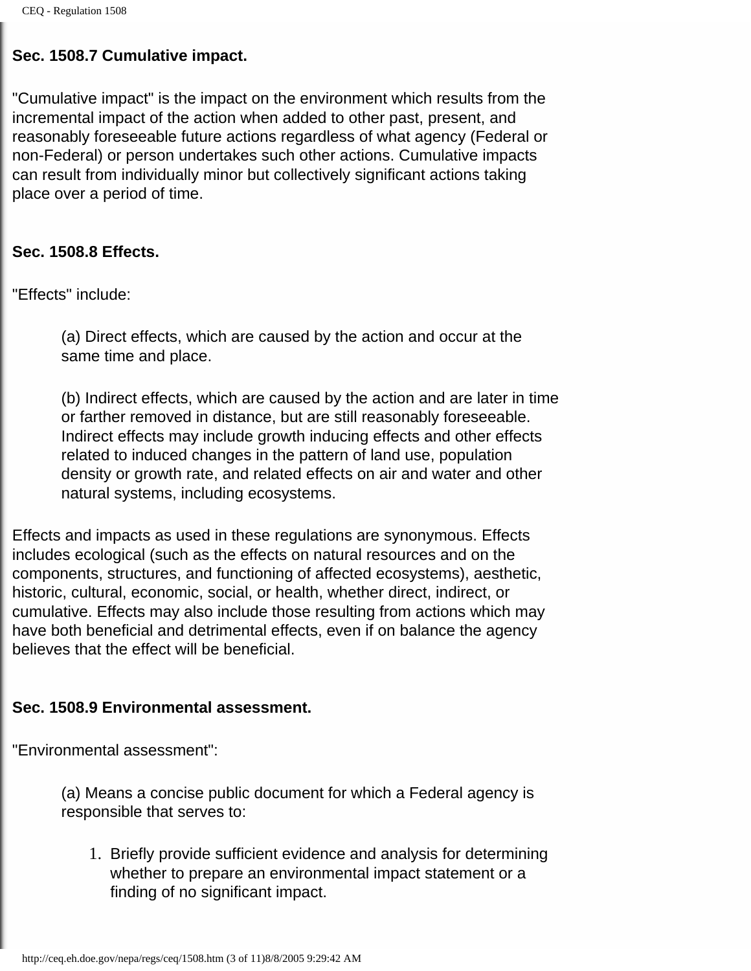# **Sec. 1508.7 Cumulative impact.**

"Cumulative impact" is the impact on the environment which results from the incremental impact of the action when added to other past, present, and reasonably foreseeable future actions regardless of what agency (Federal or non-Federal) or person undertakes such other actions. Cumulative impacts can result from individually minor but collectively significant actions taking place over a period of time.

## **Sec. 1508.8 Effects.**

"Effects" include:

(a) Direct effects, which are caused by the action and occur at the same time and place.

(b) Indirect effects, which are caused by the action and are later in time or farther removed in distance, but are still reasonably foreseeable. Indirect effects may include growth inducing effects and other effects related to induced changes in the pattern of land use, population density or growth rate, and related effects on air and water and other natural systems, including ecosystems.

Effects and impacts as used in these regulations are synonymous. Effects includes ecological (such as the effects on natural resources and on the components, structures, and functioning of affected ecosystems), aesthetic, historic, cultural, economic, social, or health, whether direct, indirect, or cumulative. Effects may also include those resulting from actions which may have both beneficial and detrimental effects, even if on balance the agency believes that the effect will be beneficial.

# **Sec. 1508.9 Environmental assessment.**

"Environmental assessment":

(a) Means a concise public document for which a Federal agency is responsible that serves to:

1. Briefly provide sufficient evidence and analysis for determining whether to prepare an environmental impact statement or a finding of no significant impact.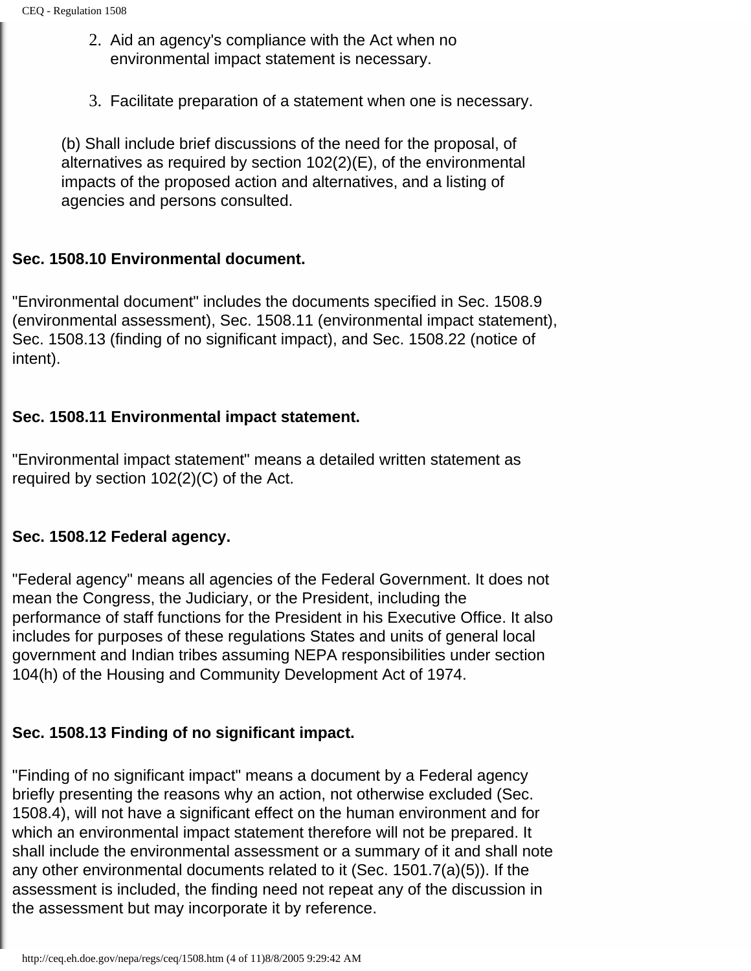- 2. Aid an agency's compliance with the Act when no environmental impact statement is necessary.
- 3. Facilitate preparation of a statement when one is necessary.

(b) Shall include brief discussions of the need for the proposal, of alternatives as required by section 102(2)(E), of the environmental impacts of the proposed action and alternatives, and a listing of agencies and persons consulted.

### **Sec. 1508.10 Environmental document.**

"Environmental document" includes the documents specified in Sec. 1508.9 (environmental assessment), Sec. 1508.11 (environmental impact statement), Sec. 1508.13 (finding of no significant impact), and Sec. 1508.22 (notice of intent).

### **Sec. 1508.11 Environmental impact statement.**

"Environmental impact statement" means a detailed written statement as required by section 102(2)(C) of the Act.

### **Sec. 1508.12 Federal agency.**

"Federal agency" means all agencies of the Federal Government. It does not mean the Congress, the Judiciary, or the President, including the performance of staff functions for the President in his Executive Office. It also includes for purposes of these regulations States and units of general local government and Indian tribes assuming NEPA responsibilities under section 104(h) of the Housing and Community Development Act of 1974.

## **Sec. 1508.13 Finding of no significant impact.**

"Finding of no significant impact" means a document by a Federal agency briefly presenting the reasons why an action, not otherwise excluded (Sec. 1508.4), will not have a significant effect on the human environment and for which an environmental impact statement therefore will not be prepared. It shall include the environmental assessment or a summary of it and shall note any other environmental documents related to it (Sec. 1501.7(a)(5)). If the assessment is included, the finding need not repeat any of the discussion in the assessment but may incorporate it by reference.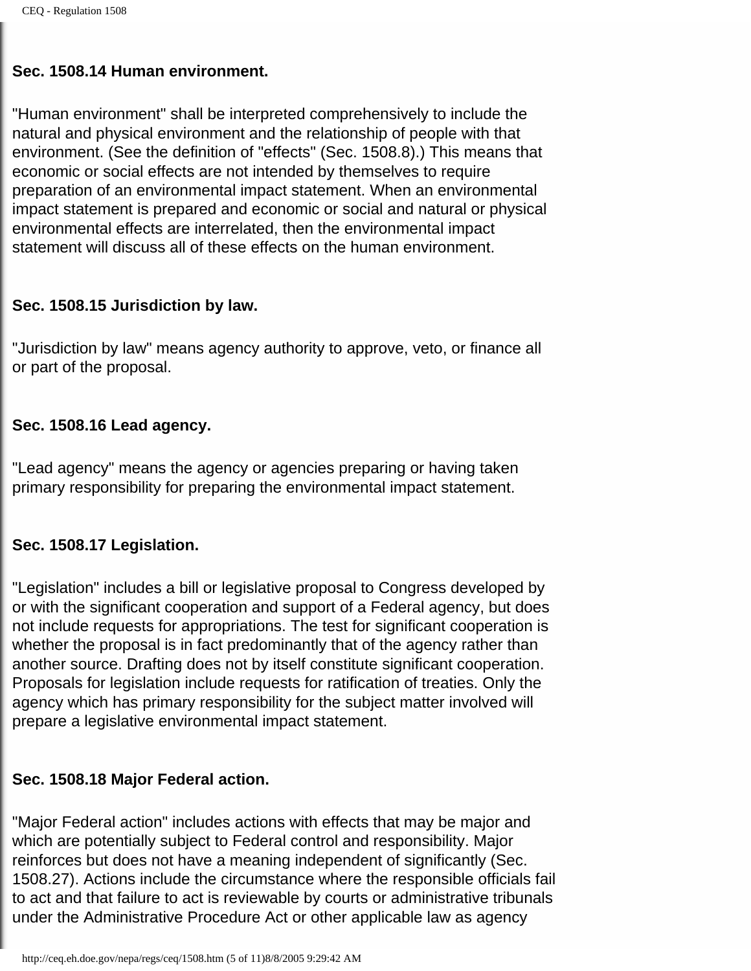# **Sec. 1508.14 Human environment.**

"Human environment" shall be interpreted comprehensively to include the natural and physical environment and the relationship of people with that environment. (See the definition of "effects" (Sec. 1508.8).) This means that economic or social effects are not intended by themselves to require preparation of an environmental impact statement. When an environmental impact statement is prepared and economic or social and natural or physical environmental effects are interrelated, then the environmental impact statement will discuss all of these effects on the human environment.

# **Sec. 1508.15 Jurisdiction by law.**

"Jurisdiction by law" means agency authority to approve, veto, or finance all or part of the proposal.

# **Sec. 1508.16 Lead agency.**

"Lead agency" means the agency or agencies preparing or having taken primary responsibility for preparing the environmental impact statement.

# **Sec. 1508.17 Legislation.**

"Legislation" includes a bill or legislative proposal to Congress developed by or with the significant cooperation and support of a Federal agency, but does not include requests for appropriations. The test for significant cooperation is whether the proposal is in fact predominantly that of the agency rather than another source. Drafting does not by itself constitute significant cooperation. Proposals for legislation include requests for ratification of treaties. Only the agency which has primary responsibility for the subject matter involved will prepare a legislative environmental impact statement.

# **Sec. 1508.18 Major Federal action.**

"Major Federal action" includes actions with effects that may be major and which are potentially subject to Federal control and responsibility. Major reinforces but does not have a meaning independent of significantly (Sec. 1508.27). Actions include the circumstance where the responsible officials fail to act and that failure to act is reviewable by courts or administrative tribunals under the Administrative Procedure Act or other applicable law as agency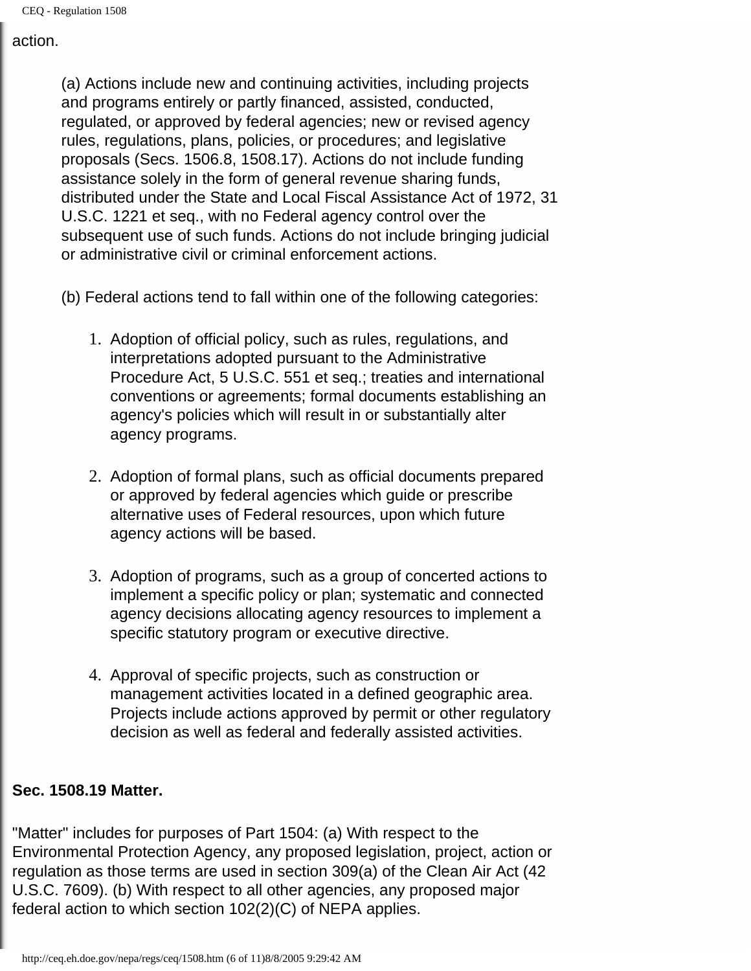### action.

(a) Actions include new and continuing activities, including projects and programs entirely or partly financed, assisted, conducted, regulated, or approved by federal agencies; new or revised agency rules, regulations, plans, policies, or procedures; and legislative proposals (Secs. 1506.8, 1508.17). Actions do not include funding assistance solely in the form of general revenue sharing funds, distributed under the State and Local Fiscal Assistance Act of 1972, 31 U.S.C. 1221 et seq., with no Federal agency control over the subsequent use of such funds. Actions do not include bringing judicial or administrative civil or criminal enforcement actions.

(b) Federal actions tend to fall within one of the following categories:

- 1. Adoption of official policy, such as rules, regulations, and interpretations adopted pursuant to the Administrative Procedure Act, 5 U.S.C. 551 et seq.; treaties and international conventions or agreements; formal documents establishing an agency's policies which will result in or substantially alter agency programs.
- 2. Adoption of formal plans, such as official documents prepared or approved by federal agencies which guide or prescribe alternative uses of Federal resources, upon which future agency actions will be based.
- 3. Adoption of programs, such as a group of concerted actions to implement a specific policy or plan; systematic and connected agency decisions allocating agency resources to implement a specific statutory program or executive directive.
- 4. Approval of specific projects, such as construction or management activities located in a defined geographic area. Projects include actions approved by permit or other regulatory decision as well as federal and federally assisted activities.

## **Sec. 1508.19 Matter.**

"Matter" includes for purposes of Part 1504: (a) With respect to the Environmental Protection Agency, any proposed legislation, project, action or regulation as those terms are used in section 309(a) of the Clean Air Act (42 U.S.C. 7609). (b) With respect to all other agencies, any proposed major federal action to which section 102(2)(C) of NEPA applies.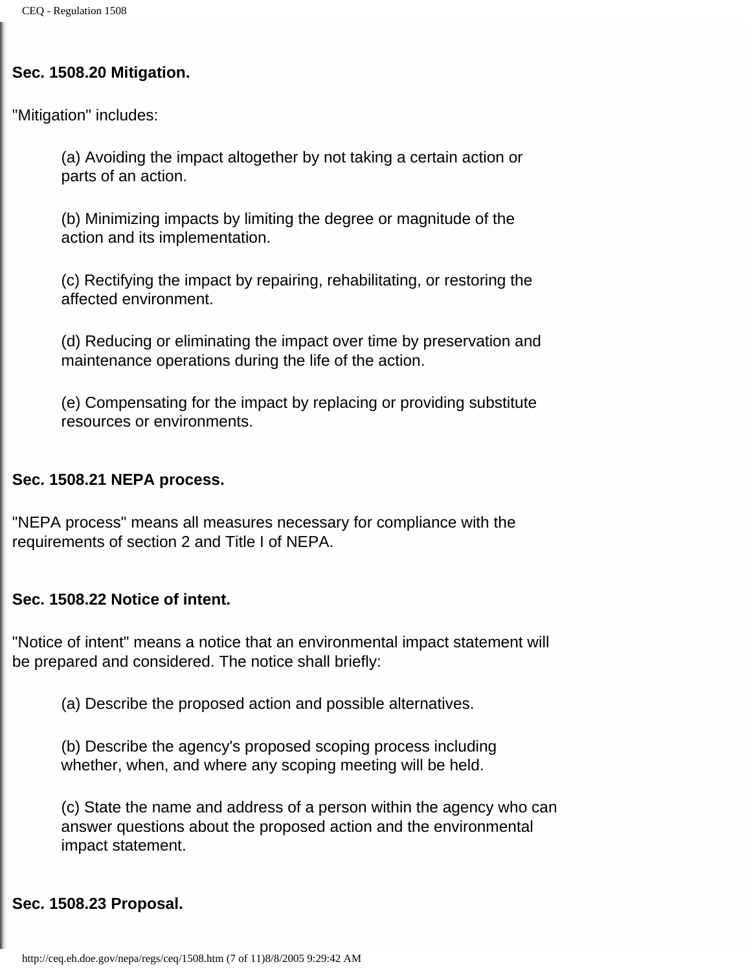### **Sec. 1508.20 Mitigation.**

"Mitigation" includes:

(a) Avoiding the impact altogether by not taking a certain action or parts of an action.

(b) Minimizing impacts by limiting the degree or magnitude of the action and its implementation.

(c) Rectifying the impact by repairing, rehabilitating, or restoring the affected environment.

(d) Reducing or eliminating the impact over time by preservation and maintenance operations during the life of the action.

(e) Compensating for the impact by replacing or providing substitute resources or environments.

#### **Sec. 1508.21 NEPA process.**

"NEPA process" means all measures necessary for compliance with the requirements of section 2 and Title I of NEPA.

#### **Sec. 1508.22 Notice of intent.**

"Notice of intent" means a notice that an environmental impact statement will be prepared and considered. The notice shall briefly:

(a) Describe the proposed action and possible alternatives.

(b) Describe the agency's proposed scoping process including whether, when, and where any scoping meeting will be held.

(c) State the name and address of a person within the agency who can answer questions about the proposed action and the environmental impact statement.

**Sec. 1508.23 Proposal.**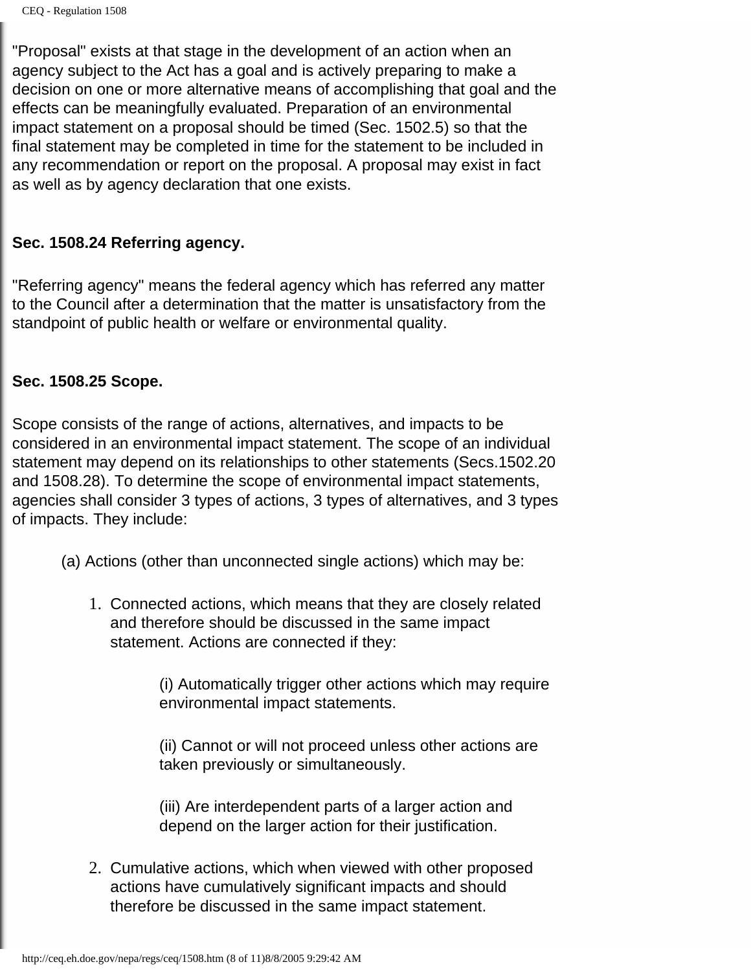"Proposal" exists at that stage in the development of an action when an agency subject to the Act has a goal and is actively preparing to make a decision on one or more alternative means of accomplishing that goal and the effects can be meaningfully evaluated. Preparation of an environmental impact statement on a proposal should be timed (Sec. 1502.5) so that the final statement may be completed in time for the statement to be included in any recommendation or report on the proposal. A proposal may exist in fact as well as by agency declaration that one exists.

### **Sec. 1508.24 Referring agency.**

"Referring agency" means the federal agency which has referred any matter to the Council after a determination that the matter is unsatisfactory from the standpoint of public health or welfare or environmental quality.

#### **Sec. 1508.25 Scope.**

Scope consists of the range of actions, alternatives, and impacts to be considered in an environmental impact statement. The scope of an individual statement may depend on its relationships to other statements (Secs.1502.20 and 1508.28). To determine the scope of environmental impact statements, agencies shall consider 3 types of actions, 3 types of alternatives, and 3 types of impacts. They include:

- (a) Actions (other than unconnected single actions) which may be:
	- 1. Connected actions, which means that they are closely related and therefore should be discussed in the same impact statement. Actions are connected if they:

(i) Automatically trigger other actions which may require environmental impact statements.

(ii) Cannot or will not proceed unless other actions are taken previously or simultaneously.

(iii) Are interdependent parts of a larger action and depend on the larger action for their justification.

2. Cumulative actions, which when viewed with other proposed actions have cumulatively significant impacts and should therefore be discussed in the same impact statement.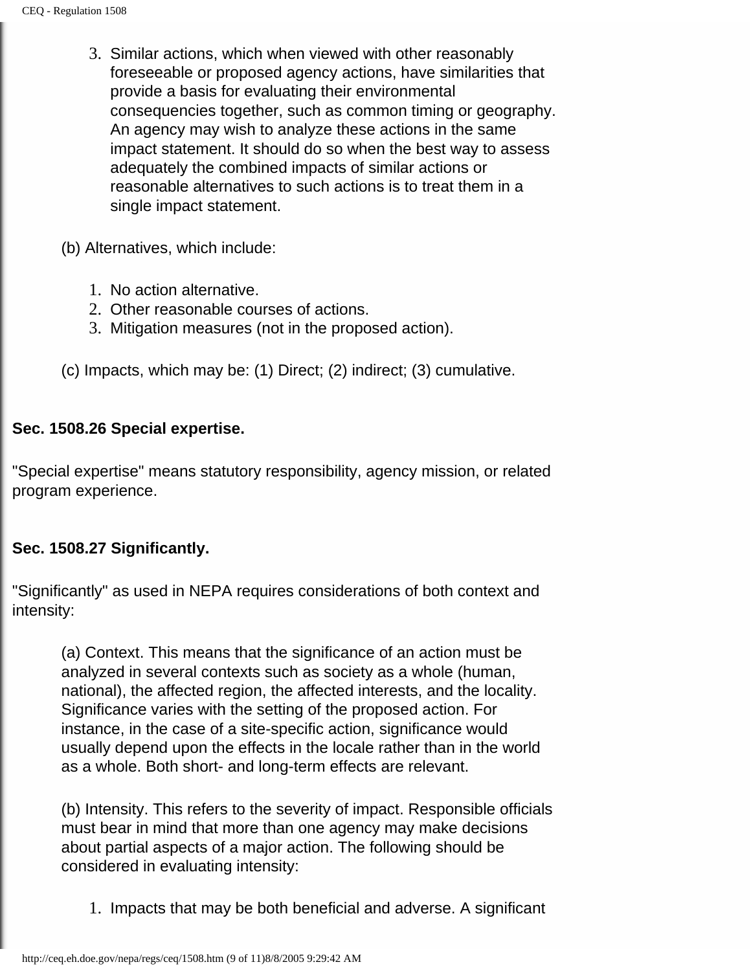3. Similar actions, which when viewed with other reasonably foreseeable or proposed agency actions, have similarities that provide a basis for evaluating their environmental consequencies together, such as common timing or geography. An agency may wish to analyze these actions in the same impact statement. It should do so when the best way to assess adequately the combined impacts of similar actions or reasonable alternatives to such actions is to treat them in a single impact statement.

(b) Alternatives, which include:

- 1. No action alternative.
- 2. Other reasonable courses of actions.
- 3. Mitigation measures (not in the proposed action).

(c) Impacts, which may be: (1) Direct; (2) indirect; (3) cumulative.

#### **Sec. 1508.26 Special expertise.**

"Special expertise" means statutory responsibility, agency mission, or related program experience.

### **Sec. 1508.27 Significantly.**

"Significantly" as used in NEPA requires considerations of both context and intensity:

(a) Context. This means that the significance of an action must be analyzed in several contexts such as society as a whole (human, national), the affected region, the affected interests, and the locality. Significance varies with the setting of the proposed action. For instance, in the case of a site-specific action, significance would usually depend upon the effects in the locale rather than in the world as a whole. Both short- and long-term effects are relevant.

(b) Intensity. This refers to the severity of impact. Responsible officials must bear in mind that more than one agency may make decisions about partial aspects of a major action. The following should be considered in evaluating intensity:

1. Impacts that may be both beneficial and adverse. A significant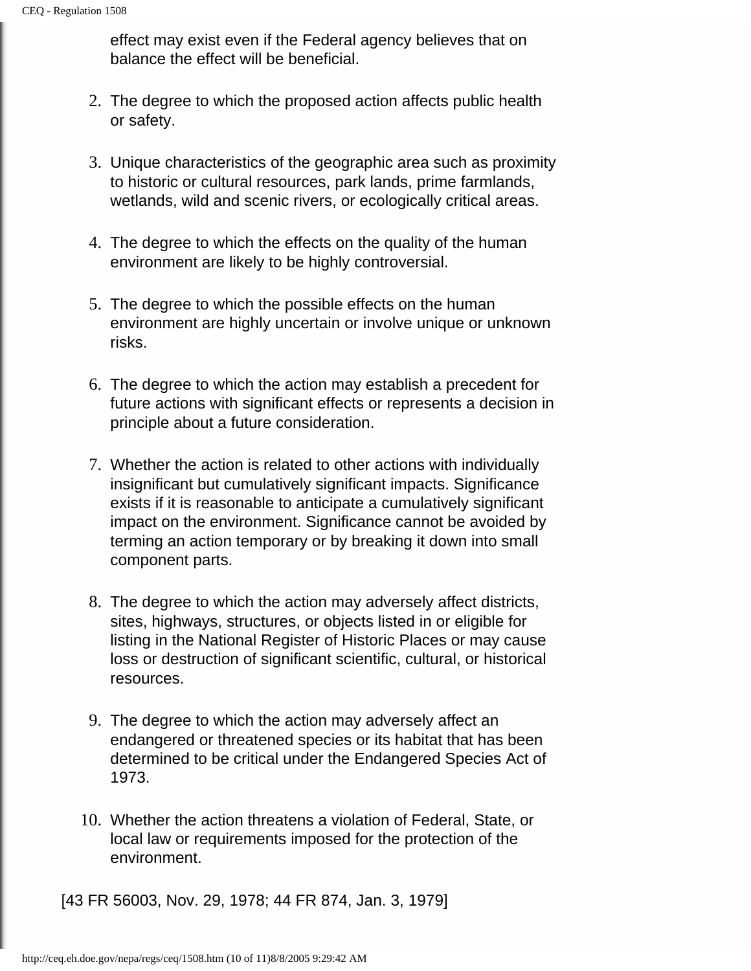effect may exist even if the Federal agency believes that on balance the effect will be beneficial.

- 2. The degree to which the proposed action affects public health or safety.
- 3. Unique characteristics of the geographic area such as proximity to historic or cultural resources, park lands, prime farmlands, wetlands, wild and scenic rivers, or ecologically critical areas.
- 4. The degree to which the effects on the quality of the human environment are likely to be highly controversial.
- 5. The degree to which the possible effects on the human environment are highly uncertain or involve unique or unknown risks.
- 6. The degree to which the action may establish a precedent for future actions with significant effects or represents a decision in principle about a future consideration.
- 7. Whether the action is related to other actions with individually insignificant but cumulatively significant impacts. Significance exists if it is reasonable to anticipate a cumulatively significant impact on the environment. Significance cannot be avoided by terming an action temporary or by breaking it down into small component parts.
- 8. The degree to which the action may adversely affect districts, sites, highways, structures, or objects listed in or eligible for listing in the National Register of Historic Places or may cause loss or destruction of significant scientific, cultural, or historical resources.
- 9. The degree to which the action may adversely affect an endangered or threatened species or its habitat that has been determined to be critical under the Endangered Species Act of 1973.
- 10. Whether the action threatens a violation of Federal, State, or local law or requirements imposed for the protection of the environment.

[43 FR 56003, Nov. 29, 1978; 44 FR 874, Jan. 3, 1979]